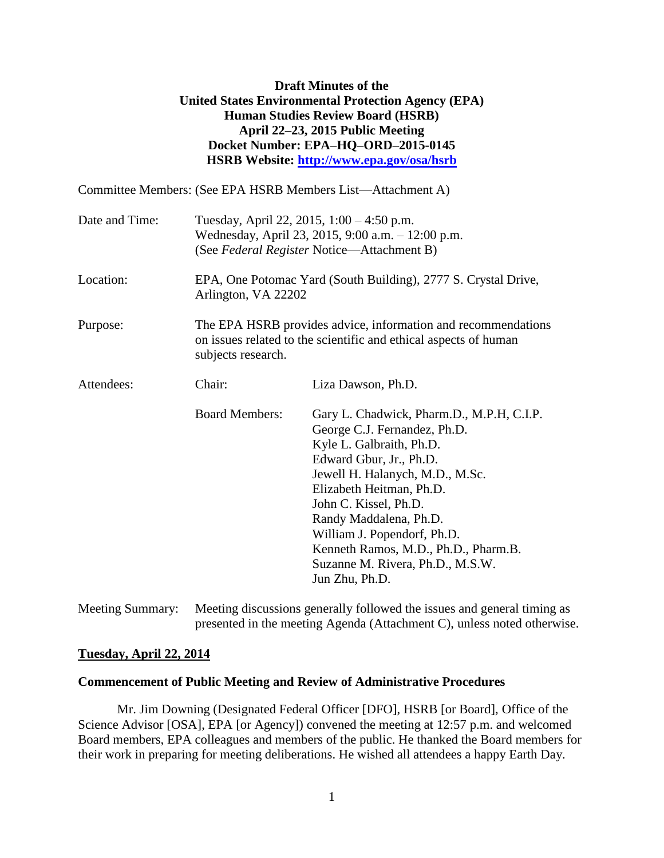# **Draft Minutes of the United States Environmental Protection Agency (EPA) Human Studies Review Board (HSRB) April 22–23, 2015 Public Meeting Docket Number: EPA–HQ–ORD–2015-0145 HSRB Website:<http://www.epa.gov/osa/hsrb>**

Committee Members: (See EPA HSRB Members List—Attachment A)

| Date and Time: |                                                                                       | Tuesday, April 22, 2015, $1:00 - 4:50$ p.m.<br>Wednesday, April 23, 2015, 9:00 a.m. - 12:00 p.m.<br>(See Federal Register Notice-Attachment B)                                                                                                                                                                                                                                  |
|----------------|---------------------------------------------------------------------------------------|---------------------------------------------------------------------------------------------------------------------------------------------------------------------------------------------------------------------------------------------------------------------------------------------------------------------------------------------------------------------------------|
| Location:      | EPA, One Potomac Yard (South Building), 2777 S. Crystal Drive,<br>Arlington, VA 22202 |                                                                                                                                                                                                                                                                                                                                                                                 |
| Purpose:       | subjects research.                                                                    | The EPA HSRB provides advice, information and recommendations<br>on issues related to the scientific and ethical aspects of human                                                                                                                                                                                                                                               |
| Attendees:     | Chair:                                                                                | Liza Dawson, Ph.D.                                                                                                                                                                                                                                                                                                                                                              |
|                | <b>Board Members:</b>                                                                 | Gary L. Chadwick, Pharm.D., M.P.H, C.I.P.<br>George C.J. Fernandez, Ph.D.<br>Kyle L. Galbraith, Ph.D.<br>Edward Gbur, Jr., Ph.D.<br>Jewell H. Halanych, M.D., M.Sc.<br>Elizabeth Heitman, Ph.D.<br>John C. Kissel, Ph.D.<br>Randy Maddalena, Ph.D.<br>William J. Popendorf, Ph.D.<br>Kenneth Ramos, M.D., Ph.D., Pharm.B.<br>Suzanne M. Rivera, Ph.D., M.S.W.<br>Jun Zhu, Ph.D. |

Meeting Summary: Meeting discussions generally followed the issues and general timing as presented in the meeting Agenda (Attachment C), unless noted otherwise.

#### **Tuesday, April 22, 2014**

#### **Commencement of Public Meeting and Review of Administrative Procedures**

Mr. Jim Downing (Designated Federal Officer [DFO], HSRB [or Board], Office of the Science Advisor [OSA], EPA [or Agency]) convened the meeting at 12:57 p.m. and welcomed Board members, EPA colleagues and members of the public. He thanked the Board members for their work in preparing for meeting deliberations. He wished all attendees a happy Earth Day.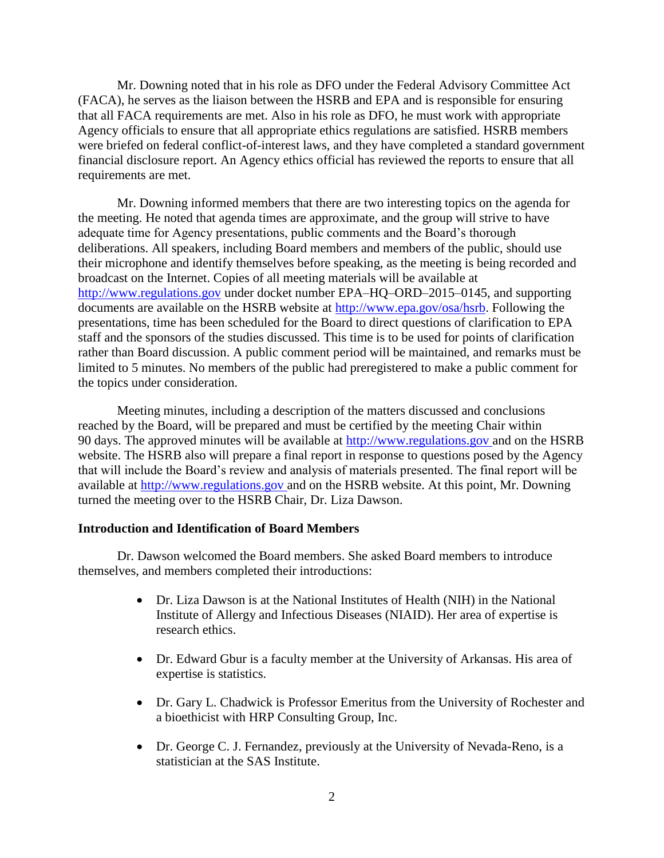Mr. Downing noted that in his role as DFO under the Federal Advisory Committee Act (FACA), he serves as the liaison between the HSRB and EPA and is responsible for ensuring that all FACA requirements are met. Also in his role as DFO, he must work with appropriate Agency officials to ensure that all appropriate ethics regulations are satisfied. HSRB members were briefed on federal conflict-of-interest laws, and they have completed a standard government financial disclosure report. An Agency ethics official has reviewed the reports to ensure that all requirements are met.

Mr. Downing informed members that there are two interesting topics on the agenda for the meeting. He noted that agenda times are approximate, and the group will strive to have adequate time for Agency presentations, public comments and the Board's thorough deliberations. All speakers, including Board members and members of the public, should use their microphone and identify themselves before speaking, as the meeting is being recorded and broadcast on the Internet. Copies of all meeting materials will be available at [http://www.regulations.gov](http://www.regulations.gov/) under docket number EPA–HQ–ORD–2015–0145, and supporting documents are available on the HSRB website at [http://www.epa.gov/osa/hsrb.](http://www.epa.gov/osa/hsrb) Following the presentations, time has been scheduled for the Board to direct questions of clarification to EPA staff and the sponsors of the studies discussed. This time is to be used for points of clarification rather than Board discussion. A public comment period will be maintained, and remarks must be limited to 5 minutes. No members of the public had preregistered to make a public comment for the topics under consideration.

Meeting minutes, including a description of the matters discussed and conclusions reached by the Board, will be prepared and must be certified by the meeting Chair within 90 days. The approved minutes will be available at [http://www.regulations.gov](http://www.regulations.gov/) and on the HSRB website. The HSRB also will prepare a final report in response to questions posed by the Agency that will include the Board's review and analysis of materials presented. The final report will be available at [http://www.regulations.gov](http://www.regulations.gov/) and on the HSRB website. At this point, Mr. Downing turned the meeting over to the HSRB Chair, Dr. Liza Dawson.

### **Introduction and Identification of Board Members**

Dr. Dawson welcomed the Board members. She asked Board members to introduce themselves, and members completed their introductions:

- Dr. Liza Dawson is at the National Institutes of Health (NIH) in the National Institute of Allergy and Infectious Diseases (NIAID). Her area of expertise is research ethics.
- Dr. Edward Gbur is a faculty member at the University of Arkansas. His area of expertise is statistics.
- Dr. Gary L. Chadwick is Professor Emeritus from the University of Rochester and a bioethicist with HRP Consulting Group, Inc.
- Dr. George C. J. Fernandez, previously at the University of Nevada-Reno, is a statistician at the SAS Institute.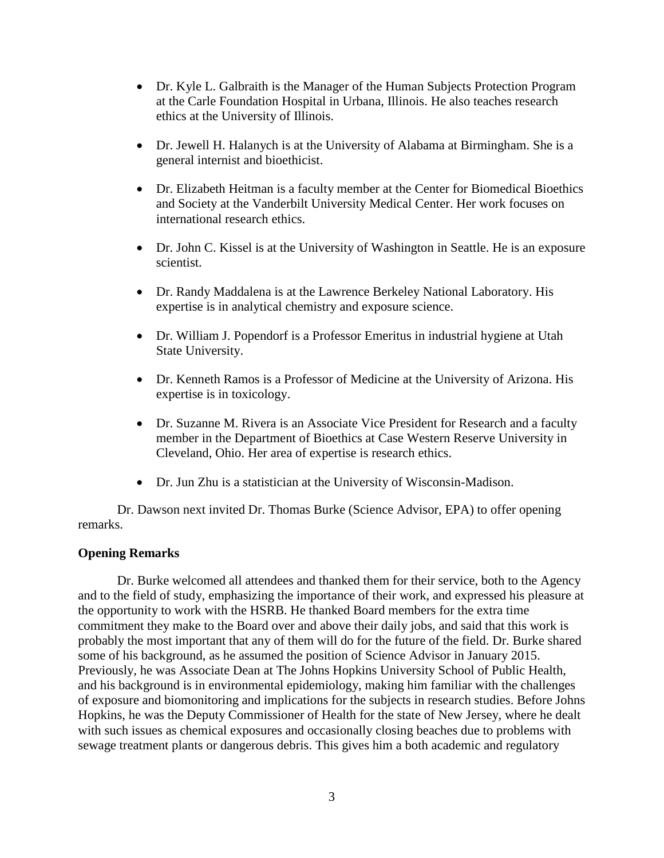- Dr. Kyle L. Galbraith is the Manager of the Human Subjects Protection Program at the Carle Foundation Hospital in Urbana, Illinois. He also teaches research ethics at the University of Illinois.
- Dr. Jewell H. Halanych is at the University of Alabama at Birmingham. She is a general internist and bioethicist.
- Dr. Elizabeth Heitman is a faculty member at the Center for Biomedical Bioethics and Society at the Vanderbilt University Medical Center. Her work focuses on international research ethics.
- Dr. John C. Kissel is at the University of Washington in Seattle. He is an exposure scientist.
- Dr. Randy Maddalena is at the Lawrence Berkeley National Laboratory. His expertise is in analytical chemistry and exposure science.
- Dr. William J. Popendorf is a Professor Emeritus in industrial hygiene at Utah State University.
- Dr. Kenneth Ramos is a Professor of Medicine at the University of Arizona. His expertise is in toxicology.
- Dr. Suzanne M. Rivera is an Associate Vice President for Research and a faculty member in the Department of Bioethics at Case Western Reserve University in Cleveland, Ohio. Her area of expertise is research ethics.
- Dr. Jun Zhu is a statistician at the University of Wisconsin-Madison.

Dr. Dawson next invited Dr. Thomas Burke (Science Advisor, EPA) to offer opening remarks.

## **Opening Remarks**

Dr. Burke welcomed all attendees and thanked them for their service, both to the Agency and to the field of study, emphasizing the importance of their work, and expressed his pleasure at the opportunity to work with the HSRB. He thanked Board members for the extra time commitment they make to the Board over and above their daily jobs, and said that this work is probably the most important that any of them will do for the future of the field. Dr. Burke shared some of his background, as he assumed the position of Science Advisor in January 2015. Previously, he was Associate Dean at The Johns Hopkins University School of Public Health, and his background is in environmental epidemiology, making him familiar with the challenges of exposure and biomonitoring and implications for the subjects in research studies. Before Johns Hopkins, he was the Deputy Commissioner of Health for the state of New Jersey, where he dealt with such issues as chemical exposures and occasionally closing beaches due to problems with sewage treatment plants or dangerous debris. This gives him a both academic and regulatory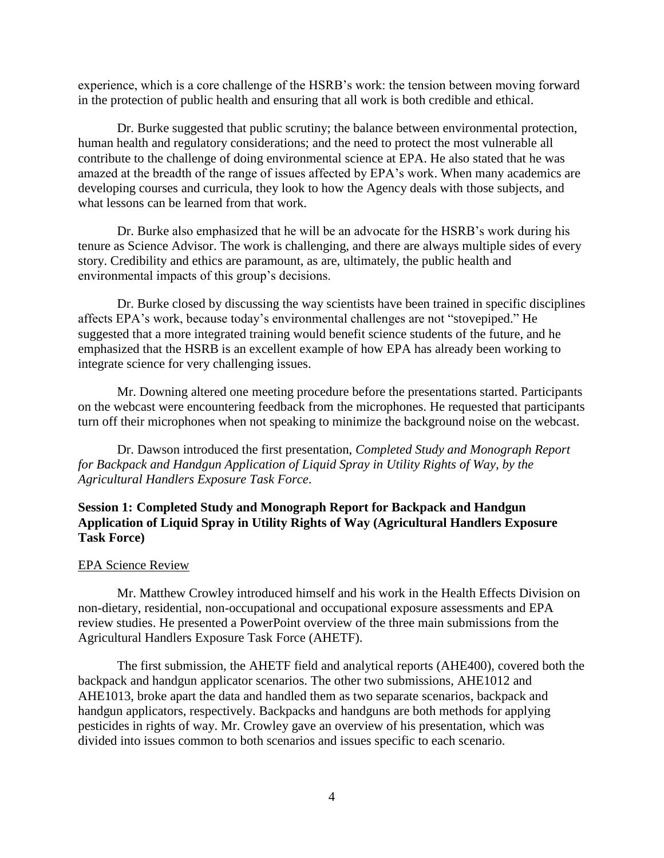experience, which is a core challenge of the HSRB's work: the tension between moving forward in the protection of public health and ensuring that all work is both credible and ethical.

Dr. Burke suggested that public scrutiny; the balance between environmental protection, human health and regulatory considerations; and the need to protect the most vulnerable all contribute to the challenge of doing environmental science at EPA. He also stated that he was amazed at the breadth of the range of issues affected by EPA's work. When many academics are developing courses and curricula, they look to how the Agency deals with those subjects, and what lessons can be learned from that work.

Dr. Burke also emphasized that he will be an advocate for the HSRB's work during his tenure as Science Advisor. The work is challenging, and there are always multiple sides of every story. Credibility and ethics are paramount, as are, ultimately, the public health and environmental impacts of this group's decisions.

Dr. Burke closed by discussing the way scientists have been trained in specific disciplines affects EPA's work, because today's environmental challenges are not "stovepiped." He suggested that a more integrated training would benefit science students of the future, and he emphasized that the HSRB is an excellent example of how EPA has already been working to integrate science for very challenging issues.

Mr. Downing altered one meeting procedure before the presentations started. Participants on the webcast were encountering feedback from the microphones. He requested that participants turn off their microphones when not speaking to minimize the background noise on the webcast.

Dr. Dawson introduced the first presentation, *Completed Study and Monograph Report for Backpack and Handgun Application of Liquid Spray in Utility Rights of Way, by the Agricultural Handlers Exposure Task Force*.

# **Session 1: Completed Study and Monograph Report for Backpack and Handgun Application of Liquid Spray in Utility Rights of Way (Agricultural Handlers Exposure Task Force)**

## EPA Science Review

Mr. Matthew Crowley introduced himself and his work in the Health Effects Division on non-dietary, residential, non-occupational and occupational exposure assessments and EPA review studies. He presented a PowerPoint overview of the three main submissions from the Agricultural Handlers Exposure Task Force (AHETF).

The first submission, the AHETF field and analytical reports (AHE400), covered both the backpack and handgun applicator scenarios. The other two submissions, AHE1012 and AHE1013, broke apart the data and handled them as two separate scenarios, backpack and handgun applicators, respectively. Backpacks and handguns are both methods for applying pesticides in rights of way. Mr. Crowley gave an overview of his presentation, which was divided into issues common to both scenarios and issues specific to each scenario.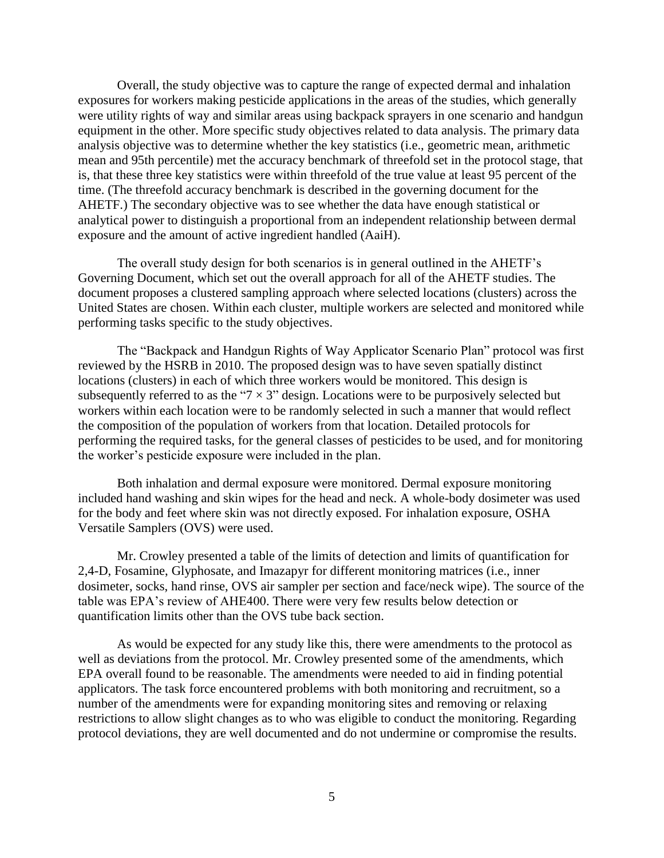Overall, the study objective was to capture the range of expected dermal and inhalation exposures for workers making pesticide applications in the areas of the studies, which generally were utility rights of way and similar areas using backpack sprayers in one scenario and handgun equipment in the other. More specific study objectives related to data analysis. The primary data analysis objective was to determine whether the key statistics (i.e., geometric mean, arithmetic mean and 95th percentile) met the accuracy benchmark of threefold set in the protocol stage, that is, that these three key statistics were within threefold of the true value at least 95 percent of the time. (The threefold accuracy benchmark is described in the governing document for the AHETF.) The secondary objective was to see whether the data have enough statistical or analytical power to distinguish a proportional from an independent relationship between dermal exposure and the amount of active ingredient handled (AaiH).

The overall study design for both scenarios is in general outlined in the AHETF's Governing Document, which set out the overall approach for all of the AHETF studies. The document proposes a clustered sampling approach where selected locations (clusters) across the United States are chosen. Within each cluster, multiple workers are selected and monitored while performing tasks specific to the study objectives.

The "Backpack and Handgun Rights of Way Applicator Scenario Plan" protocol was first reviewed by the HSRB in 2010. The proposed design was to have seven spatially distinct locations (clusters) in each of which three workers would be monitored. This design is subsequently referred to as the " $7 \times 3$ " design. Locations were to be purposively selected but workers within each location were to be randomly selected in such a manner that would reflect the composition of the population of workers from that location. Detailed protocols for performing the required tasks, for the general classes of pesticides to be used, and for monitoring the worker's pesticide exposure were included in the plan.

Both inhalation and dermal exposure were monitored. Dermal exposure monitoring included hand washing and skin wipes for the head and neck. A whole-body dosimeter was used for the body and feet where skin was not directly exposed. For inhalation exposure, OSHA Versatile Samplers (OVS) were used.

Mr. Crowley presented a table of the limits of detection and limits of quantification for 2,4-D, Fosamine, Glyphosate, and Imazapyr for different monitoring matrices (i.e., inner dosimeter, socks, hand rinse, OVS air sampler per section and face/neck wipe). The source of the table was EPA's review of AHE400. There were very few results below detection or quantification limits other than the OVS tube back section.

As would be expected for any study like this, there were amendments to the protocol as well as deviations from the protocol. Mr. Crowley presented some of the amendments, which EPA overall found to be reasonable. The amendments were needed to aid in finding potential applicators. The task force encountered problems with both monitoring and recruitment, so a number of the amendments were for expanding monitoring sites and removing or relaxing restrictions to allow slight changes as to who was eligible to conduct the monitoring. Regarding protocol deviations, they are well documented and do not undermine or compromise the results.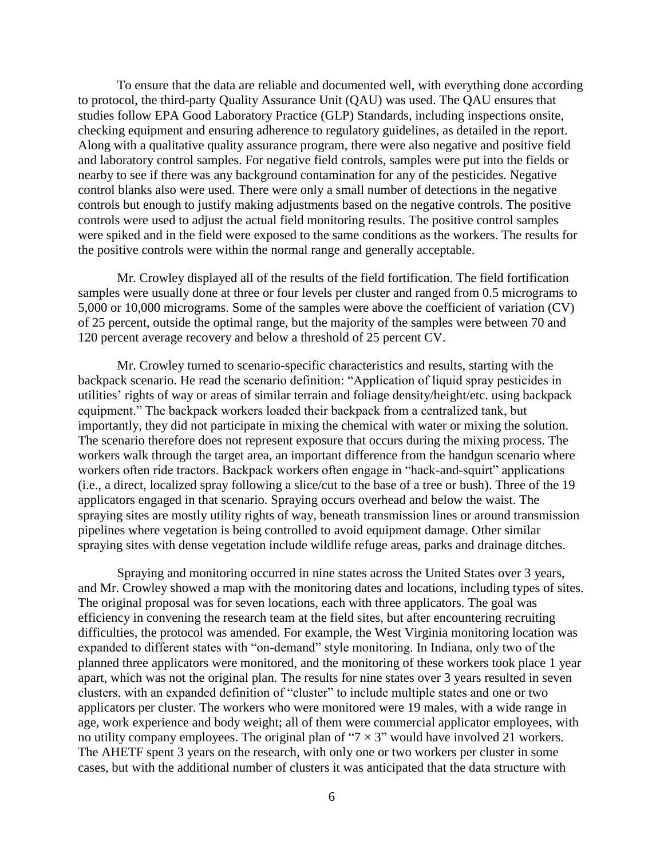To ensure that the data are reliable and documented well, with everything done according to protocol, the third-party Quality Assurance Unit (QAU) was used. The QAU ensures that studies follow EPA Good Laboratory Practice (GLP) Standards, including inspections onsite, checking equipment and ensuring adherence to regulatory guidelines, as detailed in the report. Along with a qualitative quality assurance program, there were also negative and positive field and laboratory control samples. For negative field controls, samples were put into the fields or nearby to see if there was any background contamination for any of the pesticides. Negative control blanks also were used. There were only a small number of detections in the negative controls but enough to justify making adjustments based on the negative controls. The positive controls were used to adjust the actual field monitoring results. The positive control samples were spiked and in the field were exposed to the same conditions as the workers. The results for the positive controls were within the normal range and generally acceptable.

Mr. Crowley displayed all of the results of the field fortification. The field fortification samples were usually done at three or four levels per cluster and ranged from 0.5 micrograms to 5,000 or 10,000 micrograms. Some of the samples were above the coefficient of variation (CV) of 25 percent, outside the optimal range, but the majority of the samples were between 70 and 120 percent average recovery and below a threshold of 25 percent CV.

Mr. Crowley turned to scenario-specific characteristics and results, starting with the backpack scenario. He read the scenario definition: "Application of liquid spray pesticides in utilities' rights of way or areas of similar terrain and foliage density/height/etc. using backpack equipment." The backpack workers loaded their backpack from a centralized tank, but importantly, they did not participate in mixing the chemical with water or mixing the solution. The scenario therefore does not represent exposure that occurs during the mixing process. The workers walk through the target area, an important difference from the handgun scenario where workers often ride tractors. Backpack workers often engage in "hack-and-squirt" applications (i.e., a direct, localized spray following a slice/cut to the base of a tree or bush). Three of the 19 applicators engaged in that scenario. Spraying occurs overhead and below the waist. The spraying sites are mostly utility rights of way, beneath transmission lines or around transmission pipelines where vegetation is being controlled to avoid equipment damage. Other similar spraying sites with dense vegetation include wildlife refuge areas, parks and drainage ditches.

Spraying and monitoring occurred in nine states across the United States over 3 years, and Mr. Crowley showed a map with the monitoring dates and locations, including types of sites. The original proposal was for seven locations, each with three applicators. The goal was efficiency in convening the research team at the field sites, but after encountering recruiting difficulties, the protocol was amended. For example, the West Virginia monitoring location was expanded to different states with "on-demand" style monitoring. In Indiana, only two of the planned three applicators were monitored, and the monitoring of these workers took place 1 year apart, which was not the original plan. The results for nine states over 3 years resulted in seven clusters, with an expanded definition of "cluster" to include multiple states and one or two applicators per cluster. The workers who were monitored were 19 males, with a wide range in age, work experience and body weight; all of them were commercial applicator employees, with no utility company employees. The original plan of " $7 \times 3$ " would have involved 21 workers. The AHETF spent 3 years on the research, with only one or two workers per cluster in some cases, but with the additional number of clusters it was anticipated that the data structure with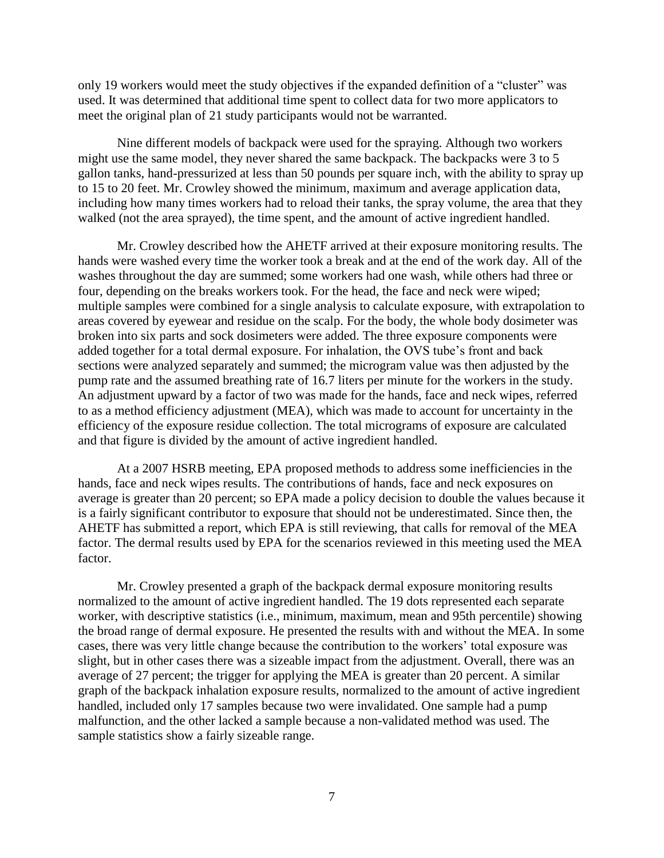only 19 workers would meet the study objectives if the expanded definition of a "cluster" was used. It was determined that additional time spent to collect data for two more applicators to meet the original plan of 21 study participants would not be warranted.

Nine different models of backpack were used for the spraying. Although two workers might use the same model, they never shared the same backpack. The backpacks were 3 to 5 gallon tanks, hand-pressurized at less than 50 pounds per square inch, with the ability to spray up to 15 to 20 feet. Mr. Crowley showed the minimum, maximum and average application data, including how many times workers had to reload their tanks, the spray volume, the area that they walked (not the area sprayed), the time spent, and the amount of active ingredient handled.

Mr. Crowley described how the AHETF arrived at their exposure monitoring results. The hands were washed every time the worker took a break and at the end of the work day. All of the washes throughout the day are summed; some workers had one wash, while others had three or four, depending on the breaks workers took. For the head, the face and neck were wiped; multiple samples were combined for a single analysis to calculate exposure, with extrapolation to areas covered by eyewear and residue on the scalp. For the body, the whole body dosimeter was broken into six parts and sock dosimeters were added. The three exposure components were added together for a total dermal exposure. For inhalation, the OVS tube's front and back sections were analyzed separately and summed; the microgram value was then adjusted by the pump rate and the assumed breathing rate of 16.7 liters per minute for the workers in the study. An adjustment upward by a factor of two was made for the hands, face and neck wipes, referred to as a method efficiency adjustment (MEA), which was made to account for uncertainty in the efficiency of the exposure residue collection. The total micrograms of exposure are calculated and that figure is divided by the amount of active ingredient handled.

At a 2007 HSRB meeting, EPA proposed methods to address some inefficiencies in the hands, face and neck wipes results. The contributions of hands, face and neck exposures on average is greater than 20 percent; so EPA made a policy decision to double the values because it is a fairly significant contributor to exposure that should not be underestimated. Since then, the AHETF has submitted a report, which EPA is still reviewing, that calls for removal of the MEA factor. The dermal results used by EPA for the scenarios reviewed in this meeting used the MEA factor.

Mr. Crowley presented a graph of the backpack dermal exposure monitoring results normalized to the amount of active ingredient handled. The 19 dots represented each separate worker, with descriptive statistics (i.e., minimum, maximum, mean and 95th percentile) showing the broad range of dermal exposure. He presented the results with and without the MEA. In some cases, there was very little change because the contribution to the workers' total exposure was slight, but in other cases there was a sizeable impact from the adjustment. Overall, there was an average of 27 percent; the trigger for applying the MEA is greater than 20 percent. A similar graph of the backpack inhalation exposure results, normalized to the amount of active ingredient handled, included only 17 samples because two were invalidated. One sample had a pump malfunction, and the other lacked a sample because a non-validated method was used. The sample statistics show a fairly sizeable range.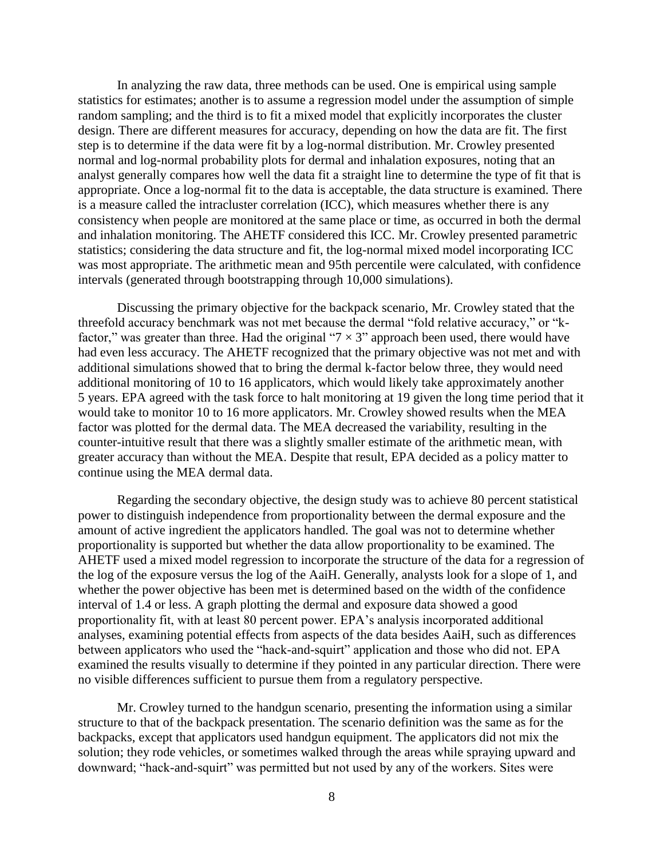In analyzing the raw data, three methods can be used. One is empirical using sample statistics for estimates; another is to assume a regression model under the assumption of simple random sampling; and the third is to fit a mixed model that explicitly incorporates the cluster design. There are different measures for accuracy, depending on how the data are fit. The first step is to determine if the data were fit by a log-normal distribution. Mr. Crowley presented normal and log-normal probability plots for dermal and inhalation exposures, noting that an analyst generally compares how well the data fit a straight line to determine the type of fit that is appropriate. Once a log-normal fit to the data is acceptable, the data structure is examined. There is a measure called the intracluster correlation (ICC), which measures whether there is any consistency when people are monitored at the same place or time, as occurred in both the dermal and inhalation monitoring. The AHETF considered this ICC. Mr. Crowley presented parametric statistics; considering the data structure and fit, the log-normal mixed model incorporating ICC was most appropriate. The arithmetic mean and 95th percentile were calculated, with confidence intervals (generated through bootstrapping through 10,000 simulations).

Discussing the primary objective for the backpack scenario, Mr. Crowley stated that the threefold accuracy benchmark was not met because the dermal "fold relative accuracy," or "kfactor," was greater than three. Had the original " $7 \times 3$ " approach been used, there would have had even less accuracy. The AHETF recognized that the primary objective was not met and with additional simulations showed that to bring the dermal k-factor below three, they would need additional monitoring of 10 to 16 applicators, which would likely take approximately another 5 years. EPA agreed with the task force to halt monitoring at 19 given the long time period that it would take to monitor 10 to 16 more applicators. Mr. Crowley showed results when the MEA factor was plotted for the dermal data. The MEA decreased the variability, resulting in the counter-intuitive result that there was a slightly smaller estimate of the arithmetic mean, with greater accuracy than without the MEA. Despite that result, EPA decided as a policy matter to continue using the MEA dermal data.

Regarding the secondary objective, the design study was to achieve 80 percent statistical power to distinguish independence from proportionality between the dermal exposure and the amount of active ingredient the applicators handled. The goal was not to determine whether proportionality is supported but whether the data allow proportionality to be examined. The AHETF used a mixed model regression to incorporate the structure of the data for a regression of the log of the exposure versus the log of the AaiH. Generally, analysts look for a slope of 1, and whether the power objective has been met is determined based on the width of the confidence interval of 1.4 or less. A graph plotting the dermal and exposure data showed a good proportionality fit, with at least 80 percent power. EPA's analysis incorporated additional analyses, examining potential effects from aspects of the data besides AaiH, such as differences between applicators who used the "hack-and-squirt" application and those who did not. EPA examined the results visually to determine if they pointed in any particular direction. There were no visible differences sufficient to pursue them from a regulatory perspective.

Mr. Crowley turned to the handgun scenario, presenting the information using a similar structure to that of the backpack presentation. The scenario definition was the same as for the backpacks, except that applicators used handgun equipment. The applicators did not mix the solution; they rode vehicles, or sometimes walked through the areas while spraying upward and downward; "hack-and-squirt" was permitted but not used by any of the workers. Sites were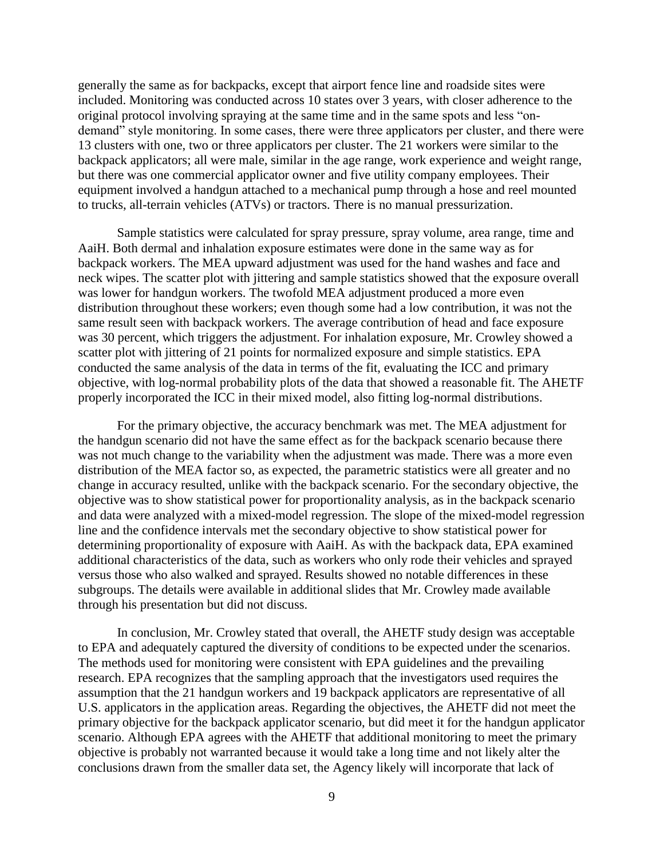generally the same as for backpacks, except that airport fence line and roadside sites were included. Monitoring was conducted across 10 states over 3 years, with closer adherence to the original protocol involving spraying at the same time and in the same spots and less "ondemand" style monitoring. In some cases, there were three applicators per cluster, and there were 13 clusters with one, two or three applicators per cluster. The 21 workers were similar to the backpack applicators; all were male, similar in the age range, work experience and weight range, but there was one commercial applicator owner and five utility company employees. Their equipment involved a handgun attached to a mechanical pump through a hose and reel mounted to trucks, all-terrain vehicles (ATVs) or tractors. There is no manual pressurization.

Sample statistics were calculated for spray pressure, spray volume, area range, time and AaiH. Both dermal and inhalation exposure estimates were done in the same way as for backpack workers. The MEA upward adjustment was used for the hand washes and face and neck wipes. The scatter plot with jittering and sample statistics showed that the exposure overall was lower for handgun workers. The twofold MEA adjustment produced a more even distribution throughout these workers; even though some had a low contribution, it was not the same result seen with backpack workers. The average contribution of head and face exposure was 30 percent, which triggers the adjustment. For inhalation exposure, Mr. Crowley showed a scatter plot with jittering of 21 points for normalized exposure and simple statistics. EPA conducted the same analysis of the data in terms of the fit, evaluating the ICC and primary objective, with log-normal probability plots of the data that showed a reasonable fit. The AHETF properly incorporated the ICC in their mixed model, also fitting log-normal distributions.

For the primary objective, the accuracy benchmark was met. The MEA adjustment for the handgun scenario did not have the same effect as for the backpack scenario because there was not much change to the variability when the adjustment was made. There was a more even distribution of the MEA factor so, as expected, the parametric statistics were all greater and no change in accuracy resulted, unlike with the backpack scenario. For the secondary objective, the objective was to show statistical power for proportionality analysis, as in the backpack scenario and data were analyzed with a mixed-model regression. The slope of the mixed-model regression line and the confidence intervals met the secondary objective to show statistical power for determining proportionality of exposure with AaiH. As with the backpack data, EPA examined additional characteristics of the data, such as workers who only rode their vehicles and sprayed versus those who also walked and sprayed. Results showed no notable differences in these subgroups. The details were available in additional slides that Mr. Crowley made available through his presentation but did not discuss.

In conclusion, Mr. Crowley stated that overall, the AHETF study design was acceptable to EPA and adequately captured the diversity of conditions to be expected under the scenarios. The methods used for monitoring were consistent with EPA guidelines and the prevailing research. EPA recognizes that the sampling approach that the investigators used requires the assumption that the 21 handgun workers and 19 backpack applicators are representative of all U.S. applicators in the application areas. Regarding the objectives, the AHETF did not meet the primary objective for the backpack applicator scenario, but did meet it for the handgun applicator scenario. Although EPA agrees with the AHETF that additional monitoring to meet the primary objective is probably not warranted because it would take a long time and not likely alter the conclusions drawn from the smaller data set, the Agency likely will incorporate that lack of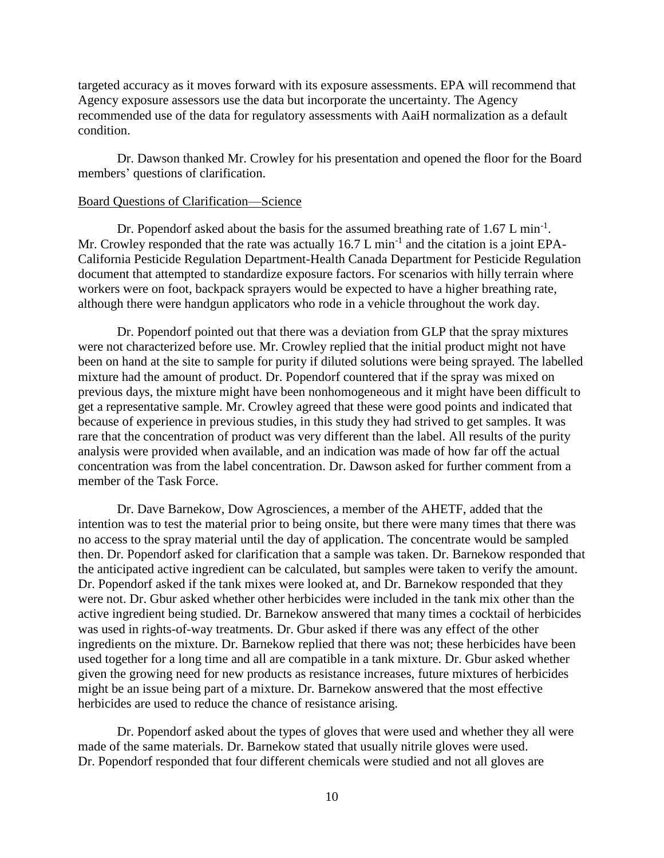targeted accuracy as it moves forward with its exposure assessments. EPA will recommend that Agency exposure assessors use the data but incorporate the uncertainty. The Agency recommended use of the data for regulatory assessments with AaiH normalization as a default condition.

Dr. Dawson thanked Mr. Crowley for his presentation and opened the floor for the Board members' questions of clarification.

#### Board Questions of Clarification—Science

Dr. Popendorf asked about the basis for the assumed breathing rate of  $1.67$  L min<sup>-1</sup>. Mr. Crowley responded that the rate was actually 16.7 L min<sup>-1</sup> and the citation is a joint EPA-California Pesticide Regulation Department-Health Canada Department for Pesticide Regulation document that attempted to standardize exposure factors. For scenarios with hilly terrain where workers were on foot, backpack sprayers would be expected to have a higher breathing rate, although there were handgun applicators who rode in a vehicle throughout the work day.

Dr. Popendorf pointed out that there was a deviation from GLP that the spray mixtures were not characterized before use. Mr. Crowley replied that the initial product might not have been on hand at the site to sample for purity if diluted solutions were being sprayed. The labelled mixture had the amount of product. Dr. Popendorf countered that if the spray was mixed on previous days, the mixture might have been nonhomogeneous and it might have been difficult to get a representative sample. Mr. Crowley agreed that these were good points and indicated that because of experience in previous studies, in this study they had strived to get samples. It was rare that the concentration of product was very different than the label. All results of the purity analysis were provided when available, and an indication was made of how far off the actual concentration was from the label concentration. Dr. Dawson asked for further comment from a member of the Task Force.

Dr. Dave Barnekow, Dow Agrosciences, a member of the AHETF, added that the intention was to test the material prior to being onsite, but there were many times that there was no access to the spray material until the day of application. The concentrate would be sampled then. Dr. Popendorf asked for clarification that a sample was taken. Dr. Barnekow responded that the anticipated active ingredient can be calculated, but samples were taken to verify the amount. Dr. Popendorf asked if the tank mixes were looked at, and Dr. Barnekow responded that they were not. Dr. Gbur asked whether other herbicides were included in the tank mix other than the active ingredient being studied. Dr. Barnekow answered that many times a cocktail of herbicides was used in rights-of-way treatments. Dr. Gbur asked if there was any effect of the other ingredients on the mixture. Dr. Barnekow replied that there was not; these herbicides have been used together for a long time and all are compatible in a tank mixture. Dr. Gbur asked whether given the growing need for new products as resistance increases, future mixtures of herbicides might be an issue being part of a mixture. Dr. Barnekow answered that the most effective herbicides are used to reduce the chance of resistance arising.

Dr. Popendorf asked about the types of gloves that were used and whether they all were made of the same materials. Dr. Barnekow stated that usually nitrile gloves were used. Dr. Popendorf responded that four different chemicals were studied and not all gloves are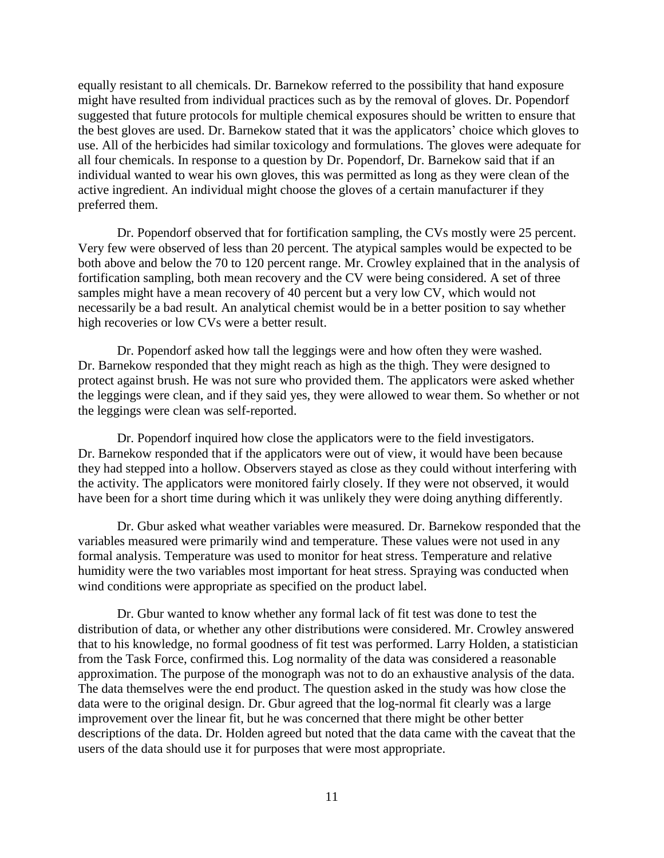equally resistant to all chemicals. Dr. Barnekow referred to the possibility that hand exposure might have resulted from individual practices such as by the removal of gloves. Dr. Popendorf suggested that future protocols for multiple chemical exposures should be written to ensure that the best gloves are used. Dr. Barnekow stated that it was the applicators' choice which gloves to use. All of the herbicides had similar toxicology and formulations. The gloves were adequate for all four chemicals. In response to a question by Dr. Popendorf, Dr. Barnekow said that if an individual wanted to wear his own gloves, this was permitted as long as they were clean of the active ingredient. An individual might choose the gloves of a certain manufacturer if they preferred them.

Dr. Popendorf observed that for fortification sampling, the CVs mostly were 25 percent. Very few were observed of less than 20 percent. The atypical samples would be expected to be both above and below the 70 to 120 percent range. Mr. Crowley explained that in the analysis of fortification sampling, both mean recovery and the CV were being considered. A set of three samples might have a mean recovery of 40 percent but a very low CV, which would not necessarily be a bad result. An analytical chemist would be in a better position to say whether high recoveries or low CVs were a better result.

Dr. Popendorf asked how tall the leggings were and how often they were washed. Dr. Barnekow responded that they might reach as high as the thigh. They were designed to protect against brush. He was not sure who provided them. The applicators were asked whether the leggings were clean, and if they said yes, they were allowed to wear them. So whether or not the leggings were clean was self-reported.

Dr. Popendorf inquired how close the applicators were to the field investigators. Dr. Barnekow responded that if the applicators were out of view, it would have been because they had stepped into a hollow. Observers stayed as close as they could without interfering with the activity. The applicators were monitored fairly closely. If they were not observed, it would have been for a short time during which it was unlikely they were doing anything differently.

Dr. Gbur asked what weather variables were measured. Dr. Barnekow responded that the variables measured were primarily wind and temperature. These values were not used in any formal analysis. Temperature was used to monitor for heat stress. Temperature and relative humidity were the two variables most important for heat stress. Spraying was conducted when wind conditions were appropriate as specified on the product label.

Dr. Gbur wanted to know whether any formal lack of fit test was done to test the distribution of data, or whether any other distributions were considered. Mr. Crowley answered that to his knowledge, no formal goodness of fit test was performed. Larry Holden, a statistician from the Task Force, confirmed this. Log normality of the data was considered a reasonable approximation. The purpose of the monograph was not to do an exhaustive analysis of the data. The data themselves were the end product. The question asked in the study was how close the data were to the original design. Dr. Gbur agreed that the log-normal fit clearly was a large improvement over the linear fit, but he was concerned that there might be other better descriptions of the data. Dr. Holden agreed but noted that the data came with the caveat that the users of the data should use it for purposes that were most appropriate.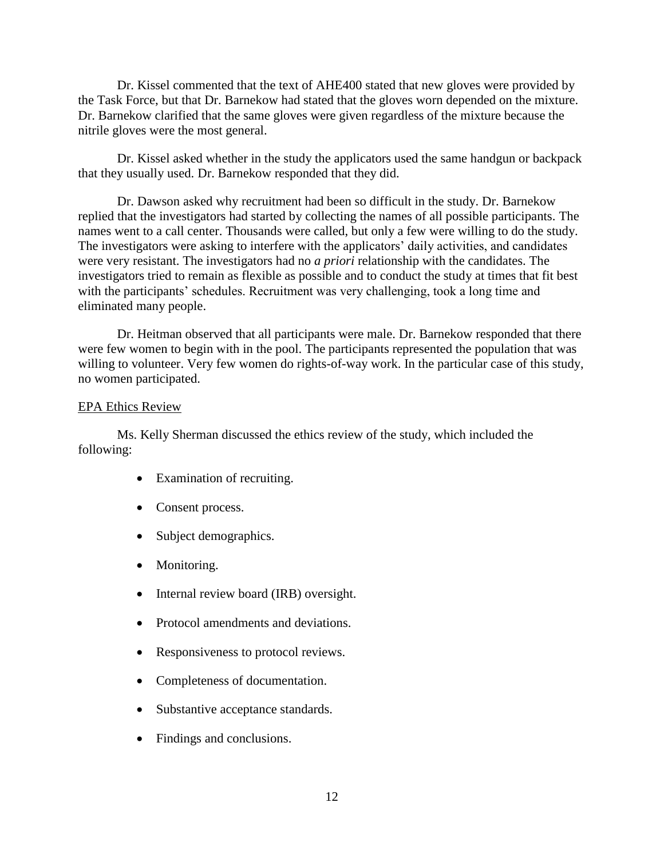Dr. Kissel commented that the text of AHE400 stated that new gloves were provided by the Task Force, but that Dr. Barnekow had stated that the gloves worn depended on the mixture. Dr. Barnekow clarified that the same gloves were given regardless of the mixture because the nitrile gloves were the most general.

Dr. Kissel asked whether in the study the applicators used the same handgun or backpack that they usually used. Dr. Barnekow responded that they did.

Dr. Dawson asked why recruitment had been so difficult in the study. Dr. Barnekow replied that the investigators had started by collecting the names of all possible participants. The names went to a call center. Thousands were called, but only a few were willing to do the study. The investigators were asking to interfere with the applicators' daily activities, and candidates were very resistant. The investigators had no *a priori* relationship with the candidates. The investigators tried to remain as flexible as possible and to conduct the study at times that fit best with the participants' schedules. Recruitment was very challenging, took a long time and eliminated many people.

Dr. Heitman observed that all participants were male. Dr. Barnekow responded that there were few women to begin with in the pool. The participants represented the population that was willing to volunteer. Very few women do rights-of-way work. In the particular case of this study, no women participated.

### EPA Ethics Review

Ms. Kelly Sherman discussed the ethics review of the study, which included the following:

- Examination of recruiting.
- Consent process.
- Subject demographics.
- Monitoring.
- Internal review board (IRB) oversight.
- Protocol amendments and deviations.
- Responsiveness to protocol reviews.
- Completeness of documentation.
- Substantive acceptance standards.
- Findings and conclusions.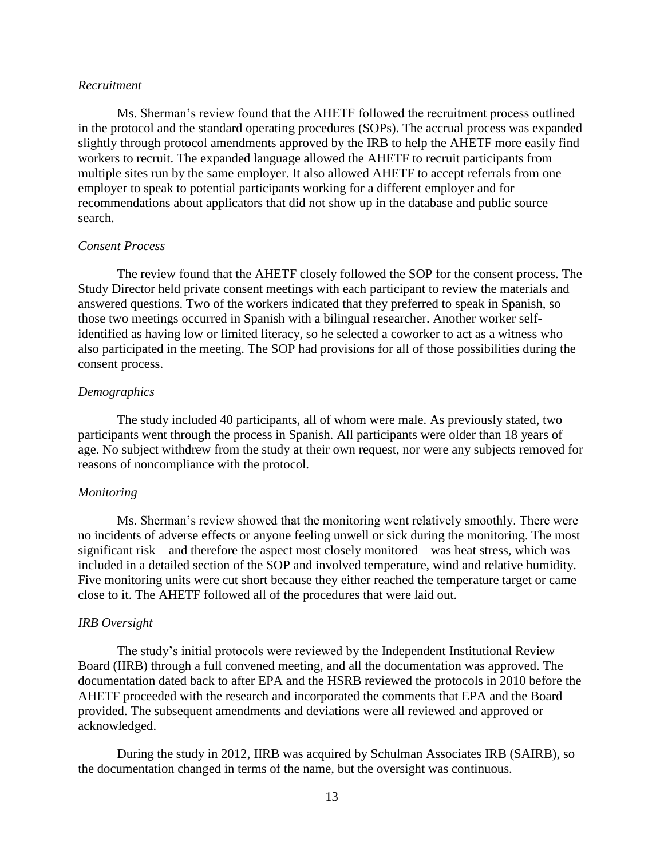### *Recruitment*

Ms. Sherman's review found that the AHETF followed the recruitment process outlined in the protocol and the standard operating procedures (SOPs). The accrual process was expanded slightly through protocol amendments approved by the IRB to help the AHETF more easily find workers to recruit. The expanded language allowed the AHETF to recruit participants from multiple sites run by the same employer. It also allowed AHETF to accept referrals from one employer to speak to potential participants working for a different employer and for recommendations about applicators that did not show up in the database and public source search.

### *Consent Process*

The review found that the AHETF closely followed the SOP for the consent process. The Study Director held private consent meetings with each participant to review the materials and answered questions. Two of the workers indicated that they preferred to speak in Spanish, so those two meetings occurred in Spanish with a bilingual researcher. Another worker selfidentified as having low or limited literacy, so he selected a coworker to act as a witness who also participated in the meeting. The SOP had provisions for all of those possibilities during the consent process.

#### *Demographics*

The study included 40 participants, all of whom were male. As previously stated, two participants went through the process in Spanish. All participants were older than 18 years of age. No subject withdrew from the study at their own request, nor were any subjects removed for reasons of noncompliance with the protocol.

#### *Monitoring*

Ms. Sherman's review showed that the monitoring went relatively smoothly. There were no incidents of adverse effects or anyone feeling unwell or sick during the monitoring. The most significant risk—and therefore the aspect most closely monitored—was heat stress, which was included in a detailed section of the SOP and involved temperature, wind and relative humidity. Five monitoring units were cut short because they either reached the temperature target or came close to it. The AHETF followed all of the procedures that were laid out.

#### *IRB Oversight*

The study's initial protocols were reviewed by the Independent Institutional Review Board (IIRB) through a full convened meeting, and all the documentation was approved. The documentation dated back to after EPA and the HSRB reviewed the protocols in 2010 before the AHETF proceeded with the research and incorporated the comments that EPA and the Board provided. The subsequent amendments and deviations were all reviewed and approved or acknowledged.

During the study in 2012, IIRB was acquired by Schulman Associates IRB (SAIRB), so the documentation changed in terms of the name, but the oversight was continuous.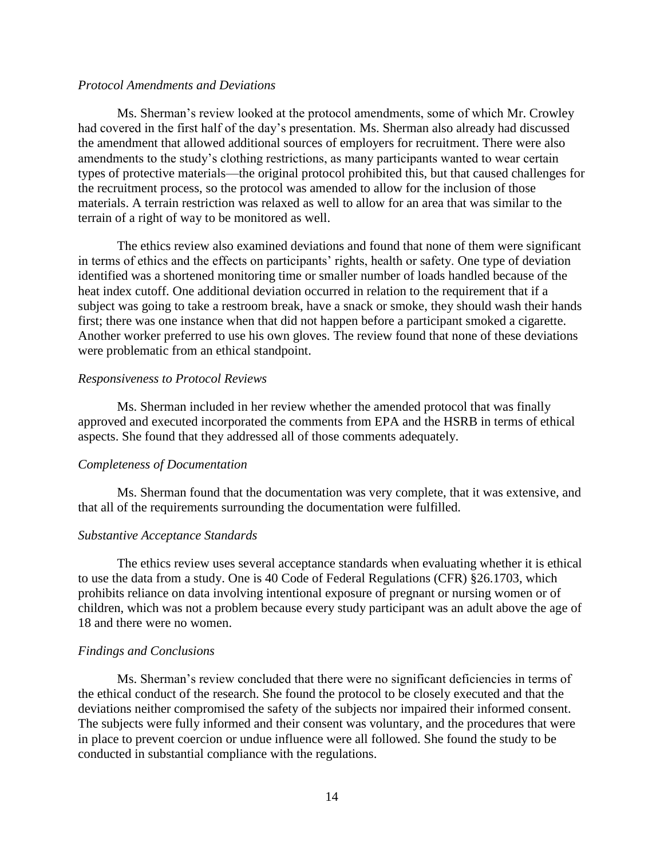### *Protocol Amendments and Deviations*

Ms. Sherman's review looked at the protocol amendments, some of which Mr. Crowley had covered in the first half of the day's presentation. Ms. Sherman also already had discussed the amendment that allowed additional sources of employers for recruitment. There were also amendments to the study's clothing restrictions, as many participants wanted to wear certain types of protective materials—the original protocol prohibited this, but that caused challenges for the recruitment process, so the protocol was amended to allow for the inclusion of those materials. A terrain restriction was relaxed as well to allow for an area that was similar to the terrain of a right of way to be monitored as well.

The ethics review also examined deviations and found that none of them were significant in terms of ethics and the effects on participants' rights, health or safety. One type of deviation identified was a shortened monitoring time or smaller number of loads handled because of the heat index cutoff. One additional deviation occurred in relation to the requirement that if a subject was going to take a restroom break, have a snack or smoke, they should wash their hands first; there was one instance when that did not happen before a participant smoked a cigarette. Another worker preferred to use his own gloves. The review found that none of these deviations were problematic from an ethical standpoint.

#### *Responsiveness to Protocol Reviews*

Ms. Sherman included in her review whether the amended protocol that was finally approved and executed incorporated the comments from EPA and the HSRB in terms of ethical aspects. She found that they addressed all of those comments adequately.

#### *Completeness of Documentation*

Ms. Sherman found that the documentation was very complete, that it was extensive, and that all of the requirements surrounding the documentation were fulfilled.

#### *Substantive Acceptance Standards*

The ethics review uses several acceptance standards when evaluating whether it is ethical to use the data from a study. One is 40 Code of Federal Regulations (CFR) §26.1703, which prohibits reliance on data involving intentional exposure of pregnant or nursing women or of children, which was not a problem because every study participant was an adult above the age of 18 and there were no women.

#### *Findings and Conclusions*

Ms. Sherman's review concluded that there were no significant deficiencies in terms of the ethical conduct of the research. She found the protocol to be closely executed and that the deviations neither compromised the safety of the subjects nor impaired their informed consent. The subjects were fully informed and their consent was voluntary, and the procedures that were in place to prevent coercion or undue influence were all followed. She found the study to be conducted in substantial compliance with the regulations.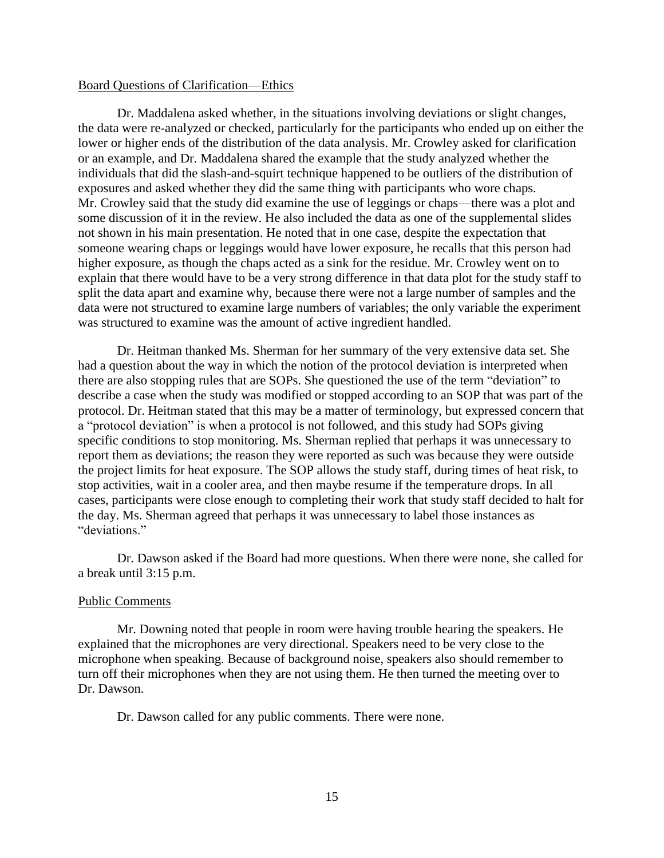#### Board Questions of Clarification—Ethics

Dr. Maddalena asked whether, in the situations involving deviations or slight changes, the data were re-analyzed or checked, particularly for the participants who ended up on either the lower or higher ends of the distribution of the data analysis. Mr. Crowley asked for clarification or an example, and Dr. Maddalena shared the example that the study analyzed whether the individuals that did the slash-and-squirt technique happened to be outliers of the distribution of exposures and asked whether they did the same thing with participants who wore chaps. Mr. Crowley said that the study did examine the use of leggings or chaps—there was a plot and some discussion of it in the review. He also included the data as one of the supplemental slides not shown in his main presentation. He noted that in one case, despite the expectation that someone wearing chaps or leggings would have lower exposure, he recalls that this person had higher exposure, as though the chaps acted as a sink for the residue. Mr. Crowley went on to explain that there would have to be a very strong difference in that data plot for the study staff to split the data apart and examine why, because there were not a large number of samples and the data were not structured to examine large numbers of variables; the only variable the experiment was structured to examine was the amount of active ingredient handled.

Dr. Heitman thanked Ms. Sherman for her summary of the very extensive data set. She had a question about the way in which the notion of the protocol deviation is interpreted when there are also stopping rules that are SOPs. She questioned the use of the term "deviation" to describe a case when the study was modified or stopped according to an SOP that was part of the protocol. Dr. Heitman stated that this may be a matter of terminology, but expressed concern that a "protocol deviation" is when a protocol is not followed, and this study had SOPs giving specific conditions to stop monitoring. Ms. Sherman replied that perhaps it was unnecessary to report them as deviations; the reason they were reported as such was because they were outside the project limits for heat exposure. The SOP allows the study staff, during times of heat risk, to stop activities, wait in a cooler area, and then maybe resume if the temperature drops. In all cases, participants were close enough to completing their work that study staff decided to halt for the day. Ms. Sherman agreed that perhaps it was unnecessary to label those instances as "deviations."

Dr. Dawson asked if the Board had more questions. When there were none, she called for a break until 3:15 p.m.

### Public Comments

Mr. Downing noted that people in room were having trouble hearing the speakers. He explained that the microphones are very directional. Speakers need to be very close to the microphone when speaking. Because of background noise, speakers also should remember to turn off their microphones when they are not using them. He then turned the meeting over to Dr. Dawson.

Dr. Dawson called for any public comments. There were none.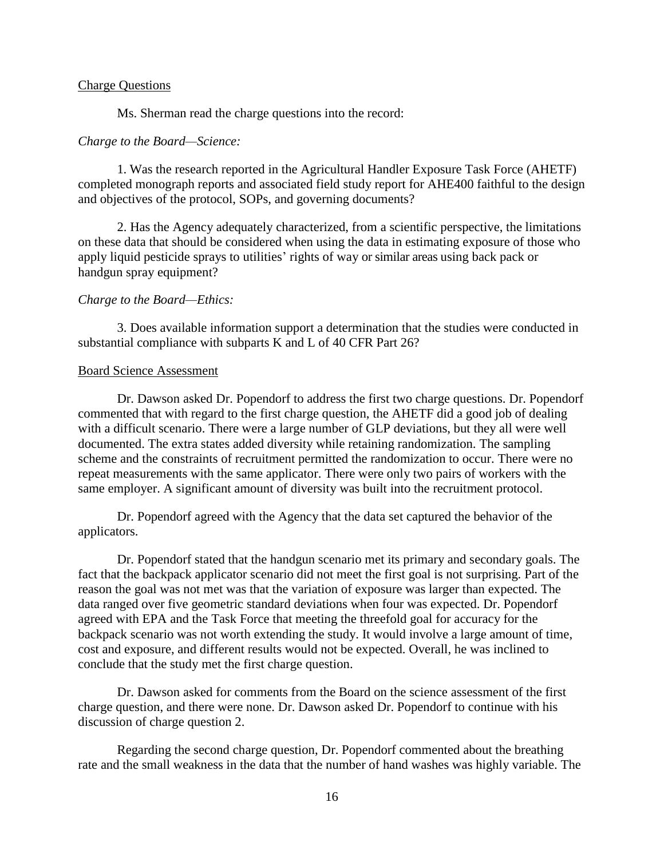### Charge Questions

Ms. Sherman read the charge questions into the record:

#### *Charge to the Board—Science:*

1. Was the research reported in the Agricultural Handler Exposure Task Force (AHETF) completed monograph reports and associated field study report for AHE400 faithful to the design and objectives of the protocol, SOPs, and governing documents?

2. Has the Agency adequately characterized, from a scientific perspective, the limitations on these data that should be considered when using the data in estimating exposure of those who apply liquid pesticide sprays to utilities' rights of way or similar areas using back pack or handgun spray equipment?

### *Charge to the Board—Ethics:*

3. Does available information support a determination that the studies were conducted in substantial compliance with subparts K and L of 40 CFR Part 26?

### Board Science Assessment

Dr. Dawson asked Dr. Popendorf to address the first two charge questions. Dr. Popendorf commented that with regard to the first charge question, the AHETF did a good job of dealing with a difficult scenario. There were a large number of GLP deviations, but they all were well documented. The extra states added diversity while retaining randomization. The sampling scheme and the constraints of recruitment permitted the randomization to occur. There were no repeat measurements with the same applicator. There were only two pairs of workers with the same employer. A significant amount of diversity was built into the recruitment protocol.

Dr. Popendorf agreed with the Agency that the data set captured the behavior of the applicators.

Dr. Popendorf stated that the handgun scenario met its primary and secondary goals. The fact that the backpack applicator scenario did not meet the first goal is not surprising. Part of the reason the goal was not met was that the variation of exposure was larger than expected. The data ranged over five geometric standard deviations when four was expected. Dr. Popendorf agreed with EPA and the Task Force that meeting the threefold goal for accuracy for the backpack scenario was not worth extending the study. It would involve a large amount of time, cost and exposure, and different results would not be expected. Overall, he was inclined to conclude that the study met the first charge question.

Dr. Dawson asked for comments from the Board on the science assessment of the first charge question, and there were none. Dr. Dawson asked Dr. Popendorf to continue with his discussion of charge question 2.

Regarding the second charge question, Dr. Popendorf commented about the breathing rate and the small weakness in the data that the number of hand washes was highly variable. The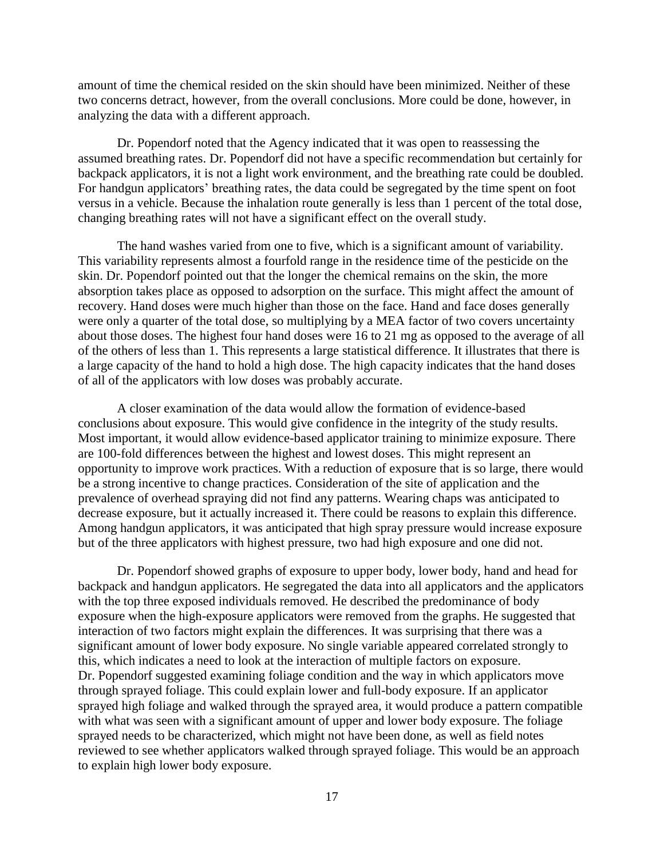amount of time the chemical resided on the skin should have been minimized. Neither of these two concerns detract, however, from the overall conclusions. More could be done, however, in analyzing the data with a different approach.

Dr. Popendorf noted that the Agency indicated that it was open to reassessing the assumed breathing rates. Dr. Popendorf did not have a specific recommendation but certainly for backpack applicators, it is not a light work environment, and the breathing rate could be doubled. For handgun applicators' breathing rates, the data could be segregated by the time spent on foot versus in a vehicle. Because the inhalation route generally is less than 1 percent of the total dose, changing breathing rates will not have a significant effect on the overall study.

The hand washes varied from one to five, which is a significant amount of variability. This variability represents almost a fourfold range in the residence time of the pesticide on the skin. Dr. Popendorf pointed out that the longer the chemical remains on the skin, the more absorption takes place as opposed to adsorption on the surface. This might affect the amount of recovery. Hand doses were much higher than those on the face. Hand and face doses generally were only a quarter of the total dose, so multiplying by a MEA factor of two covers uncertainty about those doses. The highest four hand doses were 16 to 21 mg as opposed to the average of all of the others of less than 1. This represents a large statistical difference. It illustrates that there is a large capacity of the hand to hold a high dose. The high capacity indicates that the hand doses of all of the applicators with low doses was probably accurate.

A closer examination of the data would allow the formation of evidence-based conclusions about exposure. This would give confidence in the integrity of the study results. Most important, it would allow evidence-based applicator training to minimize exposure. There are 100-fold differences between the highest and lowest doses. This might represent an opportunity to improve work practices. With a reduction of exposure that is so large, there would be a strong incentive to change practices. Consideration of the site of application and the prevalence of overhead spraying did not find any patterns. Wearing chaps was anticipated to decrease exposure, but it actually increased it. There could be reasons to explain this difference. Among handgun applicators, it was anticipated that high spray pressure would increase exposure but of the three applicators with highest pressure, two had high exposure and one did not.

Dr. Popendorf showed graphs of exposure to upper body, lower body, hand and head for backpack and handgun applicators. He segregated the data into all applicators and the applicators with the top three exposed individuals removed. He described the predominance of body exposure when the high-exposure applicators were removed from the graphs. He suggested that interaction of two factors might explain the differences. It was surprising that there was a significant amount of lower body exposure. No single variable appeared correlated strongly to this, which indicates a need to look at the interaction of multiple factors on exposure. Dr. Popendorf suggested examining foliage condition and the way in which applicators move through sprayed foliage. This could explain lower and full-body exposure. If an applicator sprayed high foliage and walked through the sprayed area, it would produce a pattern compatible with what was seen with a significant amount of upper and lower body exposure. The foliage sprayed needs to be characterized, which might not have been done, as well as field notes reviewed to see whether applicators walked through sprayed foliage. This would be an approach to explain high lower body exposure.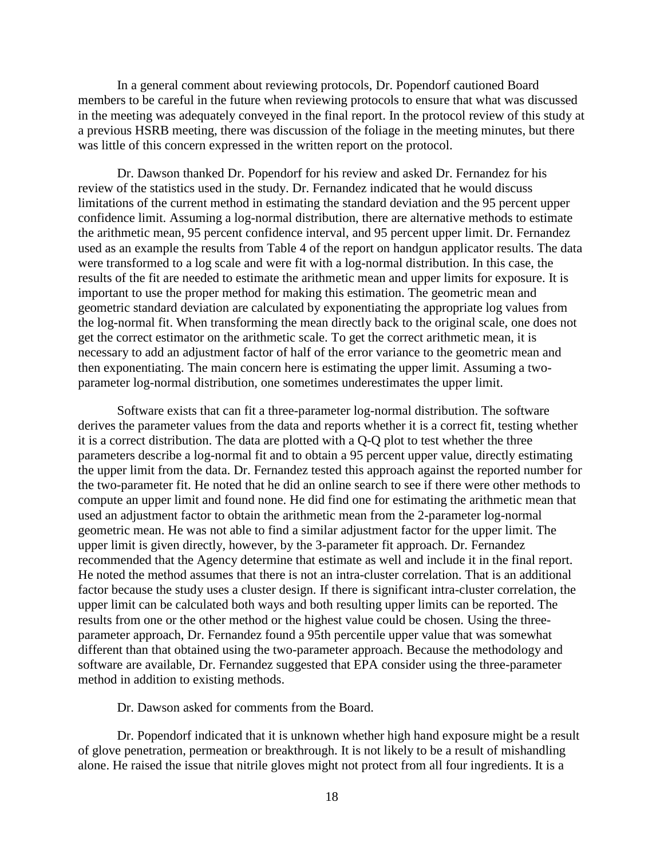In a general comment about reviewing protocols, Dr. Popendorf cautioned Board members to be careful in the future when reviewing protocols to ensure that what was discussed in the meeting was adequately conveyed in the final report. In the protocol review of this study at a previous HSRB meeting, there was discussion of the foliage in the meeting minutes, but there was little of this concern expressed in the written report on the protocol.

Dr. Dawson thanked Dr. Popendorf for his review and asked Dr. Fernandez for his review of the statistics used in the study. Dr. Fernandez indicated that he would discuss limitations of the current method in estimating the standard deviation and the 95 percent upper confidence limit. Assuming a log-normal distribution, there are alternative methods to estimate the arithmetic mean, 95 percent confidence interval, and 95 percent upper limit. Dr. Fernandez used as an example the results from Table 4 of the report on handgun applicator results. The data were transformed to a log scale and were fit with a log-normal distribution. In this case, the results of the fit are needed to estimate the arithmetic mean and upper limits for exposure. It is important to use the proper method for making this estimation. The geometric mean and geometric standard deviation are calculated by exponentiating the appropriate log values from the log-normal fit. When transforming the mean directly back to the original scale, one does not get the correct estimator on the arithmetic scale. To get the correct arithmetic mean, it is necessary to add an adjustment factor of half of the error variance to the geometric mean and then exponentiating. The main concern here is estimating the upper limit. Assuming a twoparameter log-normal distribution, one sometimes underestimates the upper limit.

Software exists that can fit a three-parameter log-normal distribution. The software derives the parameter values from the data and reports whether it is a correct fit, testing whether it is a correct distribution. The data are plotted with a Q-Q plot to test whether the three parameters describe a log-normal fit and to obtain a 95 percent upper value, directly estimating the upper limit from the data. Dr. Fernandez tested this approach against the reported number for the two-parameter fit. He noted that he did an online search to see if there were other methods to compute an upper limit and found none. He did find one for estimating the arithmetic mean that used an adjustment factor to obtain the arithmetic mean from the 2-parameter log-normal geometric mean. He was not able to find a similar adjustment factor for the upper limit. The upper limit is given directly, however, by the 3-parameter fit approach. Dr. Fernandez recommended that the Agency determine that estimate as well and include it in the final report. He noted the method assumes that there is not an intra-cluster correlation. That is an additional factor because the study uses a cluster design. If there is significant intra-cluster correlation, the upper limit can be calculated both ways and both resulting upper limits can be reported. The results from one or the other method or the highest value could be chosen. Using the threeparameter approach, Dr. Fernandez found a 95th percentile upper value that was somewhat different than that obtained using the two-parameter approach. Because the methodology and software are available, Dr. Fernandez suggested that EPA consider using the three-parameter method in addition to existing methods.

Dr. Dawson asked for comments from the Board.

Dr. Popendorf indicated that it is unknown whether high hand exposure might be a result of glove penetration, permeation or breakthrough. It is not likely to be a result of mishandling alone. He raised the issue that nitrile gloves might not protect from all four ingredients. It is a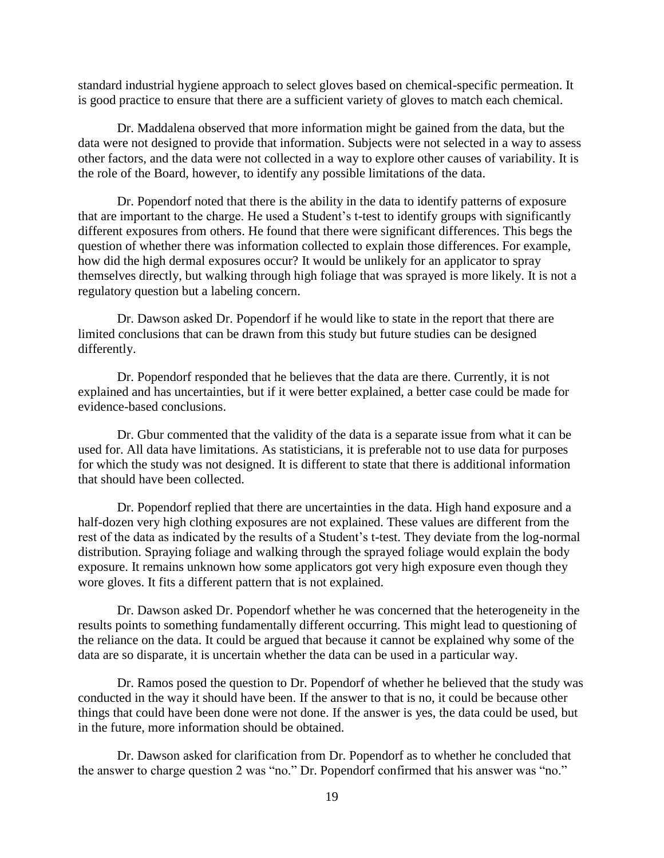standard industrial hygiene approach to select gloves based on chemical-specific permeation. It is good practice to ensure that there are a sufficient variety of gloves to match each chemical.

Dr. Maddalena observed that more information might be gained from the data, but the data were not designed to provide that information. Subjects were not selected in a way to assess other factors, and the data were not collected in a way to explore other causes of variability. It is the role of the Board, however, to identify any possible limitations of the data.

Dr. Popendorf noted that there is the ability in the data to identify patterns of exposure that are important to the charge. He used a Student's t-test to identify groups with significantly different exposures from others. He found that there were significant differences. This begs the question of whether there was information collected to explain those differences. For example, how did the high dermal exposures occur? It would be unlikely for an applicator to spray themselves directly, but walking through high foliage that was sprayed is more likely. It is not a regulatory question but a labeling concern.

Dr. Dawson asked Dr. Popendorf if he would like to state in the report that there are limited conclusions that can be drawn from this study but future studies can be designed differently.

Dr. Popendorf responded that he believes that the data are there. Currently, it is not explained and has uncertainties, but if it were better explained, a better case could be made for evidence-based conclusions.

Dr. Gbur commented that the validity of the data is a separate issue from what it can be used for. All data have limitations. As statisticians, it is preferable not to use data for purposes for which the study was not designed. It is different to state that there is additional information that should have been collected.

Dr. Popendorf replied that there are uncertainties in the data. High hand exposure and a half-dozen very high clothing exposures are not explained. These values are different from the rest of the data as indicated by the results of a Student's t-test. They deviate from the log-normal distribution. Spraying foliage and walking through the sprayed foliage would explain the body exposure. It remains unknown how some applicators got very high exposure even though they wore gloves. It fits a different pattern that is not explained.

Dr. Dawson asked Dr. Popendorf whether he was concerned that the heterogeneity in the results points to something fundamentally different occurring. This might lead to questioning of the reliance on the data. It could be argued that because it cannot be explained why some of the data are so disparate, it is uncertain whether the data can be used in a particular way.

Dr. Ramos posed the question to Dr. Popendorf of whether he believed that the study was conducted in the way it should have been. If the answer to that is no, it could be because other things that could have been done were not done. If the answer is yes, the data could be used, but in the future, more information should be obtained.

Dr. Dawson asked for clarification from Dr. Popendorf as to whether he concluded that the answer to charge question 2 was "no." Dr. Popendorf confirmed that his answer was "no."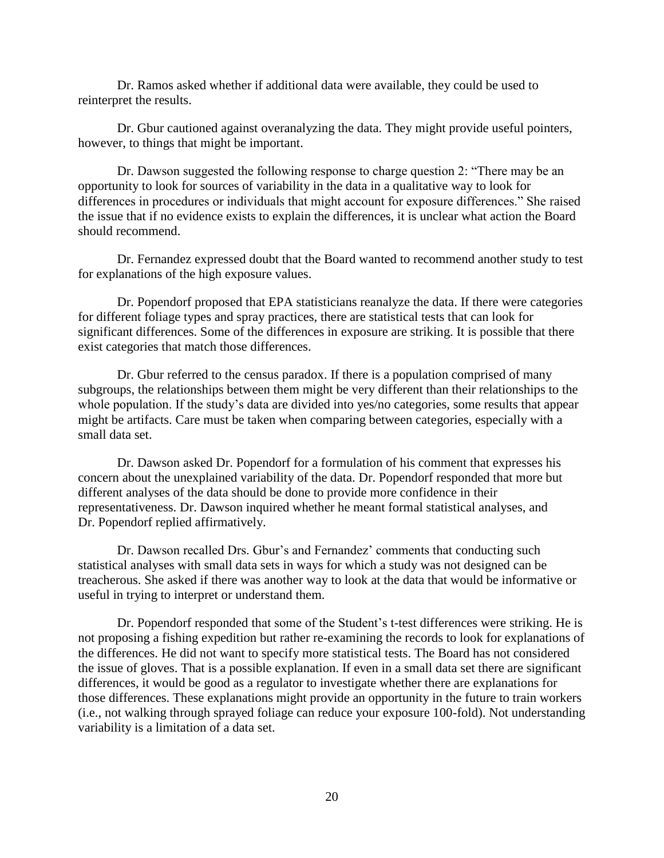Dr. Ramos asked whether if additional data were available, they could be used to reinterpret the results.

Dr. Gbur cautioned against overanalyzing the data. They might provide useful pointers, however, to things that might be important.

Dr. Dawson suggested the following response to charge question 2: "There may be an opportunity to look for sources of variability in the data in a qualitative way to look for differences in procedures or individuals that might account for exposure differences." She raised the issue that if no evidence exists to explain the differences, it is unclear what action the Board should recommend.

Dr. Fernandez expressed doubt that the Board wanted to recommend another study to test for explanations of the high exposure values.

Dr. Popendorf proposed that EPA statisticians reanalyze the data. If there were categories for different foliage types and spray practices, there are statistical tests that can look for significant differences. Some of the differences in exposure are striking. It is possible that there exist categories that match those differences.

Dr. Gbur referred to the census paradox. If there is a population comprised of many subgroups, the relationships between them might be very different than their relationships to the whole population. If the study's data are divided into yes/no categories, some results that appear might be artifacts. Care must be taken when comparing between categories, especially with a small data set.

Dr. Dawson asked Dr. Popendorf for a formulation of his comment that expresses his concern about the unexplained variability of the data. Dr. Popendorf responded that more but different analyses of the data should be done to provide more confidence in their representativeness. Dr. Dawson inquired whether he meant formal statistical analyses, and Dr. Popendorf replied affirmatively.

Dr. Dawson recalled Drs. Gbur's and Fernandez' comments that conducting such statistical analyses with small data sets in ways for which a study was not designed can be treacherous. She asked if there was another way to look at the data that would be informative or useful in trying to interpret or understand them.

Dr. Popendorf responded that some of the Student's t-test differences were striking. He is not proposing a fishing expedition but rather re-examining the records to look for explanations of the differences. He did not want to specify more statistical tests. The Board has not considered the issue of gloves. That is a possible explanation. If even in a small data set there are significant differences, it would be good as a regulator to investigate whether there are explanations for those differences. These explanations might provide an opportunity in the future to train workers (i.e., not walking through sprayed foliage can reduce your exposure 100-fold). Not understanding variability is a limitation of a data set.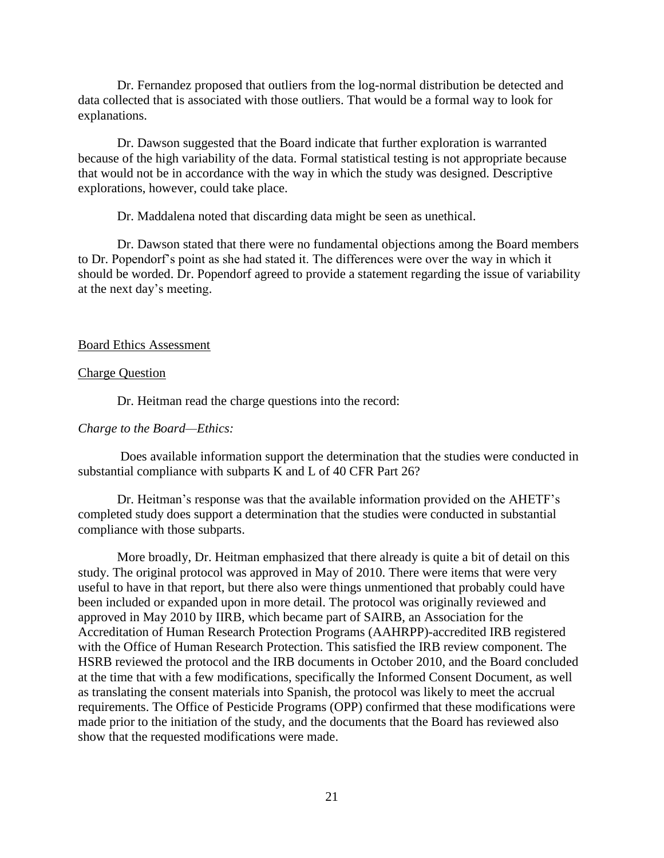Dr. Fernandez proposed that outliers from the log-normal distribution be detected and data collected that is associated with those outliers. That would be a formal way to look for explanations.

Dr. Dawson suggested that the Board indicate that further exploration is warranted because of the high variability of the data. Formal statistical testing is not appropriate because that would not be in accordance with the way in which the study was designed. Descriptive explorations, however, could take place.

Dr. Maddalena noted that discarding data might be seen as unethical.

Dr. Dawson stated that there were no fundamental objections among the Board members to Dr. Popendorf's point as she had stated it. The differences were over the way in which it should be worded. Dr. Popendorf agreed to provide a statement regarding the issue of variability at the next day's meeting.

### Board Ethics Assessment

#### Charge Question

Dr. Heitman read the charge questions into the record:

### *Charge to the Board—Ethics:*

Does available information support the determination that the studies were conducted in substantial compliance with subparts K and L of 40 CFR Part 26?

Dr. Heitman's response was that the available information provided on the AHETF's completed study does support a determination that the studies were conducted in substantial compliance with those subparts.

More broadly, Dr. Heitman emphasized that there already is quite a bit of detail on this study. The original protocol was approved in May of 2010. There were items that were very useful to have in that report, but there also were things unmentioned that probably could have been included or expanded upon in more detail. The protocol was originally reviewed and approved in May 2010 by IIRB, which became part of SAIRB, an Association for the Accreditation of Human Research Protection Programs (AAHRPP)-accredited IRB registered with the Office of Human Research Protection. This satisfied the IRB review component. The HSRB reviewed the protocol and the IRB documents in October 2010, and the Board concluded at the time that with a few modifications, specifically the Informed Consent Document, as well as translating the consent materials into Spanish, the protocol was likely to meet the accrual requirements. The Office of Pesticide Programs (OPP) confirmed that these modifications were made prior to the initiation of the study, and the documents that the Board has reviewed also show that the requested modifications were made.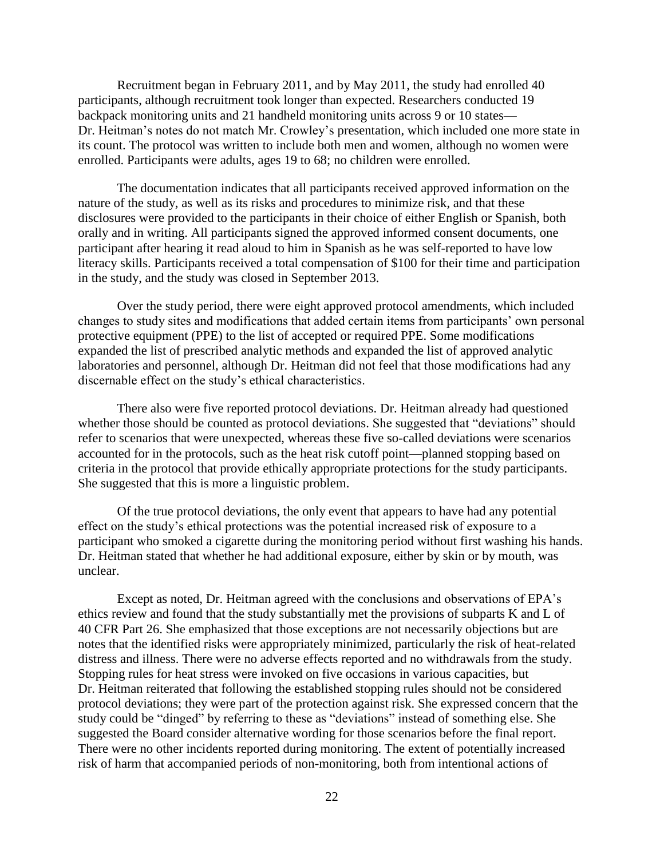Recruitment began in February 2011, and by May 2011, the study had enrolled 40 participants, although recruitment took longer than expected. Researchers conducted 19 backpack monitoring units and 21 handheld monitoring units across 9 or 10 states— Dr. Heitman's notes do not match Mr. Crowley's presentation, which included one more state in its count. The protocol was written to include both men and women, although no women were enrolled. Participants were adults, ages 19 to 68; no children were enrolled.

The documentation indicates that all participants received approved information on the nature of the study, as well as its risks and procedures to minimize risk, and that these disclosures were provided to the participants in their choice of either English or Spanish, both orally and in writing. All participants signed the approved informed consent documents, one participant after hearing it read aloud to him in Spanish as he was self-reported to have low literacy skills. Participants received a total compensation of \$100 for their time and participation in the study, and the study was closed in September 2013.

Over the study period, there were eight approved protocol amendments, which included changes to study sites and modifications that added certain items from participants' own personal protective equipment (PPE) to the list of accepted or required PPE. Some modifications expanded the list of prescribed analytic methods and expanded the list of approved analytic laboratories and personnel, although Dr. Heitman did not feel that those modifications had any discernable effect on the study's ethical characteristics.

There also were five reported protocol deviations. Dr. Heitman already had questioned whether those should be counted as protocol deviations. She suggested that "deviations" should refer to scenarios that were unexpected, whereas these five so-called deviations were scenarios accounted for in the protocols, such as the heat risk cutoff point—planned stopping based on criteria in the protocol that provide ethically appropriate protections for the study participants. She suggested that this is more a linguistic problem.

Of the true protocol deviations, the only event that appears to have had any potential effect on the study's ethical protections was the potential increased risk of exposure to a participant who smoked a cigarette during the monitoring period without first washing his hands. Dr. Heitman stated that whether he had additional exposure, either by skin or by mouth, was unclear.

Except as noted, Dr. Heitman agreed with the conclusions and observations of EPA's ethics review and found that the study substantially met the provisions of subparts K and L of 40 CFR Part 26. She emphasized that those exceptions are not necessarily objections but are notes that the identified risks were appropriately minimized, particularly the risk of heat-related distress and illness. There were no adverse effects reported and no withdrawals from the study. Stopping rules for heat stress were invoked on five occasions in various capacities, but Dr. Heitman reiterated that following the established stopping rules should not be considered protocol deviations; they were part of the protection against risk. She expressed concern that the study could be "dinged" by referring to these as "deviations" instead of something else. She suggested the Board consider alternative wording for those scenarios before the final report. There were no other incidents reported during monitoring. The extent of potentially increased risk of harm that accompanied periods of non-monitoring, both from intentional actions of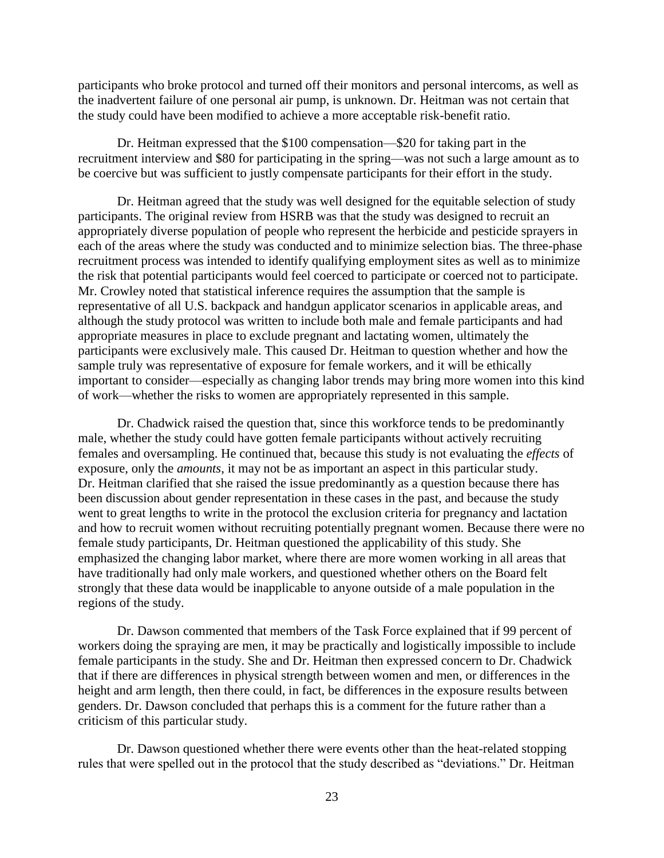participants who broke protocol and turned off their monitors and personal intercoms, as well as the inadvertent failure of one personal air pump, is unknown. Dr. Heitman was not certain that the study could have been modified to achieve a more acceptable risk-benefit ratio.

Dr. Heitman expressed that the \$100 compensation—\$20 for taking part in the recruitment interview and \$80 for participating in the spring—was not such a large amount as to be coercive but was sufficient to justly compensate participants for their effort in the study.

Dr. Heitman agreed that the study was well designed for the equitable selection of study participants. The original review from HSRB was that the study was designed to recruit an appropriately diverse population of people who represent the herbicide and pesticide sprayers in each of the areas where the study was conducted and to minimize selection bias. The three-phase recruitment process was intended to identify qualifying employment sites as well as to minimize the risk that potential participants would feel coerced to participate or coerced not to participate. Mr. Crowley noted that statistical inference requires the assumption that the sample is representative of all U.S. backpack and handgun applicator scenarios in applicable areas, and although the study protocol was written to include both male and female participants and had appropriate measures in place to exclude pregnant and lactating women, ultimately the participants were exclusively male. This caused Dr. Heitman to question whether and how the sample truly was representative of exposure for female workers, and it will be ethically important to consider—especially as changing labor trends may bring more women into this kind of work—whether the risks to women are appropriately represented in this sample.

Dr. Chadwick raised the question that, since this workforce tends to be predominantly male, whether the study could have gotten female participants without actively recruiting females and oversampling. He continued that, because this study is not evaluating the *effects* of exposure, only the *amounts*, it may not be as important an aspect in this particular study. Dr. Heitman clarified that she raised the issue predominantly as a question because there has been discussion about gender representation in these cases in the past, and because the study went to great lengths to write in the protocol the exclusion criteria for pregnancy and lactation and how to recruit women without recruiting potentially pregnant women. Because there were no female study participants, Dr. Heitman questioned the applicability of this study. She emphasized the changing labor market, where there are more women working in all areas that have traditionally had only male workers, and questioned whether others on the Board felt strongly that these data would be inapplicable to anyone outside of a male population in the regions of the study.

Dr. Dawson commented that members of the Task Force explained that if 99 percent of workers doing the spraying are men, it may be practically and logistically impossible to include female participants in the study. She and Dr. Heitman then expressed concern to Dr. Chadwick that if there are differences in physical strength between women and men, or differences in the height and arm length, then there could, in fact, be differences in the exposure results between genders. Dr. Dawson concluded that perhaps this is a comment for the future rather than a criticism of this particular study.

Dr. Dawson questioned whether there were events other than the heat-related stopping rules that were spelled out in the protocol that the study described as "deviations." Dr. Heitman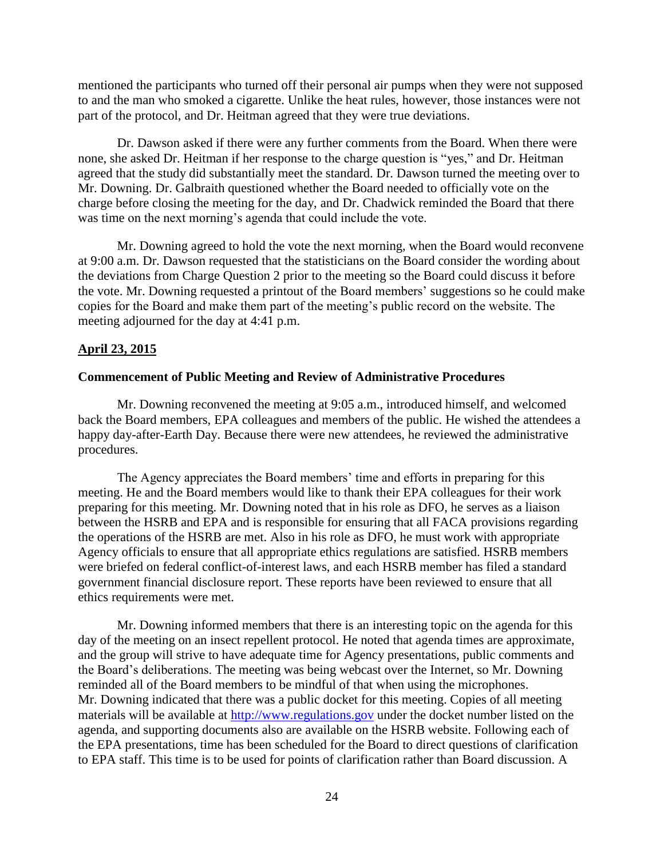mentioned the participants who turned off their personal air pumps when they were not supposed to and the man who smoked a cigarette. Unlike the heat rules, however, those instances were not part of the protocol, and Dr. Heitman agreed that they were true deviations.

Dr. Dawson asked if there were any further comments from the Board. When there were none, she asked Dr. Heitman if her response to the charge question is "yes," and Dr. Heitman agreed that the study did substantially meet the standard. Dr. Dawson turned the meeting over to Mr. Downing. Dr. Galbraith questioned whether the Board needed to officially vote on the charge before closing the meeting for the day, and Dr. Chadwick reminded the Board that there was time on the next morning's agenda that could include the vote.

Mr. Downing agreed to hold the vote the next morning, when the Board would reconvene at 9:00 a.m. Dr. Dawson requested that the statisticians on the Board consider the wording about the deviations from Charge Question 2 prior to the meeting so the Board could discuss it before the vote. Mr. Downing requested a printout of the Board members' suggestions so he could make copies for the Board and make them part of the meeting's public record on the website. The meeting adjourned for the day at 4:41 p.m.

### **April 23, 2015**

#### **Commencement of Public Meeting and Review of Administrative Procedures**

Mr. Downing reconvened the meeting at 9:05 a.m., introduced himself, and welcomed back the Board members, EPA colleagues and members of the public. He wished the attendees a happy day-after-Earth Day. Because there were new attendees, he reviewed the administrative procedures.

The Agency appreciates the Board members' time and efforts in preparing for this meeting. He and the Board members would like to thank their EPA colleagues for their work preparing for this meeting. Mr. Downing noted that in his role as DFO, he serves as a liaison between the HSRB and EPA and is responsible for ensuring that all FACA provisions regarding the operations of the HSRB are met. Also in his role as DFO, he must work with appropriate Agency officials to ensure that all appropriate ethics regulations are satisfied. HSRB members were briefed on federal conflict-of-interest laws, and each HSRB member has filed a standard government financial disclosure report. These reports have been reviewed to ensure that all ethics requirements were met.

Mr. Downing informed members that there is an interesting topic on the agenda for this day of the meeting on an insect repellent protocol. He noted that agenda times are approximate, and the group will strive to have adequate time for Agency presentations, public comments and the Board's deliberations. The meeting was being webcast over the Internet, so Mr. Downing reminded all of the Board members to be mindful of that when using the microphones. Mr. Downing indicated that there was a public docket for this meeting. Copies of all meeting materials will be available at [http://www.regulations.gov](http://www.regulations.gov/) under the docket number listed on the agenda, and supporting documents also are available on the HSRB website. Following each of the EPA presentations, time has been scheduled for the Board to direct questions of clarification to EPA staff. This time is to be used for points of clarification rather than Board discussion. A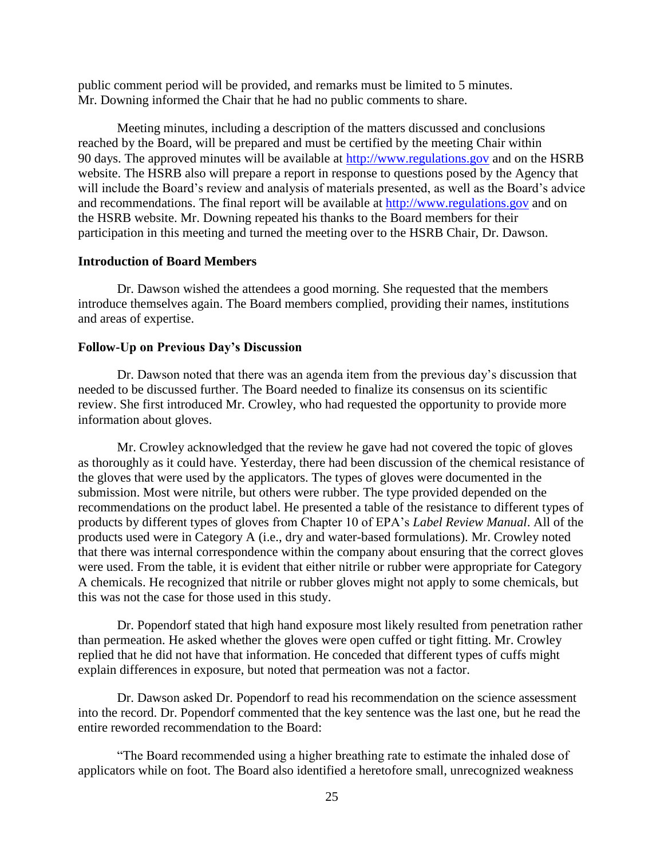public comment period will be provided, and remarks must be limited to 5 minutes. Mr. Downing informed the Chair that he had no public comments to share.

Meeting minutes, including a description of the matters discussed and conclusions reached by the Board, will be prepared and must be certified by the meeting Chair within 90 days. The approved minutes will be available at [http://www.regulations.gov](http://www.regulations.gov/) and on the HSRB website. The HSRB also will prepare a report in response to questions posed by the Agency that will include the Board's review and analysis of materials presented, as well as the Board's advice and recommendations. The final report will be available at [http://www.regulations.gov](http://www.regulations.gov/) and on the HSRB website. Mr. Downing repeated his thanks to the Board members for their participation in this meeting and turned the meeting over to the HSRB Chair, Dr. Dawson.

### **Introduction of Board Members**

Dr. Dawson wished the attendees a good morning. She requested that the members introduce themselves again. The Board members complied, providing their names, institutions and areas of expertise.

### **Follow-Up on Previous Day's Discussion**

Dr. Dawson noted that there was an agenda item from the previous day's discussion that needed to be discussed further. The Board needed to finalize its consensus on its scientific review. She first introduced Mr. Crowley, who had requested the opportunity to provide more information about gloves.

Mr. Crowley acknowledged that the review he gave had not covered the topic of gloves as thoroughly as it could have. Yesterday, there had been discussion of the chemical resistance of the gloves that were used by the applicators. The types of gloves were documented in the submission. Most were nitrile, but others were rubber. The type provided depended on the recommendations on the product label. He presented a table of the resistance to different types of products by different types of gloves from Chapter 10 of EPA's *Label Review Manual*. All of the products used were in Category A (i.e., dry and water-based formulations). Mr. Crowley noted that there was internal correspondence within the company about ensuring that the correct gloves were used. From the table, it is evident that either nitrile or rubber were appropriate for Category A chemicals. He recognized that nitrile or rubber gloves might not apply to some chemicals, but this was not the case for those used in this study.

Dr. Popendorf stated that high hand exposure most likely resulted from penetration rather than permeation. He asked whether the gloves were open cuffed or tight fitting. Mr. Crowley replied that he did not have that information. He conceded that different types of cuffs might explain differences in exposure, but noted that permeation was not a factor.

Dr. Dawson asked Dr. Popendorf to read his recommendation on the science assessment into the record. Dr. Popendorf commented that the key sentence was the last one, but he read the entire reworded recommendation to the Board:

"The Board recommended using a higher breathing rate to estimate the inhaled dose of applicators while on foot. The Board also identified a heretofore small, unrecognized weakness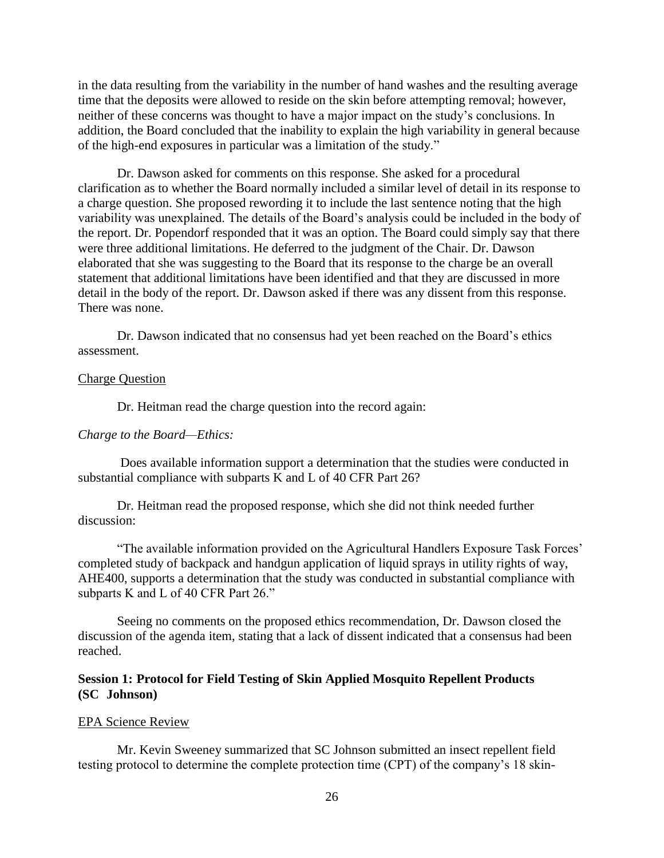in the data resulting from the variability in the number of hand washes and the resulting average time that the deposits were allowed to reside on the skin before attempting removal; however, neither of these concerns was thought to have a major impact on the study's conclusions. In addition, the Board concluded that the inability to explain the high variability in general because of the high-end exposures in particular was a limitation of the study."

Dr. Dawson asked for comments on this response. She asked for a procedural clarification as to whether the Board normally included a similar level of detail in its response to a charge question. She proposed rewording it to include the last sentence noting that the high variability was unexplained. The details of the Board's analysis could be included in the body of the report. Dr. Popendorf responded that it was an option. The Board could simply say that there were three additional limitations. He deferred to the judgment of the Chair. Dr. Dawson elaborated that she was suggesting to the Board that its response to the charge be an overall statement that additional limitations have been identified and that they are discussed in more detail in the body of the report. Dr. Dawson asked if there was any dissent from this response. There was none.

Dr. Dawson indicated that no consensus had yet been reached on the Board's ethics assessment.

#### Charge Question

Dr. Heitman read the charge question into the record again:

### *Charge to the Board—Ethics:*

Does available information support a determination that the studies were conducted in substantial compliance with subparts K and L of 40 CFR Part 26?

Dr. Heitman read the proposed response, which she did not think needed further discussion:

"The available information provided on the Agricultural Handlers Exposure Task Forces' completed study of backpack and handgun application of liquid sprays in utility rights of way, AHE400, supports a determination that the study was conducted in substantial compliance with subparts K and L of 40 CFR Part 26."

Seeing no comments on the proposed ethics recommendation, Dr. Dawson closed the discussion of the agenda item, stating that a lack of dissent indicated that a consensus had been reached.

## **Session 1: Protocol for Field Testing of Skin Applied Mosquito Repellent Products (SC Johnson)**

#### EPA Science Review

Mr. Kevin Sweeney summarized that SC Johnson submitted an insect repellent field testing protocol to determine the complete protection time (CPT) of the company's 18 skin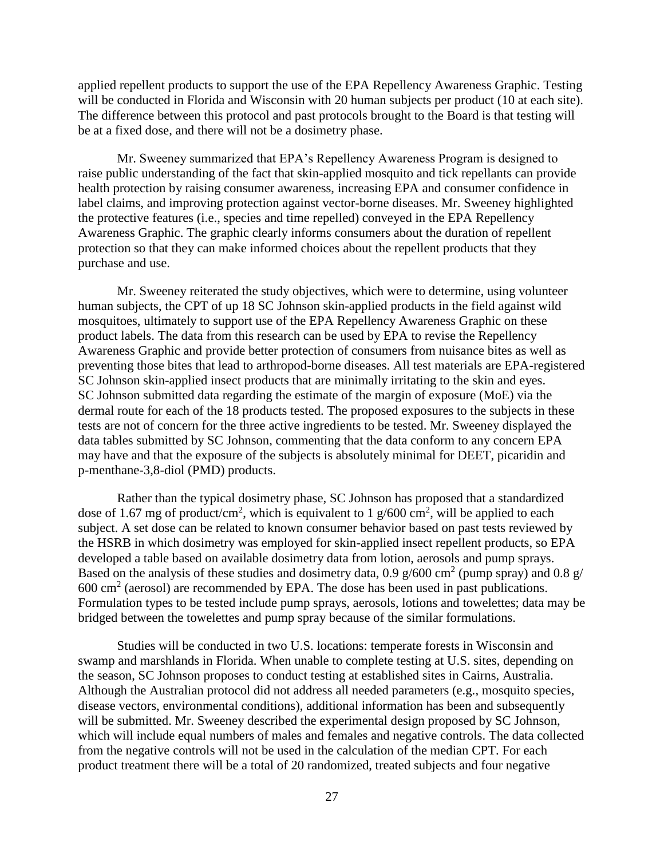applied repellent products to support the use of the EPA Repellency Awareness Graphic. Testing will be conducted in Florida and Wisconsin with 20 human subjects per product (10 at each site). The difference between this protocol and past protocols brought to the Board is that testing will be at a fixed dose, and there will not be a dosimetry phase.

Mr. Sweeney summarized that EPA's Repellency Awareness Program is designed to raise public understanding of the fact that skin-applied mosquito and tick repellants can provide health protection by raising consumer awareness, increasing EPA and consumer confidence in label claims, and improving protection against vector-borne diseases. Mr. Sweeney highlighted the protective features (i.e., species and time repelled) conveyed in the EPA Repellency Awareness Graphic. The graphic clearly informs consumers about the duration of repellent protection so that they can make informed choices about the repellent products that they purchase and use.

Mr. Sweeney reiterated the study objectives, which were to determine, using volunteer human subjects, the CPT of up 18 SC Johnson skin-applied products in the field against wild mosquitoes, ultimately to support use of the EPA Repellency Awareness Graphic on these product labels. The data from this research can be used by EPA to revise the Repellency Awareness Graphic and provide better protection of consumers from nuisance bites as well as preventing those bites that lead to arthropod-borne diseases. All test materials are EPA-registered SC Johnson skin-applied insect products that are minimally irritating to the skin and eyes. SC Johnson submitted data regarding the estimate of the margin of exposure (MoE) via the dermal route for each of the 18 products tested. The proposed exposures to the subjects in these tests are not of concern for the three active ingredients to be tested. Mr. Sweeney displayed the data tables submitted by SC Johnson, commenting that the data conform to any concern EPA may have and that the exposure of the subjects is absolutely minimal for DEET, picaridin and p-menthane-3,8-diol (PMD) products.

Rather than the typical dosimetry phase, SC Johnson has proposed that a standardized dose of 1.67 mg of product/cm<sup>2</sup>, which is equivalent to 1  $g/600 \text{ cm}^2$ , will be applied to each subject. A set dose can be related to known consumer behavior based on past tests reviewed by the HSRB in which dosimetry was employed for skin-applied insect repellent products, so EPA developed a table based on available dosimetry data from lotion, aerosols and pump sprays. Based on the analysis of these studies and dosimetry data, 0.9  $g/600$  cm<sup>2</sup> (pump spray) and 0.8  $g/$  $600 \text{ cm}^2$  (aerosol) are recommended by EPA. The dose has been used in past publications. Formulation types to be tested include pump sprays, aerosols, lotions and towelettes; data may be bridged between the towelettes and pump spray because of the similar formulations.

Studies will be conducted in two U.S. locations: temperate forests in Wisconsin and swamp and marshlands in Florida. When unable to complete testing at U.S. sites, depending on the season, SC Johnson proposes to conduct testing at established sites in Cairns, Australia. Although the Australian protocol did not address all needed parameters (e.g., mosquito species, disease vectors, environmental conditions), additional information has been and subsequently will be submitted. Mr. Sweeney described the experimental design proposed by SC Johnson, which will include equal numbers of males and females and negative controls. The data collected from the negative controls will not be used in the calculation of the median CPT. For each product treatment there will be a total of 20 randomized, treated subjects and four negative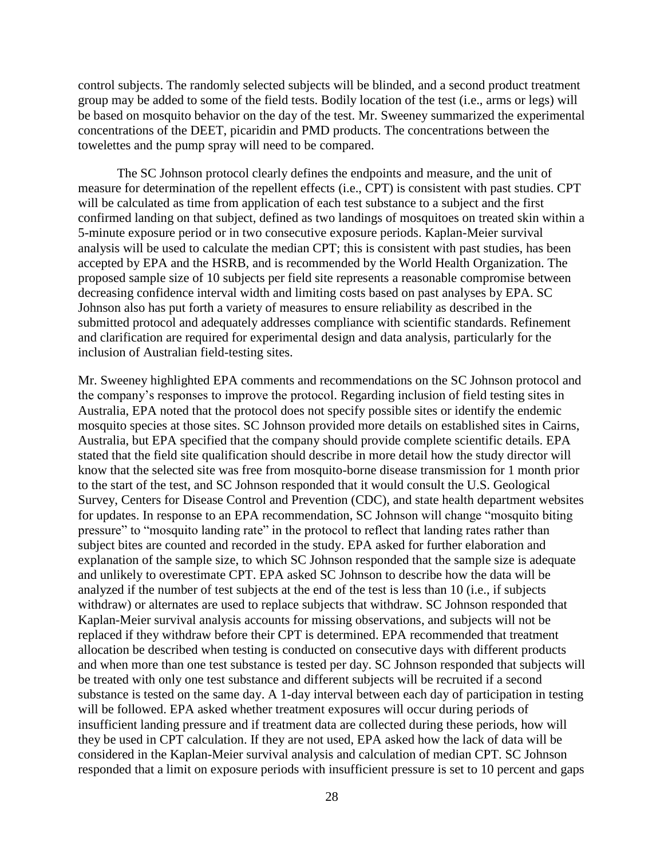control subjects. The randomly selected subjects will be blinded, and a second product treatment group may be added to some of the field tests. Bodily location of the test (i.e., arms or legs) will be based on mosquito behavior on the day of the test. Mr. Sweeney summarized the experimental concentrations of the DEET, picaridin and PMD products. The concentrations between the towelettes and the pump spray will need to be compared.

The SC Johnson protocol clearly defines the endpoints and measure, and the unit of measure for determination of the repellent effects (i.e., CPT) is consistent with past studies. CPT will be calculated as time from application of each test substance to a subject and the first confirmed landing on that subject, defined as two landings of mosquitoes on treated skin within a 5-minute exposure period or in two consecutive exposure periods. Kaplan-Meier survival analysis will be used to calculate the median CPT; this is consistent with past studies, has been accepted by EPA and the HSRB, and is recommended by the World Health Organization. The proposed sample size of 10 subjects per field site represents a reasonable compromise between decreasing confidence interval width and limiting costs based on past analyses by EPA. SC Johnson also has put forth a variety of measures to ensure reliability as described in the submitted protocol and adequately addresses compliance with scientific standards. Refinement and clarification are required for experimental design and data analysis, particularly for the inclusion of Australian field-testing sites.

Mr. Sweeney highlighted EPA comments and recommendations on the SC Johnson protocol and the company's responses to improve the protocol. Regarding inclusion of field testing sites in Australia, EPA noted that the protocol does not specify possible sites or identify the endemic mosquito species at those sites. SC Johnson provided more details on established sites in Cairns, Australia, but EPA specified that the company should provide complete scientific details. EPA stated that the field site qualification should describe in more detail how the study director will know that the selected site was free from mosquito-borne disease transmission for 1 month prior to the start of the test, and SC Johnson responded that it would consult the U.S. Geological Survey, Centers for Disease Control and Prevention (CDC), and state health department websites for updates. In response to an EPA recommendation, SC Johnson will change "mosquito biting pressure" to "mosquito landing rate" in the protocol to reflect that landing rates rather than subject bites are counted and recorded in the study. EPA asked for further elaboration and explanation of the sample size, to which SC Johnson responded that the sample size is adequate and unlikely to overestimate CPT. EPA asked SC Johnson to describe how the data will be analyzed if the number of test subjects at the end of the test is less than 10 (i.e., if subjects withdraw) or alternates are used to replace subjects that withdraw. SC Johnson responded that Kaplan-Meier survival analysis accounts for missing observations, and subjects will not be replaced if they withdraw before their CPT is determined. EPA recommended that treatment allocation be described when testing is conducted on consecutive days with different products and when more than one test substance is tested per day. SC Johnson responded that subjects will be treated with only one test substance and different subjects will be recruited if a second substance is tested on the same day. A 1-day interval between each day of participation in testing will be followed. EPA asked whether treatment exposures will occur during periods of insufficient landing pressure and if treatment data are collected during these periods, how will they be used in CPT calculation. If they are not used, EPA asked how the lack of data will be considered in the Kaplan-Meier survival analysis and calculation of median CPT. SC Johnson responded that a limit on exposure periods with insufficient pressure is set to 10 percent and gaps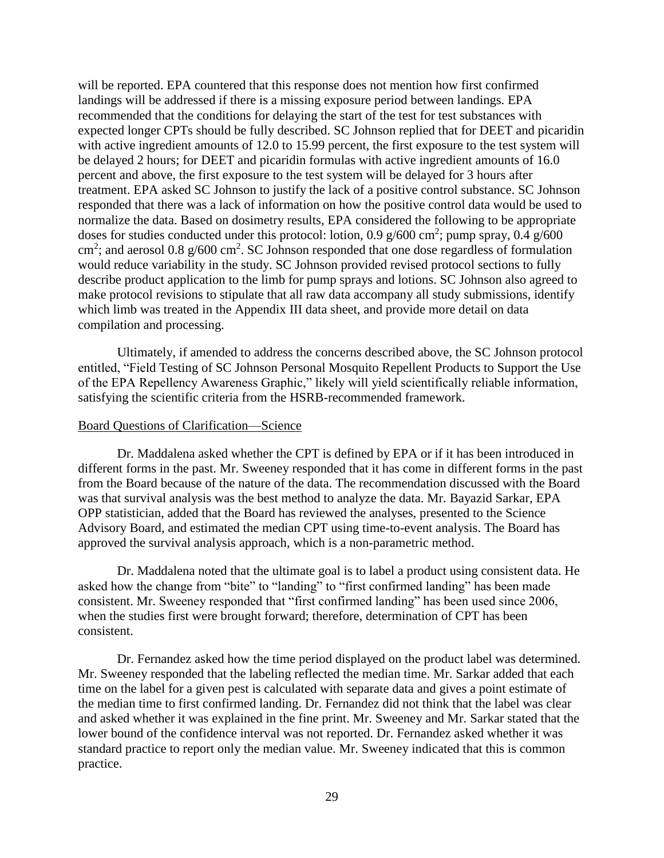will be reported. EPA countered that this response does not mention how first confirmed landings will be addressed if there is a missing exposure period between landings. EPA recommended that the conditions for delaying the start of the test for test substances with expected longer CPTs should be fully described. SC Johnson replied that for DEET and picaridin with active ingredient amounts of 12.0 to 15.99 percent, the first exposure to the test system will be delayed 2 hours; for DEET and picaridin formulas with active ingredient amounts of 16.0 percent and above, the first exposure to the test system will be delayed for 3 hours after treatment. EPA asked SC Johnson to justify the lack of a positive control substance. SC Johnson responded that there was a lack of information on how the positive control data would be used to normalize the data. Based on dosimetry results, EPA considered the following to be appropriate doses for studies conducted under this protocol: lotion, 0.9  $g/600 \text{ cm}^2$ ; pump spray, 0.4  $g/600$ cm<sup>2</sup>; and aerosol 0.8  $g/600$  cm<sup>2</sup>. SC Johnson responded that one dose regardless of formulation would reduce variability in the study. SC Johnson provided revised protocol sections to fully describe product application to the limb for pump sprays and lotions. SC Johnson also agreed to make protocol revisions to stipulate that all raw data accompany all study submissions, identify which limb was treated in the Appendix III data sheet, and provide more detail on data compilation and processing.

Ultimately, if amended to address the concerns described above, the SC Johnson protocol entitled, "Field Testing of SC Johnson Personal Mosquito Repellent Products to Support the Use of the EPA Repellency Awareness Graphic," likely will yield scientifically reliable information, satisfying the scientific criteria from the HSRB-recommended framework.

### Board Questions of Clarification—Science

Dr. Maddalena asked whether the CPT is defined by EPA or if it has been introduced in different forms in the past. Mr. Sweeney responded that it has come in different forms in the past from the Board because of the nature of the data. The recommendation discussed with the Board was that survival analysis was the best method to analyze the data. Mr. Bayazid Sarkar, EPA OPP statistician, added that the Board has reviewed the analyses, presented to the Science Advisory Board, and estimated the median CPT using time-to-event analysis. The Board has approved the survival analysis approach, which is a non-parametric method.

Dr. Maddalena noted that the ultimate goal is to label a product using consistent data. He asked how the change from "bite" to "landing" to "first confirmed landing" has been made consistent. Mr. Sweeney responded that "first confirmed landing" has been used since 2006, when the studies first were brought forward; therefore, determination of CPT has been consistent.

Dr. Fernandez asked how the time period displayed on the product label was determined. Mr. Sweeney responded that the labeling reflected the median time. Mr. Sarkar added that each time on the label for a given pest is calculated with separate data and gives a point estimate of the median time to first confirmed landing. Dr. Fernandez did not think that the label was clear and asked whether it was explained in the fine print. Mr. Sweeney and Mr. Sarkar stated that the lower bound of the confidence interval was not reported. Dr. Fernandez asked whether it was standard practice to report only the median value. Mr. Sweeney indicated that this is common practice.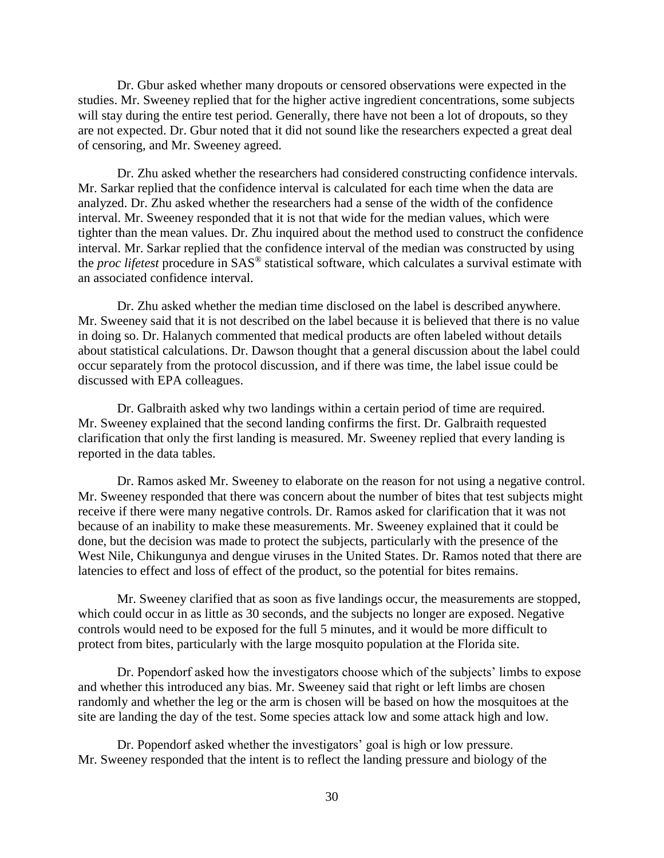Dr. Gbur asked whether many dropouts or censored observations were expected in the studies. Mr. Sweeney replied that for the higher active ingredient concentrations, some subjects will stay during the entire test period. Generally, there have not been a lot of dropouts, so they are not expected. Dr. Gbur noted that it did not sound like the researchers expected a great deal of censoring, and Mr. Sweeney agreed.

Dr. Zhu asked whether the researchers had considered constructing confidence intervals. Mr. Sarkar replied that the confidence interval is calculated for each time when the data are analyzed. Dr. Zhu asked whether the researchers had a sense of the width of the confidence interval. Mr. Sweeney responded that it is not that wide for the median values, which were tighter than the mean values. Dr. Zhu inquired about the method used to construct the confidence interval. Mr. Sarkar replied that the confidence interval of the median was constructed by using the *proc lifetest* procedure in SAS® statistical software, which calculates a survival estimate with an associated confidence interval.

Dr. Zhu asked whether the median time disclosed on the label is described anywhere. Mr. Sweeney said that it is not described on the label because it is believed that there is no value in doing so. Dr. Halanych commented that medical products are often labeled without details about statistical calculations. Dr. Dawson thought that a general discussion about the label could occur separately from the protocol discussion, and if there was time, the label issue could be discussed with EPA colleagues.

Dr. Galbraith asked why two landings within a certain period of time are required. Mr. Sweeney explained that the second landing confirms the first. Dr. Galbraith requested clarification that only the first landing is measured. Mr. Sweeney replied that every landing is reported in the data tables.

Dr. Ramos asked Mr. Sweeney to elaborate on the reason for not using a negative control. Mr. Sweeney responded that there was concern about the number of bites that test subjects might receive if there were many negative controls. Dr. Ramos asked for clarification that it was not because of an inability to make these measurements. Mr. Sweeney explained that it could be done, but the decision was made to protect the subjects, particularly with the presence of the West Nile, Chikungunya and dengue viruses in the United States. Dr. Ramos noted that there are latencies to effect and loss of effect of the product, so the potential for bites remains.

Mr. Sweeney clarified that as soon as five landings occur, the measurements are stopped, which could occur in as little as 30 seconds, and the subjects no longer are exposed. Negative controls would need to be exposed for the full 5 minutes, and it would be more difficult to protect from bites, particularly with the large mosquito population at the Florida site.

Dr. Popendorf asked how the investigators choose which of the subjects' limbs to expose and whether this introduced any bias. Mr. Sweeney said that right or left limbs are chosen randomly and whether the leg or the arm is chosen will be based on how the mosquitoes at the site are landing the day of the test. Some species attack low and some attack high and low.

Dr. Popendorf asked whether the investigators' goal is high or low pressure. Mr. Sweeney responded that the intent is to reflect the landing pressure and biology of the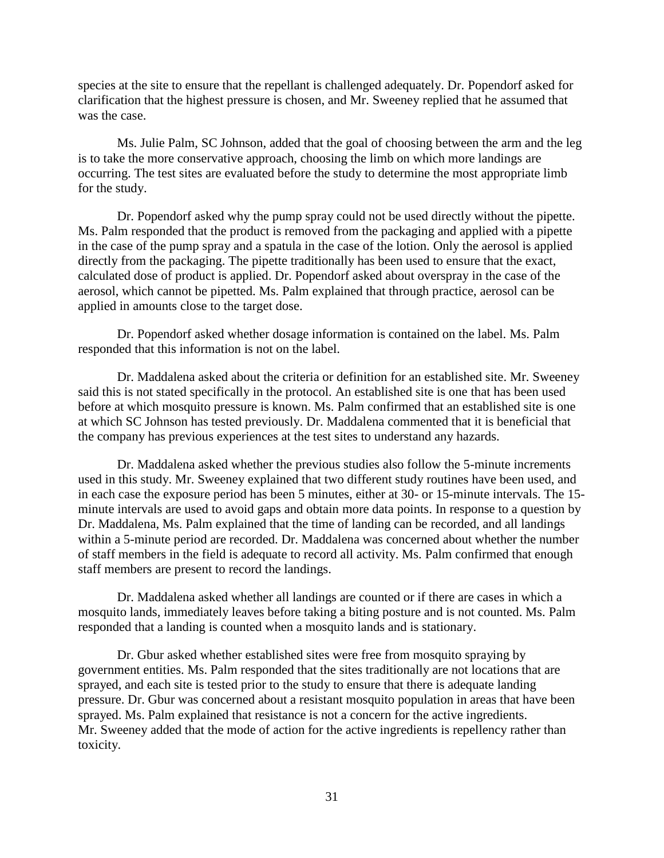species at the site to ensure that the repellant is challenged adequately. Dr. Popendorf asked for clarification that the highest pressure is chosen, and Mr. Sweeney replied that he assumed that was the case.

Ms. Julie Palm, SC Johnson, added that the goal of choosing between the arm and the leg is to take the more conservative approach, choosing the limb on which more landings are occurring. The test sites are evaluated before the study to determine the most appropriate limb for the study.

Dr. Popendorf asked why the pump spray could not be used directly without the pipette. Ms. Palm responded that the product is removed from the packaging and applied with a pipette in the case of the pump spray and a spatula in the case of the lotion. Only the aerosol is applied directly from the packaging. The pipette traditionally has been used to ensure that the exact, calculated dose of product is applied. Dr. Popendorf asked about overspray in the case of the aerosol, which cannot be pipetted. Ms. Palm explained that through practice, aerosol can be applied in amounts close to the target dose.

Dr. Popendorf asked whether dosage information is contained on the label. Ms. Palm responded that this information is not on the label.

Dr. Maddalena asked about the criteria or definition for an established site. Mr. Sweeney said this is not stated specifically in the protocol. An established site is one that has been used before at which mosquito pressure is known. Ms. Palm confirmed that an established site is one at which SC Johnson has tested previously. Dr. Maddalena commented that it is beneficial that the company has previous experiences at the test sites to understand any hazards.

Dr. Maddalena asked whether the previous studies also follow the 5-minute increments used in this study. Mr. Sweeney explained that two different study routines have been used, and in each case the exposure period has been 5 minutes, either at 30- or 15-minute intervals. The 15 minute intervals are used to avoid gaps and obtain more data points. In response to a question by Dr. Maddalena, Ms. Palm explained that the time of landing can be recorded, and all landings within a 5-minute period are recorded. Dr. Maddalena was concerned about whether the number of staff members in the field is adequate to record all activity. Ms. Palm confirmed that enough staff members are present to record the landings.

Dr. Maddalena asked whether all landings are counted or if there are cases in which a mosquito lands, immediately leaves before taking a biting posture and is not counted. Ms. Palm responded that a landing is counted when a mosquito lands and is stationary.

Dr. Gbur asked whether established sites were free from mosquito spraying by government entities. Ms. Palm responded that the sites traditionally are not locations that are sprayed, and each site is tested prior to the study to ensure that there is adequate landing pressure. Dr. Gbur was concerned about a resistant mosquito population in areas that have been sprayed. Ms. Palm explained that resistance is not a concern for the active ingredients. Mr. Sweeney added that the mode of action for the active ingredients is repellency rather than toxicity.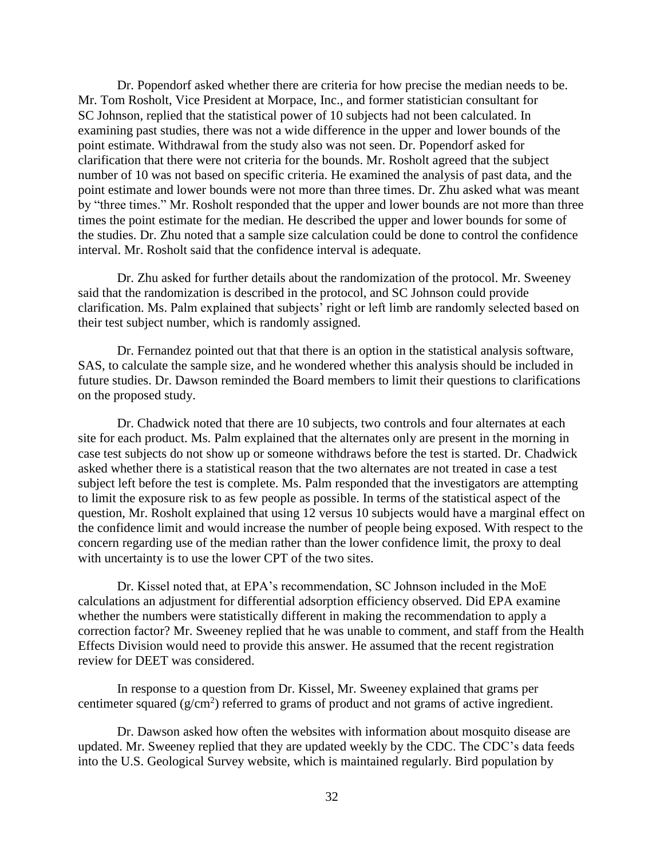Dr. Popendorf asked whether there are criteria for how precise the median needs to be. Mr. Tom Rosholt, Vice President at Morpace, Inc., and former statistician consultant for SC Johnson, replied that the statistical power of 10 subjects had not been calculated. In examining past studies, there was not a wide difference in the upper and lower bounds of the point estimate. Withdrawal from the study also was not seen. Dr. Popendorf asked for clarification that there were not criteria for the bounds. Mr. Rosholt agreed that the subject number of 10 was not based on specific criteria. He examined the analysis of past data, and the point estimate and lower bounds were not more than three times. Dr. Zhu asked what was meant by "three times." Mr. Rosholt responded that the upper and lower bounds are not more than three times the point estimate for the median. He described the upper and lower bounds for some of the studies. Dr. Zhu noted that a sample size calculation could be done to control the confidence interval. Mr. Rosholt said that the confidence interval is adequate.

Dr. Zhu asked for further details about the randomization of the protocol. Mr. Sweeney said that the randomization is described in the protocol, and SC Johnson could provide clarification. Ms. Palm explained that subjects' right or left limb are randomly selected based on their test subject number, which is randomly assigned.

Dr. Fernandez pointed out that that there is an option in the statistical analysis software, SAS, to calculate the sample size, and he wondered whether this analysis should be included in future studies. Dr. Dawson reminded the Board members to limit their questions to clarifications on the proposed study.

Dr. Chadwick noted that there are 10 subjects, two controls and four alternates at each site for each product. Ms. Palm explained that the alternates only are present in the morning in case test subjects do not show up or someone withdraws before the test is started. Dr. Chadwick asked whether there is a statistical reason that the two alternates are not treated in case a test subject left before the test is complete. Ms. Palm responded that the investigators are attempting to limit the exposure risk to as few people as possible. In terms of the statistical aspect of the question, Mr. Rosholt explained that using 12 versus 10 subjects would have a marginal effect on the confidence limit and would increase the number of people being exposed. With respect to the concern regarding use of the median rather than the lower confidence limit, the proxy to deal with uncertainty is to use the lower CPT of the two sites.

Dr. Kissel noted that, at EPA's recommendation, SC Johnson included in the MoE calculations an adjustment for differential adsorption efficiency observed. Did EPA examine whether the numbers were statistically different in making the recommendation to apply a correction factor? Mr. Sweeney replied that he was unable to comment, and staff from the Health Effects Division would need to provide this answer. He assumed that the recent registration review for DEET was considered.

In response to a question from Dr. Kissel, Mr. Sweeney explained that grams per centimeter squared  $(g/cm<sup>2</sup>)$  referred to grams of product and not grams of active ingredient.

Dr. Dawson asked how often the websites with information about mosquito disease are updated. Mr. Sweeney replied that they are updated weekly by the CDC. The CDC's data feeds into the U.S. Geological Survey website, which is maintained regularly. Bird population by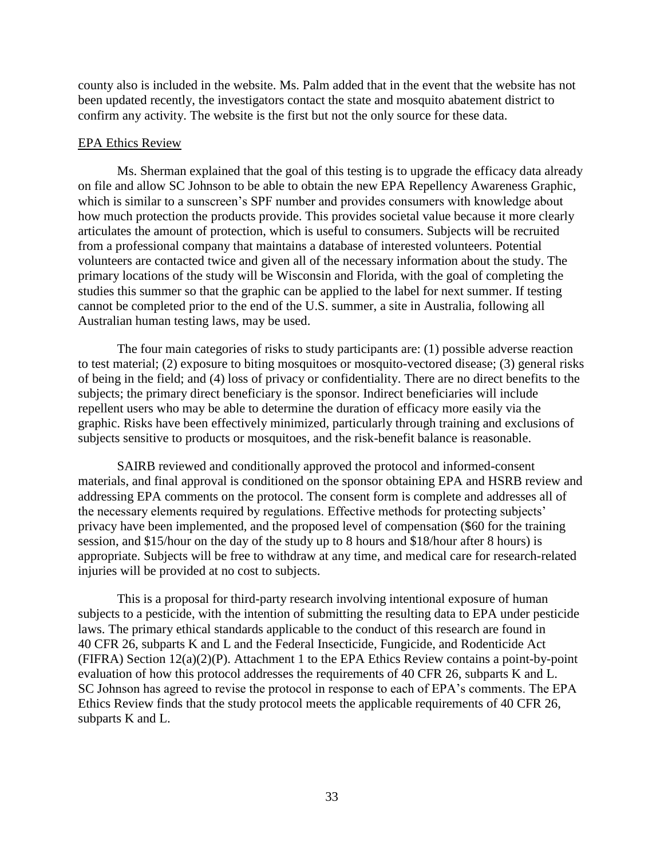county also is included in the website. Ms. Palm added that in the event that the website has not been updated recently, the investigators contact the state and mosquito abatement district to confirm any activity. The website is the first but not the only source for these data.

#### EPA Ethics Review

Ms. Sherman explained that the goal of this testing is to upgrade the efficacy data already on file and allow SC Johnson to be able to obtain the new EPA Repellency Awareness Graphic, which is similar to a sunscreen's SPF number and provides consumers with knowledge about how much protection the products provide. This provides societal value because it more clearly articulates the amount of protection, which is useful to consumers. Subjects will be recruited from a professional company that maintains a database of interested volunteers. Potential volunteers are contacted twice and given all of the necessary information about the study. The primary locations of the study will be Wisconsin and Florida, with the goal of completing the studies this summer so that the graphic can be applied to the label for next summer. If testing cannot be completed prior to the end of the U.S. summer, a site in Australia, following all Australian human testing laws, may be used.

The four main categories of risks to study participants are: (1) possible adverse reaction to test material; (2) exposure to biting mosquitoes or mosquito-vectored disease; (3) general risks of being in the field; and (4) loss of privacy or confidentiality. There are no direct benefits to the subjects; the primary direct beneficiary is the sponsor. Indirect beneficiaries will include repellent users who may be able to determine the duration of efficacy more easily via the graphic. Risks have been effectively minimized, particularly through training and exclusions of subjects sensitive to products or mosquitoes, and the risk-benefit balance is reasonable.

SAIRB reviewed and conditionally approved the protocol and informed-consent materials, and final approval is conditioned on the sponsor obtaining EPA and HSRB review and addressing EPA comments on the protocol. The consent form is complete and addresses all of the necessary elements required by regulations. Effective methods for protecting subjects' privacy have been implemented, and the proposed level of compensation (\$60 for the training session, and \$15/hour on the day of the study up to 8 hours and \$18/hour after 8 hours) is appropriate. Subjects will be free to withdraw at any time, and medical care for research-related injuries will be provided at no cost to subjects.

This is a proposal for third-party research involving intentional exposure of human subjects to a pesticide, with the intention of submitting the resulting data to EPA under pesticide laws. The primary ethical standards applicable to the conduct of this research are found in 40 CFR 26, subparts K and L and the Federal Insecticide, Fungicide, and Rodenticide Act (FIFRA) Section 12(a)(2)(P). Attachment 1 to the EPA Ethics Review contains a point-by-point evaluation of how this protocol addresses the requirements of 40 CFR 26, subparts K and L. SC Johnson has agreed to revise the protocol in response to each of EPA's comments. The EPA Ethics Review finds that the study protocol meets the applicable requirements of 40 CFR 26, subparts K and L.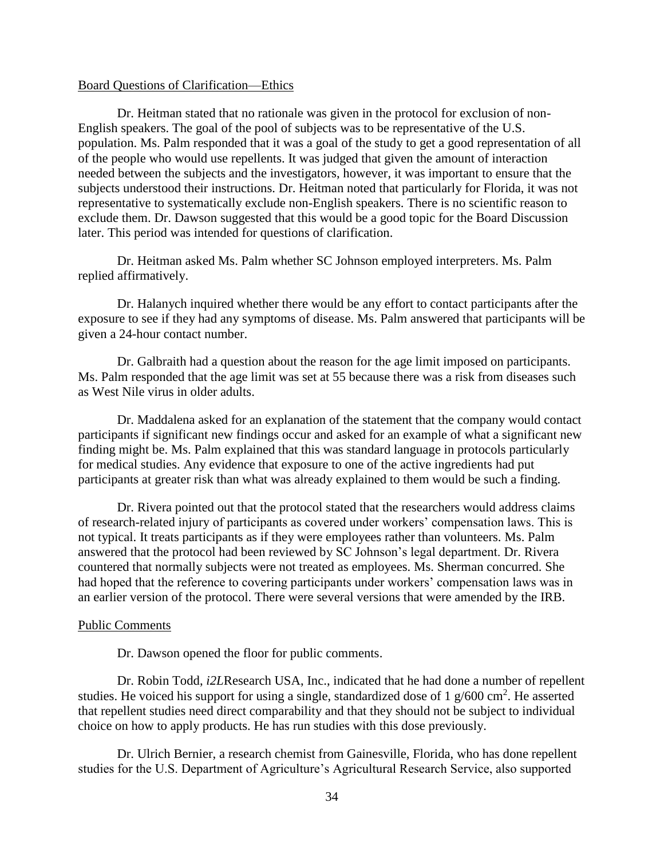#### Board Questions of Clarification—Ethics

Dr. Heitman stated that no rationale was given in the protocol for exclusion of non-English speakers. The goal of the pool of subjects was to be representative of the U.S. population. Ms. Palm responded that it was a goal of the study to get a good representation of all of the people who would use repellents. It was judged that given the amount of interaction needed between the subjects and the investigators, however, it was important to ensure that the subjects understood their instructions. Dr. Heitman noted that particularly for Florida, it was not representative to systematically exclude non-English speakers. There is no scientific reason to exclude them. Dr. Dawson suggested that this would be a good topic for the Board Discussion later. This period was intended for questions of clarification.

Dr. Heitman asked Ms. Palm whether SC Johnson employed interpreters. Ms. Palm replied affirmatively.

Dr. Halanych inquired whether there would be any effort to contact participants after the exposure to see if they had any symptoms of disease. Ms. Palm answered that participants will be given a 24-hour contact number.

Dr. Galbraith had a question about the reason for the age limit imposed on participants. Ms. Palm responded that the age limit was set at 55 because there was a risk from diseases such as West Nile virus in older adults.

Dr. Maddalena asked for an explanation of the statement that the company would contact participants if significant new findings occur and asked for an example of what a significant new finding might be. Ms. Palm explained that this was standard language in protocols particularly for medical studies. Any evidence that exposure to one of the active ingredients had put participants at greater risk than what was already explained to them would be such a finding.

Dr. Rivera pointed out that the protocol stated that the researchers would address claims of research-related injury of participants as covered under workers' compensation laws. This is not typical. It treats participants as if they were employees rather than volunteers. Ms. Palm answered that the protocol had been reviewed by SC Johnson's legal department. Dr. Rivera countered that normally subjects were not treated as employees. Ms. Sherman concurred. She had hoped that the reference to covering participants under workers' compensation laws was in an earlier version of the protocol. There were several versions that were amended by the IRB.

### Public Comments

Dr. Dawson opened the floor for public comments.

Dr. Robin Todd, *i2L*Research USA, Inc., indicated that he had done a number of repellent studies. He voiced his support for using a single, standardized dose of 1  $\rm g/600 \rm \ cm^2$ . He asserted that repellent studies need direct comparability and that they should not be subject to individual choice on how to apply products. He has run studies with this dose previously.

Dr. Ulrich Bernier, a research chemist from Gainesville, Florida, who has done repellent studies for the U.S. Department of Agriculture's Agricultural Research Service, also supported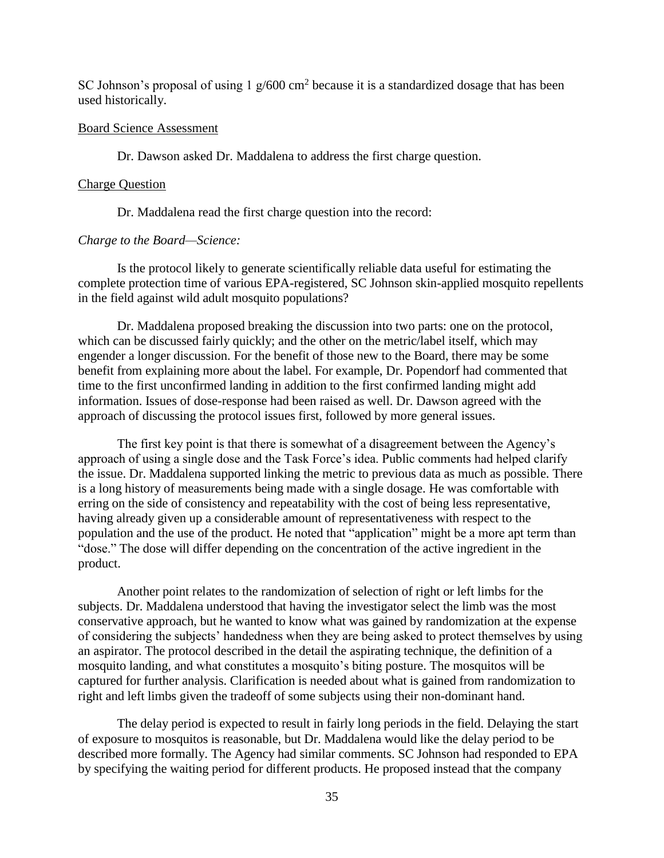SC Johnson's proposal of using  $1 \text{ g}/600 \text{ cm}^2$  because it is a standardized dosage that has been used historically.

### Board Science Assessment

Dr. Dawson asked Dr. Maddalena to address the first charge question.

#### Charge Question

Dr. Maddalena read the first charge question into the record:

### *Charge to the Board—Science:*

Is the protocol likely to generate scientifically reliable data useful for estimating the complete protection time of various EPA-registered, SC Johnson skin-applied mosquito repellents in the field against wild adult mosquito populations?

Dr. Maddalena proposed breaking the discussion into two parts: one on the protocol, which can be discussed fairly quickly; and the other on the metric/label itself, which may engender a longer discussion. For the benefit of those new to the Board, there may be some benefit from explaining more about the label. For example, Dr. Popendorf had commented that time to the first unconfirmed landing in addition to the first confirmed landing might add information. Issues of dose-response had been raised as well. Dr. Dawson agreed with the approach of discussing the protocol issues first, followed by more general issues.

The first key point is that there is somewhat of a disagreement between the Agency's approach of using a single dose and the Task Force's idea. Public comments had helped clarify the issue. Dr. Maddalena supported linking the metric to previous data as much as possible. There is a long history of measurements being made with a single dosage. He was comfortable with erring on the side of consistency and repeatability with the cost of being less representative, having already given up a considerable amount of representativeness with respect to the population and the use of the product. He noted that "application" might be a more apt term than "dose." The dose will differ depending on the concentration of the active ingredient in the product.

Another point relates to the randomization of selection of right or left limbs for the subjects. Dr. Maddalena understood that having the investigator select the limb was the most conservative approach, but he wanted to know what was gained by randomization at the expense of considering the subjects' handedness when they are being asked to protect themselves by using an aspirator. The protocol described in the detail the aspirating technique, the definition of a mosquito landing, and what constitutes a mosquito's biting posture. The mosquitos will be captured for further analysis. Clarification is needed about what is gained from randomization to right and left limbs given the tradeoff of some subjects using their non-dominant hand.

The delay period is expected to result in fairly long periods in the field. Delaying the start of exposure to mosquitos is reasonable, but Dr. Maddalena would like the delay period to be described more formally. The Agency had similar comments. SC Johnson had responded to EPA by specifying the waiting period for different products. He proposed instead that the company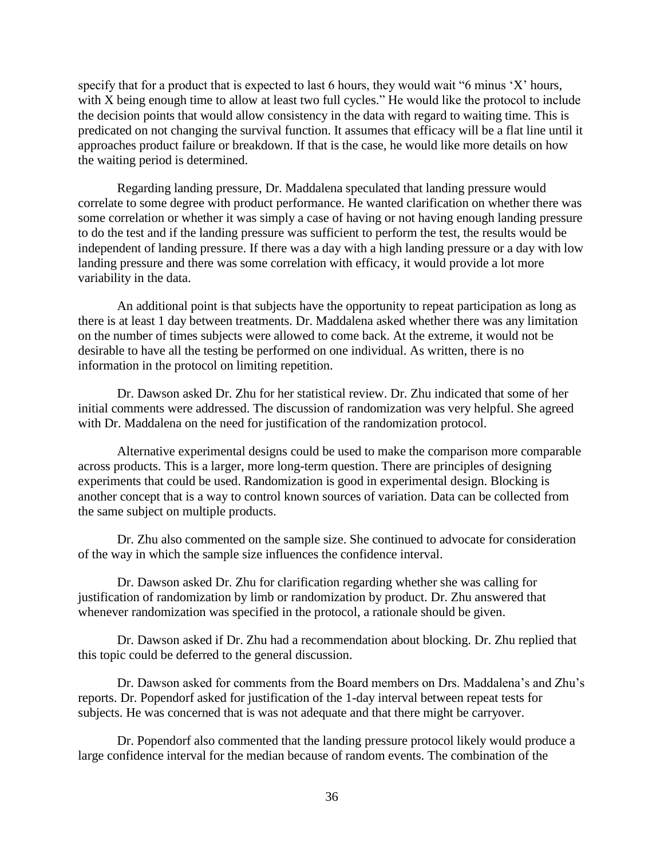specify that for a product that is expected to last 6 hours, they would wait "6 minus 'X' hours, with X being enough time to allow at least two full cycles." He would like the protocol to include the decision points that would allow consistency in the data with regard to waiting time. This is predicated on not changing the survival function. It assumes that efficacy will be a flat line until it approaches product failure or breakdown. If that is the case, he would like more details on how the waiting period is determined.

Regarding landing pressure, Dr. Maddalena speculated that landing pressure would correlate to some degree with product performance. He wanted clarification on whether there was some correlation or whether it was simply a case of having or not having enough landing pressure to do the test and if the landing pressure was sufficient to perform the test, the results would be independent of landing pressure. If there was a day with a high landing pressure or a day with low landing pressure and there was some correlation with efficacy, it would provide a lot more variability in the data.

An additional point is that subjects have the opportunity to repeat participation as long as there is at least 1 day between treatments. Dr. Maddalena asked whether there was any limitation on the number of times subjects were allowed to come back. At the extreme, it would not be desirable to have all the testing be performed on one individual. As written, there is no information in the protocol on limiting repetition.

Dr. Dawson asked Dr. Zhu for her statistical review. Dr. Zhu indicated that some of her initial comments were addressed. The discussion of randomization was very helpful. She agreed with Dr. Maddalena on the need for justification of the randomization protocol.

Alternative experimental designs could be used to make the comparison more comparable across products. This is a larger, more long-term question. There are principles of designing experiments that could be used. Randomization is good in experimental design. Blocking is another concept that is a way to control known sources of variation. Data can be collected from the same subject on multiple products.

Dr. Zhu also commented on the sample size. She continued to advocate for consideration of the way in which the sample size influences the confidence interval.

Dr. Dawson asked Dr. Zhu for clarification regarding whether she was calling for justification of randomization by limb or randomization by product. Dr. Zhu answered that whenever randomization was specified in the protocol, a rationale should be given.

Dr. Dawson asked if Dr. Zhu had a recommendation about blocking. Dr. Zhu replied that this topic could be deferred to the general discussion.

Dr. Dawson asked for comments from the Board members on Drs. Maddalena's and Zhu's reports. Dr. Popendorf asked for justification of the 1-day interval between repeat tests for subjects. He was concerned that is was not adequate and that there might be carryover.

Dr. Popendorf also commented that the landing pressure protocol likely would produce a large confidence interval for the median because of random events. The combination of the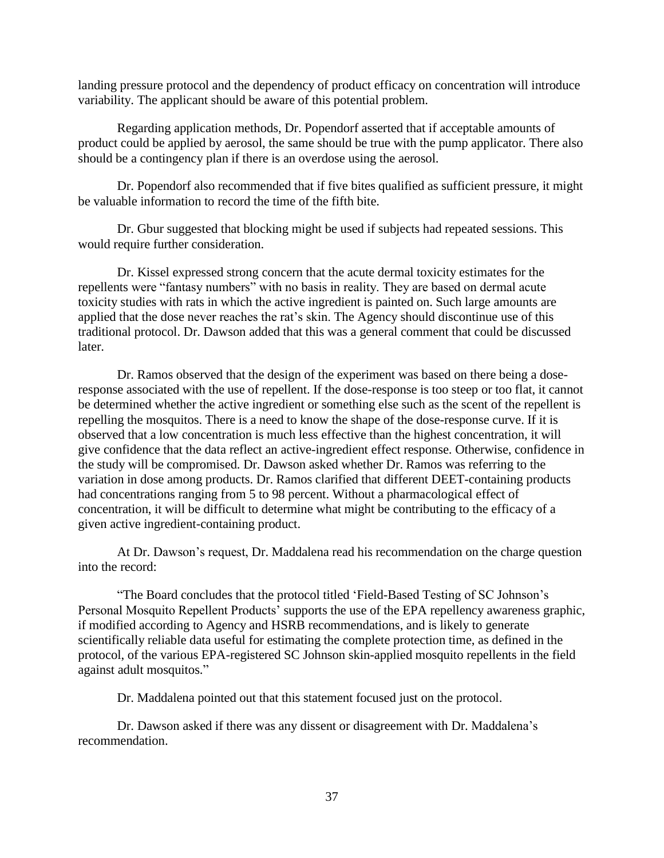landing pressure protocol and the dependency of product efficacy on concentration will introduce variability. The applicant should be aware of this potential problem.

Regarding application methods, Dr. Popendorf asserted that if acceptable amounts of product could be applied by aerosol, the same should be true with the pump applicator. There also should be a contingency plan if there is an overdose using the aerosol.

Dr. Popendorf also recommended that if five bites qualified as sufficient pressure, it might be valuable information to record the time of the fifth bite.

Dr. Gbur suggested that blocking might be used if subjects had repeated sessions. This would require further consideration.

Dr. Kissel expressed strong concern that the acute dermal toxicity estimates for the repellents were "fantasy numbers" with no basis in reality. They are based on dermal acute toxicity studies with rats in which the active ingredient is painted on. Such large amounts are applied that the dose never reaches the rat's skin. The Agency should discontinue use of this traditional protocol. Dr. Dawson added that this was a general comment that could be discussed later.

Dr. Ramos observed that the design of the experiment was based on there being a doseresponse associated with the use of repellent. If the dose-response is too steep or too flat, it cannot be determined whether the active ingredient or something else such as the scent of the repellent is repelling the mosquitos. There is a need to know the shape of the dose-response curve. If it is observed that a low concentration is much less effective than the highest concentration, it will give confidence that the data reflect an active-ingredient effect response. Otherwise, confidence in the study will be compromised. Dr. Dawson asked whether Dr. Ramos was referring to the variation in dose among products. Dr. Ramos clarified that different DEET-containing products had concentrations ranging from 5 to 98 percent. Without a pharmacological effect of concentration, it will be difficult to determine what might be contributing to the efficacy of a given active ingredient-containing product.

At Dr. Dawson's request, Dr. Maddalena read his recommendation on the charge question into the record:

"The Board concludes that the protocol titled 'Field-Based Testing of SC Johnson's Personal Mosquito Repellent Products' supports the use of the EPA repellency awareness graphic, if modified according to Agency and HSRB recommendations, and is likely to generate scientifically reliable data useful for estimating the complete protection time, as defined in the protocol, of the various EPA-registered SC Johnson skin-applied mosquito repellents in the field against adult mosquitos."

Dr. Maddalena pointed out that this statement focused just on the protocol.

Dr. Dawson asked if there was any dissent or disagreement with Dr. Maddalena's recommendation.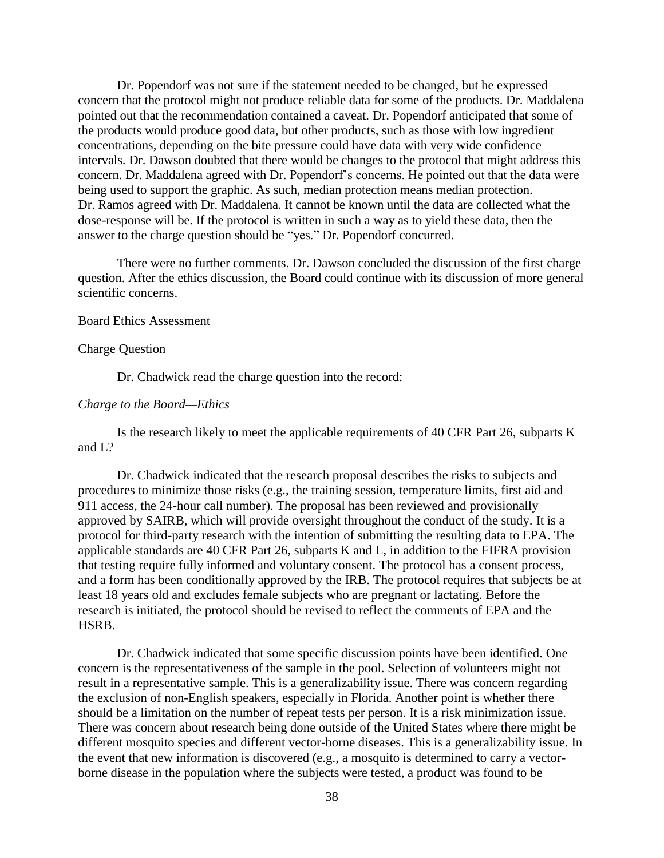Dr. Popendorf was not sure if the statement needed to be changed, but he expressed concern that the protocol might not produce reliable data for some of the products. Dr. Maddalena pointed out that the recommendation contained a caveat. Dr. Popendorf anticipated that some of the products would produce good data, but other products, such as those with low ingredient concentrations, depending on the bite pressure could have data with very wide confidence intervals. Dr. Dawson doubted that there would be changes to the protocol that might address this concern. Dr. Maddalena agreed with Dr. Popendorf's concerns. He pointed out that the data were being used to support the graphic. As such, median protection means median protection. Dr. Ramos agreed with Dr. Maddalena. It cannot be known until the data are collected what the dose-response will be. If the protocol is written in such a way as to yield these data, then the answer to the charge question should be "yes." Dr. Popendorf concurred.

There were no further comments. Dr. Dawson concluded the discussion of the first charge question. After the ethics discussion, the Board could continue with its discussion of more general scientific concerns.

### Board Ethics Assessment

#### Charge Question

Dr. Chadwick read the charge question into the record:

### *Charge to the Board—Ethics*

Is the research likely to meet the applicable requirements of 40 CFR Part 26, subparts K and L?

Dr. Chadwick indicated that the research proposal describes the risks to subjects and procedures to minimize those risks (e.g., the training session, temperature limits, first aid and 911 access, the 24-hour call number). The proposal has been reviewed and provisionally approved by SAIRB, which will provide oversight throughout the conduct of the study. It is a protocol for third-party research with the intention of submitting the resulting data to EPA. The applicable standards are 40 CFR Part 26, subparts K and L, in addition to the FIFRA provision that testing require fully informed and voluntary consent. The protocol has a consent process, and a form has been conditionally approved by the IRB. The protocol requires that subjects be at least 18 years old and excludes female subjects who are pregnant or lactating. Before the research is initiated, the protocol should be revised to reflect the comments of EPA and the HSRB.

Dr. Chadwick indicated that some specific discussion points have been identified. One concern is the representativeness of the sample in the pool. Selection of volunteers might not result in a representative sample. This is a generalizability issue. There was concern regarding the exclusion of non-English speakers, especially in Florida. Another point is whether there should be a limitation on the number of repeat tests per person. It is a risk minimization issue. There was concern about research being done outside of the United States where there might be different mosquito species and different vector-borne diseases. This is a generalizability issue. In the event that new information is discovered (e.g., a mosquito is determined to carry a vectorborne disease in the population where the subjects were tested, a product was found to be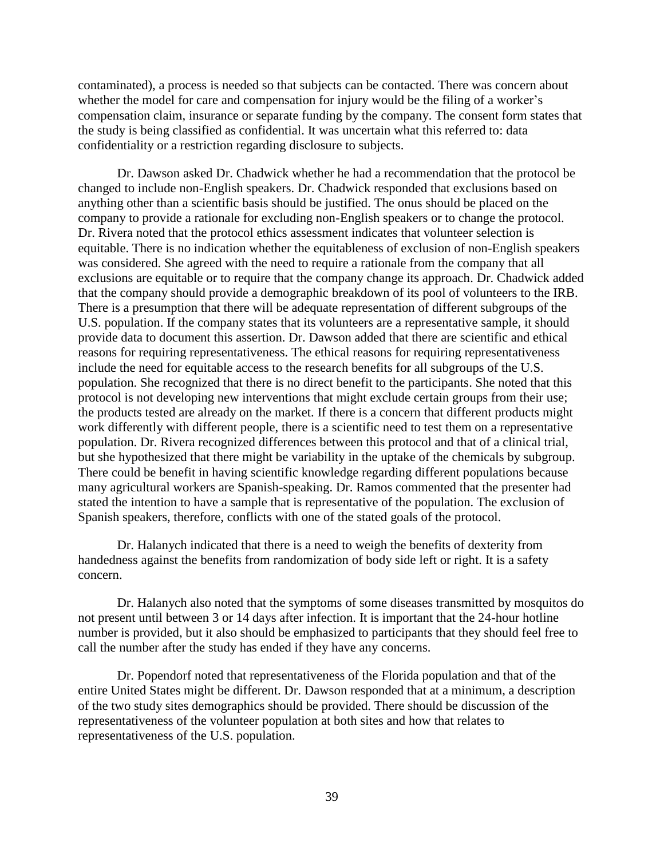contaminated), a process is needed so that subjects can be contacted. There was concern about whether the model for care and compensation for injury would be the filing of a worker's compensation claim, insurance or separate funding by the company. The consent form states that the study is being classified as confidential. It was uncertain what this referred to: data confidentiality or a restriction regarding disclosure to subjects.

Dr. Dawson asked Dr. Chadwick whether he had a recommendation that the protocol be changed to include non-English speakers. Dr. Chadwick responded that exclusions based on anything other than a scientific basis should be justified. The onus should be placed on the company to provide a rationale for excluding non-English speakers or to change the protocol. Dr. Rivera noted that the protocol ethics assessment indicates that volunteer selection is equitable. There is no indication whether the equitableness of exclusion of non-English speakers was considered. She agreed with the need to require a rationale from the company that all exclusions are equitable or to require that the company change its approach. Dr. Chadwick added that the company should provide a demographic breakdown of its pool of volunteers to the IRB. There is a presumption that there will be adequate representation of different subgroups of the U.S. population. If the company states that its volunteers are a representative sample, it should provide data to document this assertion. Dr. Dawson added that there are scientific and ethical reasons for requiring representativeness. The ethical reasons for requiring representativeness include the need for equitable access to the research benefits for all subgroups of the U.S. population. She recognized that there is no direct benefit to the participants. She noted that this protocol is not developing new interventions that might exclude certain groups from their use; the products tested are already on the market. If there is a concern that different products might work differently with different people, there is a scientific need to test them on a representative population. Dr. Rivera recognized differences between this protocol and that of a clinical trial, but she hypothesized that there might be variability in the uptake of the chemicals by subgroup. There could be benefit in having scientific knowledge regarding different populations because many agricultural workers are Spanish-speaking. Dr. Ramos commented that the presenter had stated the intention to have a sample that is representative of the population. The exclusion of Spanish speakers, therefore, conflicts with one of the stated goals of the protocol.

Dr. Halanych indicated that there is a need to weigh the benefits of dexterity from handedness against the benefits from randomization of body side left or right. It is a safety concern.

Dr. Halanych also noted that the symptoms of some diseases transmitted by mosquitos do not present until between 3 or 14 days after infection. It is important that the 24-hour hotline number is provided, but it also should be emphasized to participants that they should feel free to call the number after the study has ended if they have any concerns.

Dr. Popendorf noted that representativeness of the Florida population and that of the entire United States might be different. Dr. Dawson responded that at a minimum, a description of the two study sites demographics should be provided. There should be discussion of the representativeness of the volunteer population at both sites and how that relates to representativeness of the U.S. population.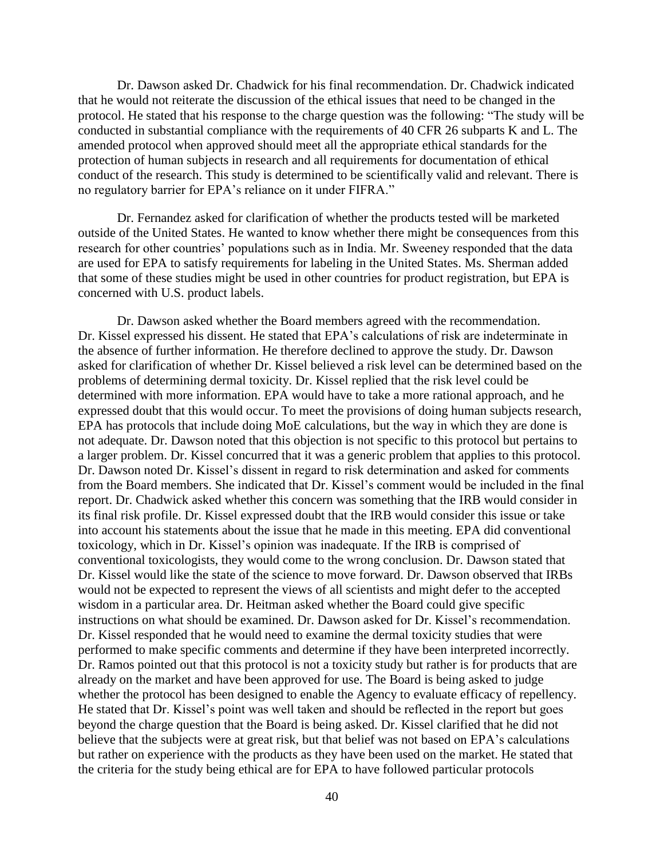Dr. Dawson asked Dr. Chadwick for his final recommendation. Dr. Chadwick indicated that he would not reiterate the discussion of the ethical issues that need to be changed in the protocol. He stated that his response to the charge question was the following: "The study will be conducted in substantial compliance with the requirements of 40 CFR 26 subparts K and L. The amended protocol when approved should meet all the appropriate ethical standards for the protection of human subjects in research and all requirements for documentation of ethical conduct of the research. This study is determined to be scientifically valid and relevant. There is no regulatory barrier for EPA's reliance on it under FIFRA."

Dr. Fernandez asked for clarification of whether the products tested will be marketed outside of the United States. He wanted to know whether there might be consequences from this research for other countries' populations such as in India. Mr. Sweeney responded that the data are used for EPA to satisfy requirements for labeling in the United States. Ms. Sherman added that some of these studies might be used in other countries for product registration, but EPA is concerned with U.S. product labels.

Dr. Dawson asked whether the Board members agreed with the recommendation. Dr. Kissel expressed his dissent. He stated that EPA's calculations of risk are indeterminate in the absence of further information. He therefore declined to approve the study. Dr. Dawson asked for clarification of whether Dr. Kissel believed a risk level can be determined based on the problems of determining dermal toxicity. Dr. Kissel replied that the risk level could be determined with more information. EPA would have to take a more rational approach, and he expressed doubt that this would occur. To meet the provisions of doing human subjects research, EPA has protocols that include doing MoE calculations, but the way in which they are done is not adequate. Dr. Dawson noted that this objection is not specific to this protocol but pertains to a larger problem. Dr. Kissel concurred that it was a generic problem that applies to this protocol. Dr. Dawson noted Dr. Kissel's dissent in regard to risk determination and asked for comments from the Board members. She indicated that Dr. Kissel's comment would be included in the final report. Dr. Chadwick asked whether this concern was something that the IRB would consider in its final risk profile. Dr. Kissel expressed doubt that the IRB would consider this issue or take into account his statements about the issue that he made in this meeting. EPA did conventional toxicology, which in Dr. Kissel's opinion was inadequate. If the IRB is comprised of conventional toxicologists, they would come to the wrong conclusion. Dr. Dawson stated that Dr. Kissel would like the state of the science to move forward. Dr. Dawson observed that IRBs would not be expected to represent the views of all scientists and might defer to the accepted wisdom in a particular area. Dr. Heitman asked whether the Board could give specific instructions on what should be examined. Dr. Dawson asked for Dr. Kissel's recommendation. Dr. Kissel responded that he would need to examine the dermal toxicity studies that were performed to make specific comments and determine if they have been interpreted incorrectly. Dr. Ramos pointed out that this protocol is not a toxicity study but rather is for products that are already on the market and have been approved for use. The Board is being asked to judge whether the protocol has been designed to enable the Agency to evaluate efficacy of repellency. He stated that Dr. Kissel's point was well taken and should be reflected in the report but goes beyond the charge question that the Board is being asked. Dr. Kissel clarified that he did not believe that the subjects were at great risk, but that belief was not based on EPA's calculations but rather on experience with the products as they have been used on the market. He stated that the criteria for the study being ethical are for EPA to have followed particular protocols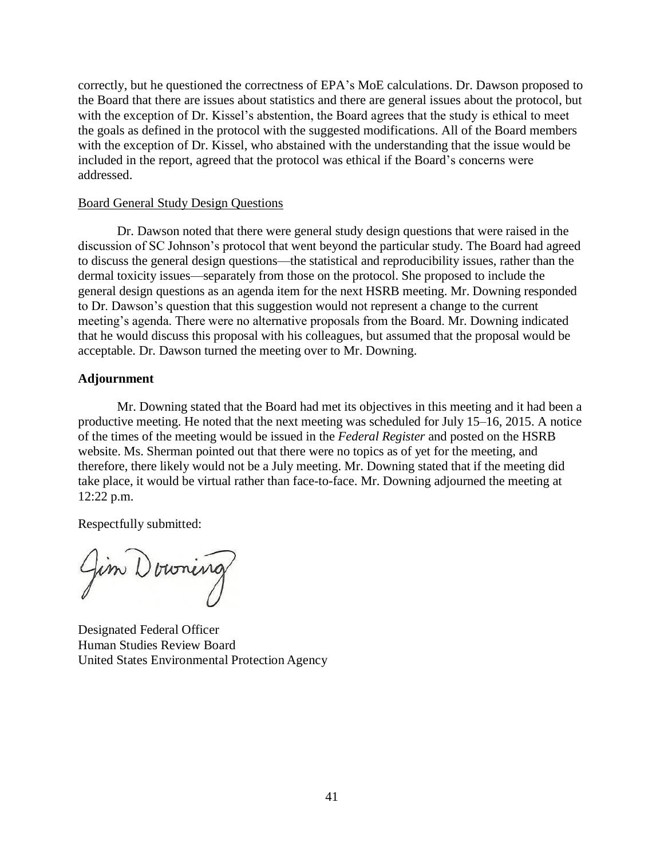correctly, but he questioned the correctness of EPA's MoE calculations. Dr. Dawson proposed to the Board that there are issues about statistics and there are general issues about the protocol, but with the exception of Dr. Kissel's abstention, the Board agrees that the study is ethical to meet the goals as defined in the protocol with the suggested modifications. All of the Board members with the exception of Dr. Kissel, who abstained with the understanding that the issue would be included in the report, agreed that the protocol was ethical if the Board's concerns were addressed.

### Board General Study Design Questions

Dr. Dawson noted that there were general study design questions that were raised in the discussion of SC Johnson's protocol that went beyond the particular study. The Board had agreed to discuss the general design questions—the statistical and reproducibility issues, rather than the dermal toxicity issues—separately from those on the protocol. She proposed to include the general design questions as an agenda item for the next HSRB meeting. Mr. Downing responded to Dr. Dawson's question that this suggestion would not represent a change to the current meeting's agenda. There were no alternative proposals from the Board. Mr. Downing indicated that he would discuss this proposal with his colleagues, but assumed that the proposal would be acceptable. Dr. Dawson turned the meeting over to Mr. Downing.

### **Adjournment**

Mr. Downing stated that the Board had met its objectives in this meeting and it had been a productive meeting. He noted that the next meeting was scheduled for July 15–16, 2015. A notice of the times of the meeting would be issued in the *Federal Register* and posted on the HSRB website. Ms. Sherman pointed out that there were no topics as of yet for the meeting, and therefore, there likely would not be a July meeting. Mr. Downing stated that if the meeting did take place, it would be virtual rather than face-to-face. Mr. Downing adjourned the meeting at 12:22 p.m.

Respectfully submitted:

Jim Downing

Designated Federal Officer Human Studies Review Board United States Environmental Protection Agency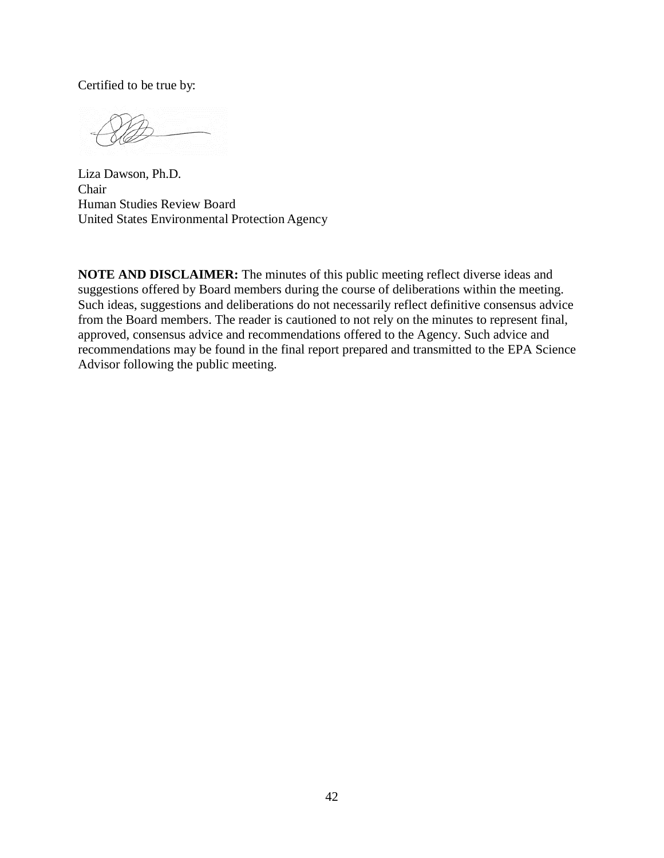Certified to be true by:

Liza Dawson, Ph.D. Chair Human Studies Review Board United States Environmental Protection Agency

**NOTE AND DISCLAIMER:** The minutes of this public meeting reflect diverse ideas and suggestions offered by Board members during the course of deliberations within the meeting. Such ideas, suggestions and deliberations do not necessarily reflect definitive consensus advice from the Board members. The reader is cautioned to not rely on the minutes to represent final, approved, consensus advice and recommendations offered to the Agency. Such advice and recommendations may be found in the final report prepared and transmitted to the EPA Science Advisor following the public meeting.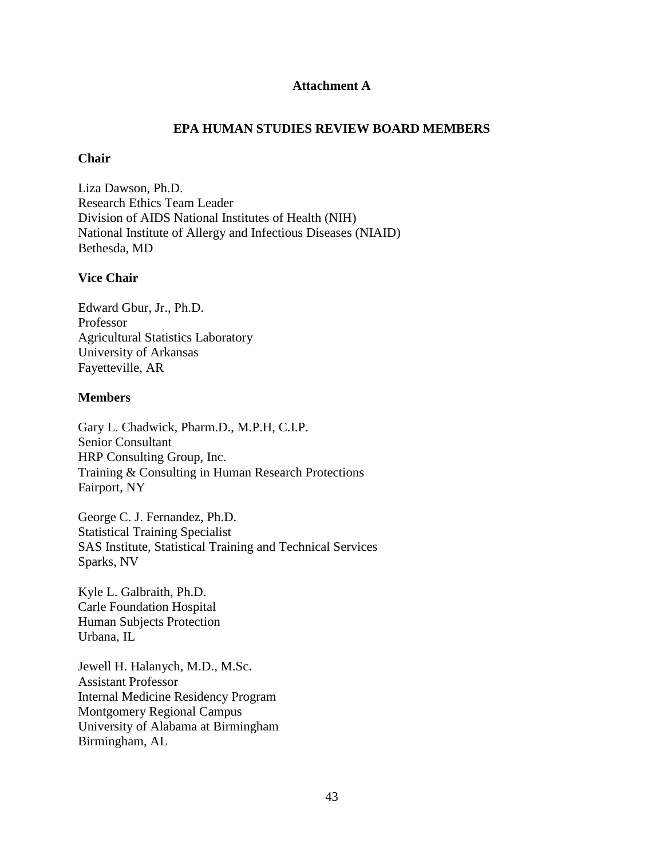## **Attachment A**

## **EPA HUMAN STUDIES REVIEW BOARD MEMBERS**

### **Chair**

Liza Dawson, Ph.D. Research Ethics Team Leader Division of AIDS National Institutes of Health (NIH) National Institute of Allergy and Infectious Diseases (NIAID) Bethesda, MD

## **Vice Chair**

Edward Gbur, Jr., Ph.D. Professor Agricultural Statistics Laboratory University of Arkansas Fayetteville, AR

## **Members**

Gary L. Chadwick, Pharm.D., M.P.H, C.I.P. Senior Consultant HRP Consulting Group, Inc. Training & Consulting in Human Research Protections Fairport, NY

George C. J. Fernandez, Ph.D. Statistical Training Specialist SAS Institute, Statistical Training and Technical Services Sparks, NV

Kyle L. Galbraith, Ph.D. Carle Foundation Hospital Human Subjects Protection Urbana, IL

Jewell H. Halanych, M.D., M.Sc. Assistant Professor Internal Medicine Residency Program Montgomery Regional Campus University of Alabama at Birmingham Birmingham, AL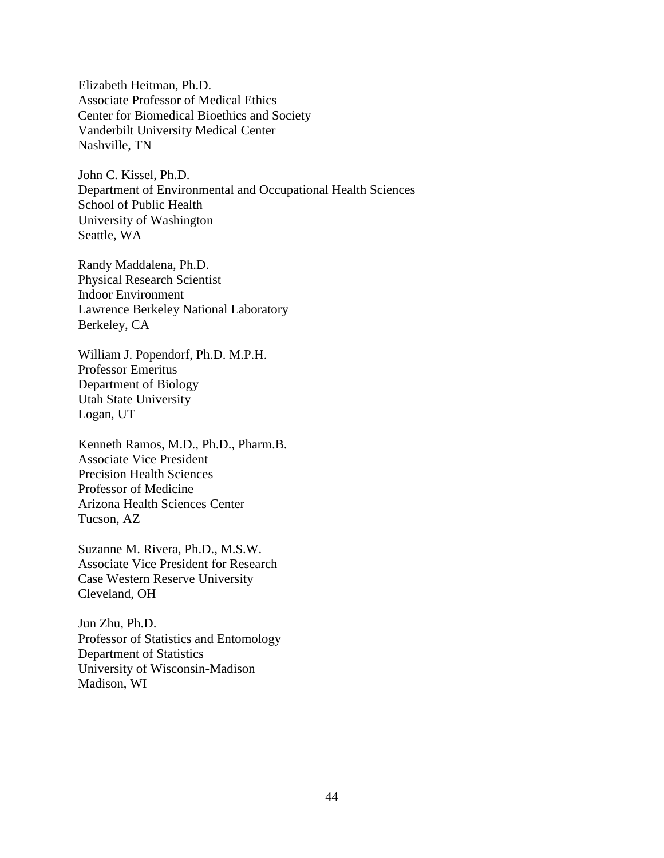Elizabeth Heitman, Ph.D. Associate Professor of Medical Ethics Center for Biomedical Bioethics and Society Vanderbilt University Medical Center Nashville, TN

John C. Kissel, Ph.D. Department of Environmental and Occupational Health Sciences School of Public Health University of Washington Seattle, WA

Randy Maddalena, Ph.D. Physical Research Scientist Indoor Environment Lawrence Berkeley National Laboratory Berkeley, CA

William J. Popendorf, Ph.D. M.P.H. Professor Emeritus Department of Biology Utah State University Logan, UT

Kenneth Ramos, M.D., Ph.D., Pharm.B. Associate Vice President Precision Health Sciences Professor of Medicine Arizona Health Sciences Center Tucson, AZ

Suzanne M. Rivera, Ph.D., M.S.W. Associate Vice President for Research Case Western Reserve University Cleveland, OH

Jun Zhu, Ph.D. Professor of Statistics and Entomology Department of Statistics University of Wisconsin-Madison Madison, WI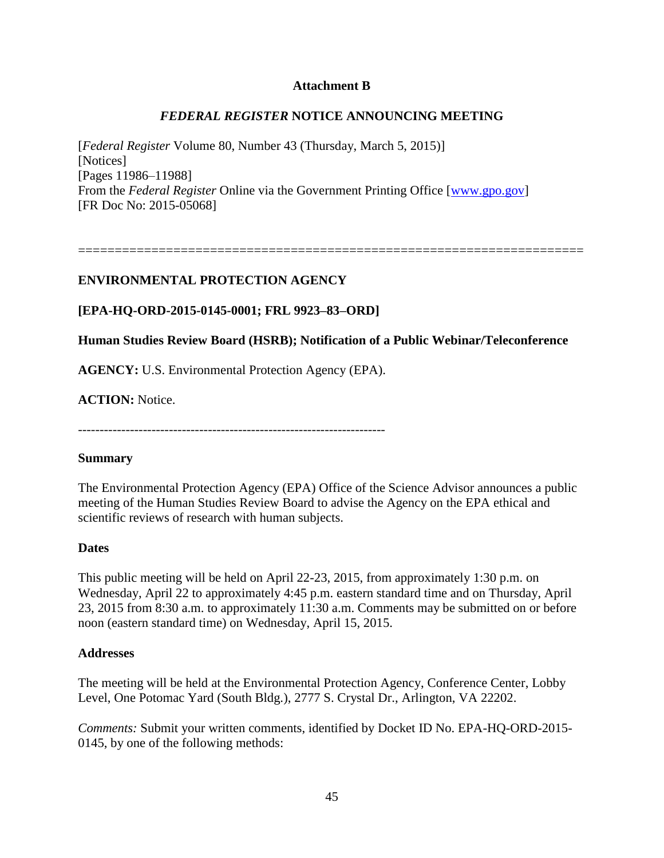## **Attachment B**

# *FEDERAL REGISTER* **NOTICE ANNOUNCING MEETING**

[*Federal Register* Volume 80, Number 43 (Thursday, March 5, 2015)] [Notices] [Pages 11986–11988] From the *Federal Register* Online via the Government Printing Office [\[www.gpo.gov\]](http://www.gpo.gov/) [FR Doc No: 2015-05068]

=====================================================================

# **ENVIRONMENTAL PROTECTION AGENCY**

# **[EPA-HQ-ORD-2015-0145-0001; FRL 9923–83–ORD]**

# **Human Studies Review Board (HSRB); Notification of a Public Webinar/Teleconference**

**AGENCY:** U.S. Environmental Protection Agency (EPA).

**ACTION:** Notice.

-----------------------------------------------------------------------

## **Summary**

The Environmental Protection Agency (EPA) Office of the Science Advisor announces a public meeting of the Human Studies Review Board to advise the Agency on the EPA ethical and scientific reviews of research with human subjects.

## **Dates**

This public meeting will be held on April 22-23, 2015, from approximately 1:30 p.m. on Wednesday, April 22 to approximately 4:45 p.m. eastern standard time and on Thursday, April 23, 2015 from 8:30 a.m. to approximately 11:30 a.m. Comments may be submitted on or before noon (eastern standard time) on Wednesday, April 15, 2015.

## **Addresses**

The meeting will be held at the Environmental Protection Agency, Conference Center, Lobby Level, One Potomac Yard (South Bldg.), 2777 S. Crystal Dr., Arlington, VA 22202.

*Comments:* Submit your written comments, identified by Docket ID No. EPA-HQ-ORD-2015- 0145, by one of the following methods: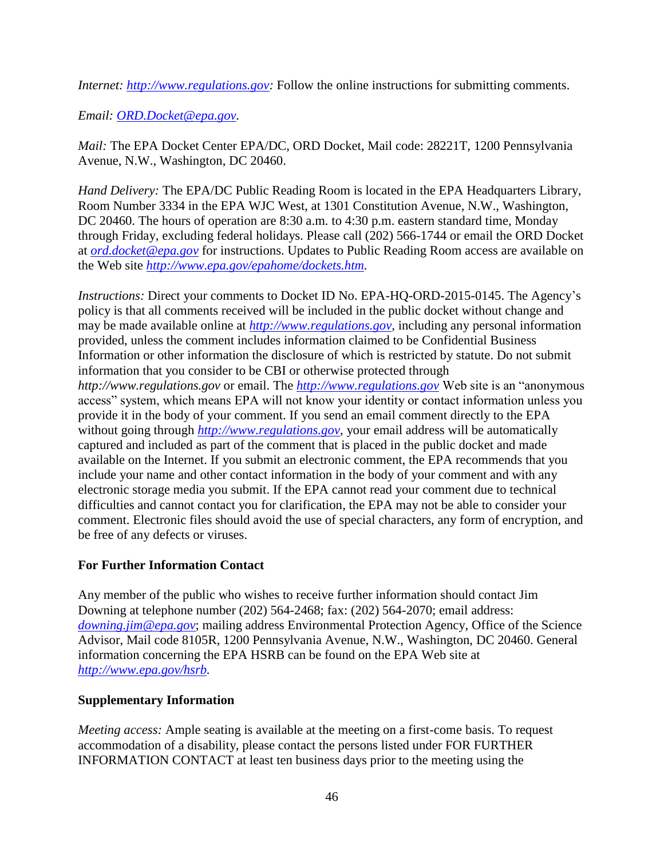*Internet: [http://www.regulations.gov:](http://www.regulations.gov/)* Follow the online instructions for submitting comments.

*Email: [ORD.Docket@epa.gov.](mailto:ORD.Docket@epa.gov)*

*Mail:* The EPA Docket Center EPA/DC, ORD Docket, Mail code: 28221T, 1200 Pennsylvania Avenue, N.W., Washington, DC 20460.

*Hand Delivery:* The EPA/DC Public Reading Room is located in the EPA Headquarters Library, Room Number 3334 in the EPA WJC West, at 1301 Constitution Avenue, N.W., Washington, DC 20460. The hours of operation are 8:30 a.m. to 4:30 p.m. eastern standard time, Monday through Friday, excluding federal holidays. Please call (202) 566-1744 or email the ORD Docket at *[ord.docket@epa.gov](mailto:ord.docket@epa.gov)* for instructions. Updates to Public Reading Room access are available on the Web site *[http://www.epa.gov/epahome/dockets.htm.](http://www.epa.gov/epahome/dockets.htm)*

*Instructions:* Direct your comments to Docket ID No. EPA-HQ-ORD-2015-0145. The Agency's policy is that all comments received will be included in the public docket without change and may be made available online at *[http://www.regulations.gov,](http://www.regulations.gov/)* including any personal information provided, unless the comment includes information claimed to be Confidential Business Information or other information the disclosure of which is restricted by statute. Do not submit information that you consider to be CBI or otherwise protected through *http://www.regulations.gov* or email. The *[http://www.regulations.gov](http://www.regulations.gov/)* Web site is an "anonymous access" system, which means EPA will not know your identity or contact information unless you provide it in the body of your comment. If you send an email comment directly to the EPA without going through *http://www.regulations.gov*, your email address will be automatically captured and included as part of the comment that is placed in the public docket and made available on the Internet. If you submit an electronic comment, the EPA recommends that you include your name and other contact information in the body of your comment and with any electronic storage media you submit. If the EPA cannot read your comment due to technical difficulties and cannot contact you for clarification, the EPA may not be able to consider your comment. Electronic files should avoid the use of special characters, any form of encryption, and be free of any defects or viruses.

# **For Further Information Contact**

Any member of the public who wishes to receive further information should contact Jim Downing at telephone number (202) 564-2468; fax: (202) 564-2070; email address: *[downing.jim@epa.gov](mailto:downing.jim@epa.gov)*; mailing address Environmental Protection Agency, Office of the Science Advisor, Mail code 8105R, 1200 Pennsylvania Avenue, N.W., Washington, DC 20460. General information concerning the EPA HSRB can be found on the EPA Web site at *[http://www.epa.gov/hsrb.](http://www.epa.gov/hsrb)*

# **Supplementary Information**

*Meeting access:* Ample seating is available at the meeting on a first-come basis. To request accommodation of a disability, please contact the persons listed under FOR FURTHER INFORMATION CONTACT at least ten business days prior to the meeting using the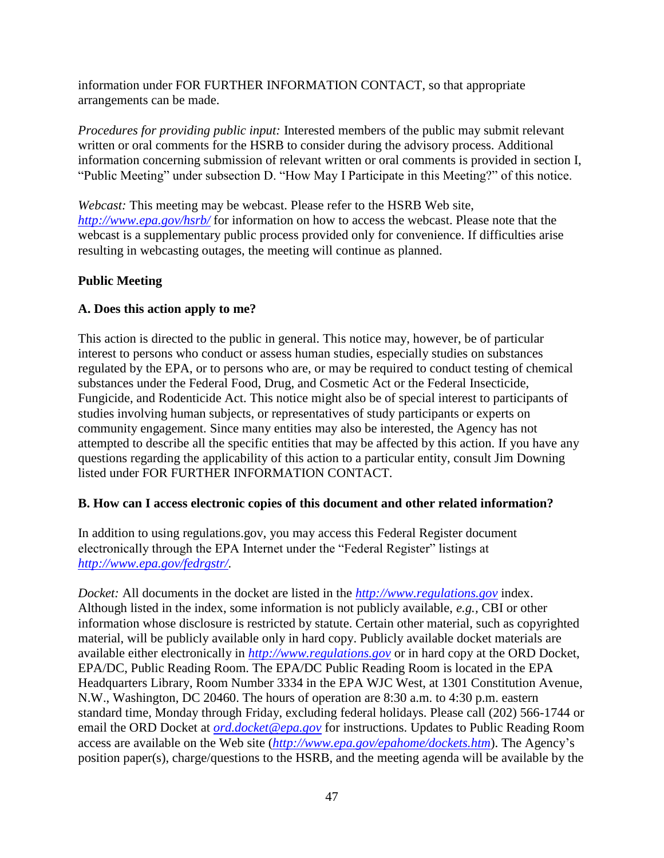information under FOR FURTHER INFORMATION CONTACT, so that appropriate arrangements can be made.

*Procedures for providing public input:* Interested members of the public may submit relevant written or oral comments for the HSRB to consider during the advisory process. Additional information concerning submission of relevant written or oral comments is provided in section I, "Public Meeting" under subsection D. "How May I Participate in this Meeting?" of this notice.

*Webcast:* This meeting may be webcast. Please refer to the HSRB Web site, *<http://www.epa.gov/hsrb/>* for information on how to access the webcast. Please note that the webcast is a supplementary public process provided only for convenience. If difficulties arise resulting in webcasting outages, the meeting will continue as planned.

# **Public Meeting**

# **A. Does this action apply to me?**

This action is directed to the public in general. This notice may, however, be of particular interest to persons who conduct or assess human studies, especially studies on substances regulated by the EPA, or to persons who are, or may be required to conduct testing of chemical substances under the Federal Food, Drug, and Cosmetic Act or the Federal Insecticide, Fungicide, and Rodenticide Act. This notice might also be of special interest to participants of studies involving human subjects, or representatives of study participants or experts on community engagement. Since many entities may also be interested, the Agency has not attempted to describe all the specific entities that may be affected by this action. If you have any questions regarding the applicability of this action to a particular entity, consult Jim Downing listed under FOR FURTHER INFORMATION CONTACT.

# **B. How can I access electronic copies of this document and other related information?**

In addition to using regulations.gov, you may access this Federal Register document electronically through the EPA Internet under the "Federal Register" listings at *[http://www.epa.gov/fedrgstr/.](http://www.epa.gov/fedrgstr/)*

*Docket:* All documents in the docket are listed in the *[http://www.regulations.gov](http://www.regulations.gov/)* index. Although listed in the index, some information is not publicly available, *e.g.,* CBI or other information whose disclosure is restricted by statute. Certain other material, such as copyrighted material, will be publicly available only in hard copy. Publicly available docket materials are available either electronically in *[http://www.regulations.gov](http://www.regulations.gov/)* or in hard copy at the ORD Docket, EPA/DC, Public Reading Room. The EPA/DC Public Reading Room is located in the EPA Headquarters Library, Room Number 3334 in the EPA WJC West, at 1301 Constitution Avenue, N.W., Washington, DC 20460. The hours of operation are 8:30 a.m. to 4:30 p.m. eastern standard time, Monday through Friday, excluding federal holidays. Please call (202) 566-1744 or email the ORD Docket at *[ord.docket@epa.gov](mailto:ord.docket@epa.gov)* for instructions. Updates to Public Reading Room access are available on the Web site (*<http://www.epa.gov/epahome/dockets.htm>*). The Agency's position paper(s), charge/questions to the HSRB, and the meeting agenda will be available by the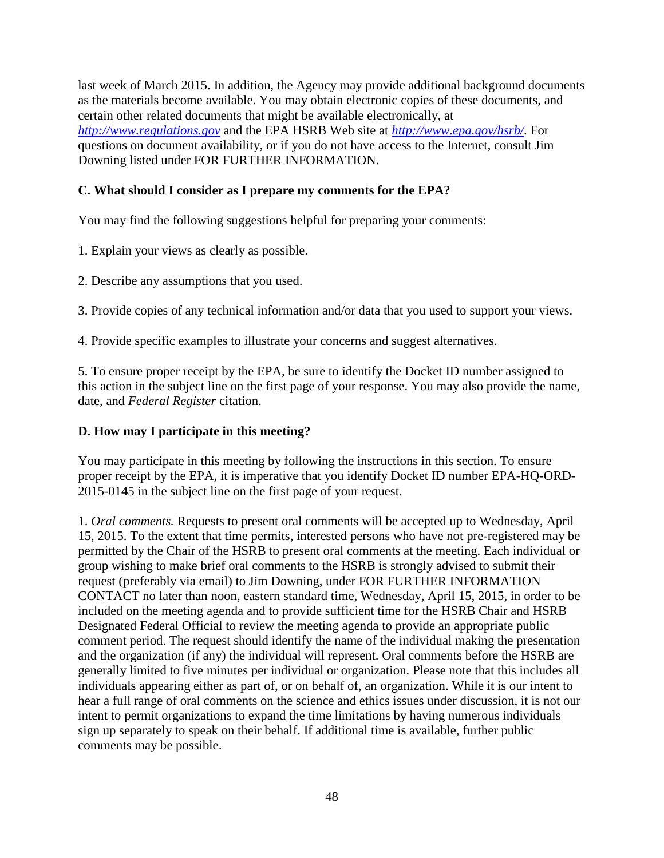last week of March 2015. In addition, the Agency may provide additional background documents as the materials become available. You may obtain electronic copies of these documents, and certain other related documents that might be available electronically, at *[http://www.regulations.gov](http://www.regulations.gov/)* and the EPA HSRB Web site at *[http://www.epa.gov/hsrb/.](http://www.epa.gov/hsrb/)* For questions on document availability, or if you do not have access to the Internet, consult Jim Downing listed under FOR FURTHER INFORMATION.

# **C. What should I consider as I prepare my comments for the EPA?**

You may find the following suggestions helpful for preparing your comments:

1. Explain your views as clearly as possible.

2. Describe any assumptions that you used.

3. Provide copies of any technical information and/or data that you used to support your views.

4. Provide specific examples to illustrate your concerns and suggest alternatives.

5. To ensure proper receipt by the EPA, be sure to identify the Docket ID number assigned to this action in the subject line on the first page of your response. You may also provide the name, date, and *Federal Register* citation.

# **D. How may I participate in this meeting?**

You may participate in this meeting by following the instructions in this section. To ensure proper receipt by the EPA, it is imperative that you identify Docket ID number EPA-HQ-ORD-2015-0145 in the subject line on the first page of your request.

1. *Oral comments.* Requests to present oral comments will be accepted up to Wednesday, April 15, 2015. To the extent that time permits, interested persons who have not pre-registered may be permitted by the Chair of the HSRB to present oral comments at the meeting. Each individual or group wishing to make brief oral comments to the HSRB is strongly advised to submit their request (preferably via email) to Jim Downing, under FOR FURTHER INFORMATION CONTACT no later than noon, eastern standard time, Wednesday, April 15, 2015, in order to be included on the meeting agenda and to provide sufficient time for the HSRB Chair and HSRB Designated Federal Official to review the meeting agenda to provide an appropriate public comment period. The request should identify the name of the individual making the presentation and the organization (if any) the individual will represent. Oral comments before the HSRB are generally limited to five minutes per individual or organization. Please note that this includes all individuals appearing either as part of, or on behalf of, an organization. While it is our intent to hear a full range of oral comments on the science and ethics issues under discussion, it is not our intent to permit organizations to expand the time limitations by having numerous individuals sign up separately to speak on their behalf. If additional time is available, further public comments may be possible.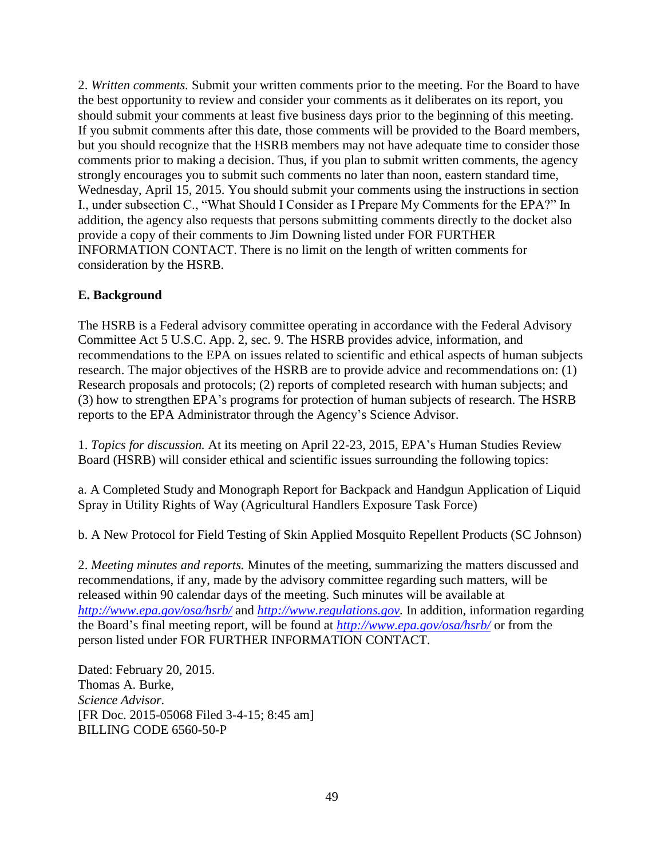2. *Written comments.* Submit your written comments prior to the meeting. For the Board to have the best opportunity to review and consider your comments as it deliberates on its report, you should submit your comments at least five business days prior to the beginning of this meeting. If you submit comments after this date, those comments will be provided to the Board members, but you should recognize that the HSRB members may not have adequate time to consider those comments prior to making a decision. Thus, if you plan to submit written comments, the agency strongly encourages you to submit such comments no later than noon, eastern standard time, Wednesday, April 15, 2015. You should submit your comments using the instructions in section I., under subsection C., "What Should I Consider as I Prepare My Comments for the EPA?" In addition, the agency also requests that persons submitting comments directly to the docket also provide a copy of their comments to Jim Downing listed under FOR FURTHER INFORMATION CONTACT. There is no limit on the length of written comments for consideration by the HSRB.

# **E. Background**

The HSRB is a Federal advisory committee operating in accordance with the Federal Advisory Committee Act 5 U.S.C. App. 2, sec. 9. The HSRB provides advice, information, and recommendations to the EPA on issues related to scientific and ethical aspects of human subjects research. The major objectives of the HSRB are to provide advice and recommendations on: (1) Research proposals and protocols; (2) reports of completed research with human subjects; and (3) how to strengthen EPA's programs for protection of human subjects of research. The HSRB reports to the EPA Administrator through the Agency's Science Advisor.

1. *Topics for discussion.* At its meeting on April 22-23, 2015, EPA's Human Studies Review Board (HSRB) will consider ethical and scientific issues surrounding the following topics:

a. A Completed Study and Monograph Report for Backpack and Handgun Application of Liquid Spray in Utility Rights of Way (Agricultural Handlers Exposure Task Force)

b. A New Protocol for Field Testing of Skin Applied Mosquito Repellent Products (SC Johnson)

2. *Meeting minutes and reports.* Minutes of the meeting, summarizing the matters discussed and recommendations, if any, made by the advisory committee regarding such matters, will be released within 90 calendar days of the meeting. Such minutes will be available at *<http://www.epa.gov/osa/hsrb/>* and *[http://www.regulations.gov.](http://www.regulations.gov/)* In addition, information regarding the Board's final meeting report, will be found at *<http://www.epa.gov/osa/hsrb/>* or from the person listed under FOR FURTHER INFORMATION CONTACT.

Dated: February 20, 2015. Thomas A. Burke, *Science Advisor.* [FR Doc. 2015-05068 Filed 3-4-15; 8:45 am] BILLING CODE 6560-50-P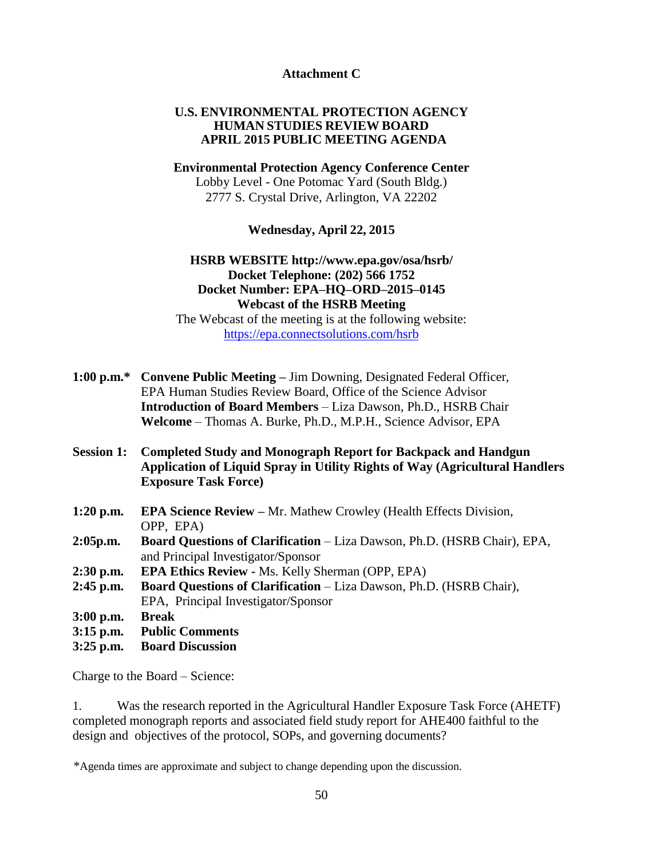## **Attachment C**

## **U.S. ENVIRONMENTAL PROTECTION AGENCY HUMAN STUDIES REVIEW BOARD APRIL 2015 PUBLIC MEETING AGENDA**

## **Environmental Protection Agency Conference Center** Lobby Level - One Potomac Yard (South Bldg.) 2777 S. Crystal Drive, Arlington, VA 22202

**Wednesday, April 22, 2015**

# **HSRB WEBSITE <http://www.epa.gov/osa/hsrb/> Docket Telephone: (202) 566 1752 Docket Number: EPA–HQ–ORD–2015–0145 Webcast of the HSRB Meeting**

The Webcast of the meeting is at the following website: <https://epa.connectsolutions.com/hsrb>

|                   | 1:00 p.m.* Convene Public Meeting – Jim Downing, Designated Federal Officer,                                                                                                       |
|-------------------|------------------------------------------------------------------------------------------------------------------------------------------------------------------------------------|
|                   | EPA Human Studies Review Board, Office of the Science Advisor                                                                                                                      |
|                   | <b>Introduction of Board Members - Liza Dawson, Ph.D., HSRB Chair</b>                                                                                                              |
|                   | Welcome - Thomas A. Burke, Ph.D., M.P.H., Science Advisor, EPA                                                                                                                     |
| <b>Session 1:</b> | <b>Completed Study and Monograph Report for Backpack and Handgun</b><br>Application of Liquid Spray in Utility Rights of Way (Agricultural Handlers<br><b>Exposure Task Force)</b> |
| $1:20$ p.m.       | <b>EPA Science Review - Mr. Mathew Crowley (Health Effects Division,</b><br>OPP, EPA)                                                                                              |
| 2:05p.m.          | <b>Board Questions of Clarification</b> – Liza Dawson, Ph.D. (HSRB Chair), EPA,<br>and Principal Investigator/Sponsor                                                              |
| $2:30$ p.m.       | <b>EPA Ethics Review - Ms. Kelly Sherman (OPP, EPA)</b>                                                                                                                            |
| $2:45$ p.m.       | Board Questions of Clarification - Liza Dawson, Ph.D. (HSRB Chair),                                                                                                                |
|                   | EPA, Principal Investigator/Sponsor                                                                                                                                                |
| $3:00$ p.m.       | <b>Break</b>                                                                                                                                                                       |
| $3:15$ p.m.       | <b>Public Comments</b>                                                                                                                                                             |
| $3:25$ p.m.       | <b>Board Discussion</b>                                                                                                                                                            |

Charge to the Board – Science:

1. Was the research reported in the Agricultural Handler Exposure Task Force (AHETF) completed monograph reports and associated field study report for AHE400 faithful to the design and objectives of the protocol, SOPs, and governing documents?

<sup>\*</sup>Agenda times are approximate and subject to change depending upon the discussion.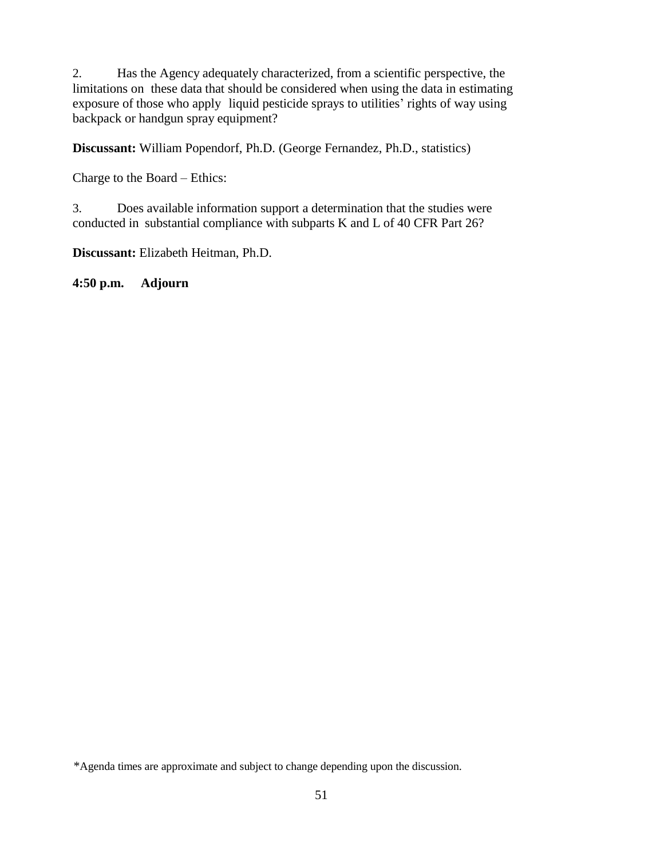2. Has the Agency adequately characterized, from a scientific perspective, the limitations on these data that should be considered when using the data in estimating exposure of those who apply liquid pesticide sprays to utilities' rights of way using backpack or handgun spray equipment?

**Discussant:** William Popendorf, Ph.D. (George Fernandez, Ph.D., statistics)

Charge to the Board – Ethics:

3. Does available information support a determination that the studies were conducted in substantial compliance with subparts K and L of 40 CFR Part 26?

**Discussant:** Elizabeth Heitman, Ph.D.

**4:50 p.m. Adjourn**

<sup>\*</sup>Agenda times are approximate and subject to change depending upon the discussion.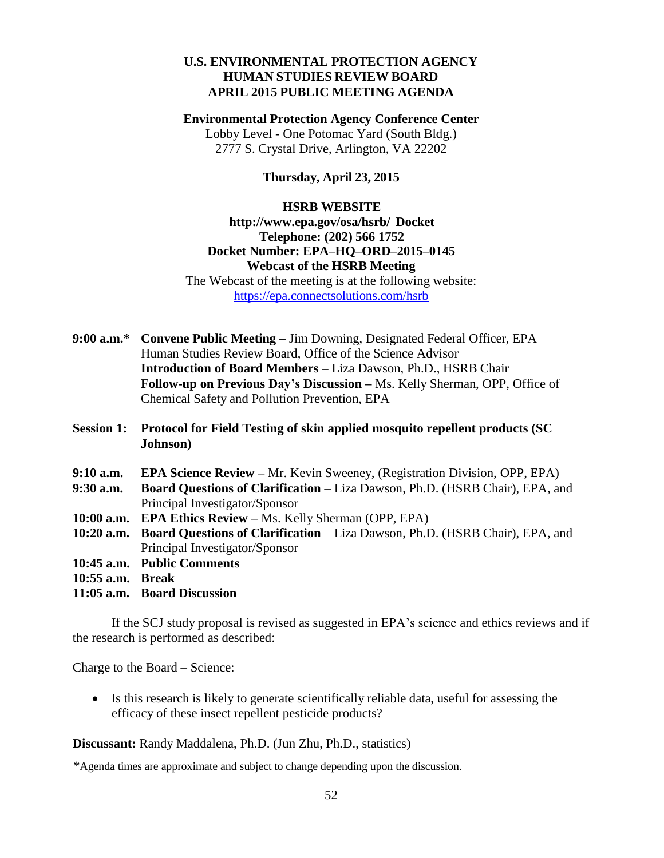# **U.S. ENVIRONMENTAL PROTECTION AGENCY HUMAN STUDIES REVIEW BOARD APRIL 2015 PUBLIC MEETING AGENDA**

**Environmental Protection Agency Conference Center** Lobby Level - One Potomac Yard (South Bldg.) 2777 S. Crystal Drive, Arlington, VA 22202

## **Thursday, April 23, 2015**

### **HSRB WEBS[ITE](http://www.epa.gov/osa/hsrb/)**

# **<http://www.epa.gov/osa/hsrb/> Docket Telephone: (202) 566 1752 Docket Number: EPA–HQ–ORD–2015–0145 Webcast of the HSRB Meeting**

The Webcast of the meeting is at the following website: <https://epa.connectsolutions.com/hsrb>

| 9:00 a.m.* Convene Public Meeting – Jim Downing, Designated Federal Officer, EPA  |
|-----------------------------------------------------------------------------------|
| Human Studies Review Board, Office of the Science Advisor                         |
| <b>Introduction of Board Members – Liza Dawson, Ph.D., HSRB Chair</b>             |
| <b>Follow-up on Previous Day's Discussion – Ms. Kelly Sherman, OPP, Office of</b> |
| Chemical Safety and Pollution Prevention, EPA                                     |

- **Session 1: Protocol for Field Testing of skin applied mosquito repellent products (SC Johnson)**
- **9:10 a.m. EPA Science Review –** Mr. Kevin Sweeney, (Registration Division, OPP, EPA)
- **9:30 a.m. Board Questions of Clarification** Liza Dawson, Ph.D. (HSRB Chair), EPA, and Principal Investigator/Sponsor
- **10:00 a.m. EPA Ethics Review –** Ms. Kelly Sherman (OPP, EPA)
- **10:20 a.m. Board Questions of Clarification** Liza Dawson, Ph.D. (HSRB Chair), EPA, and Principal Investigator/Sponsor
- **10:45 a.m. Public Comments**
- **10:55 a.m. Break**
- **11:05 a.m. Board Discussion**

If the SCJ study proposal is revised as suggested in EPA's science and ethics reviews and if the research is performed as described:

Charge to the Board – Science:

 Is this research is likely to generate scientifically reliable data, useful for assessing the efficacy of these insect repellent pesticide products?

**Discussant:** Randy Maddalena, Ph.D. (Jun Zhu, Ph.D., statistics)

\*Agenda times are approximate and subject to change depending upon the discussion.